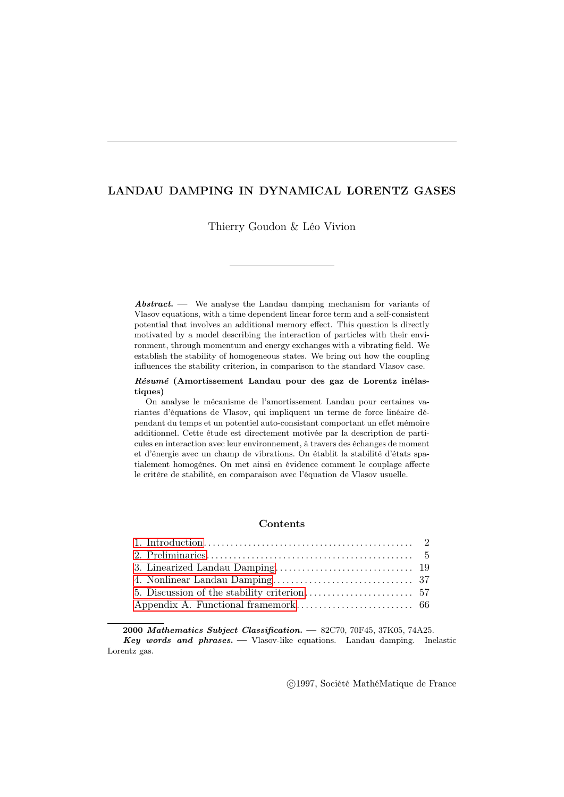# LANDAU DAMPING IN DYNAMICAL LORENTZ GASES

Thierry Goudon & Léo Vivion

Abstract. — We analyse the Landau damping mechanism for variants of Vlasov equations, with a time dependent linear force term and a self-consistent potential that involves an additional memory effect. This question is directly motivated by a model describing the interaction of particles with their environment, through momentum and energy exchanges with a vibrating field. We establish the stability of homogeneous states. We bring out how the coupling influences the stability criterion, in comparison to the standard Vlasov case.

#### Résumé (Amortissement Landau pour des gaz de Lorentz inélastiques)

On analyse le mécanisme de l'amortissement Landau pour certaines variantes d'équations de Vlasov, qui impliquent un terme de force linéaire dépendant du temps et un potentiel auto-consistant comportant un effet mémoire additionnel. Cette étude est directement motivée par la description de particules en interaction avec leur environnement, à travers des échanges de moment et d'énergie avec un champ de vibrations. On établit la stabilité d'états spatialement homogènes. On met ainsi en évidence comment le couplage affecte le critère de stabilité, en comparaison avec l'équation de Vlasov usuelle.

### **Contents**

2000 Mathematics Subject Classification. — 82C70, 70F45, 37K05, 74A25. **Key words and phrases.**  $\longrightarrow$  Vlasov-like equations. Landau damping. Inelastic Lorentz gas.

c 1997, Société MathéMatique de France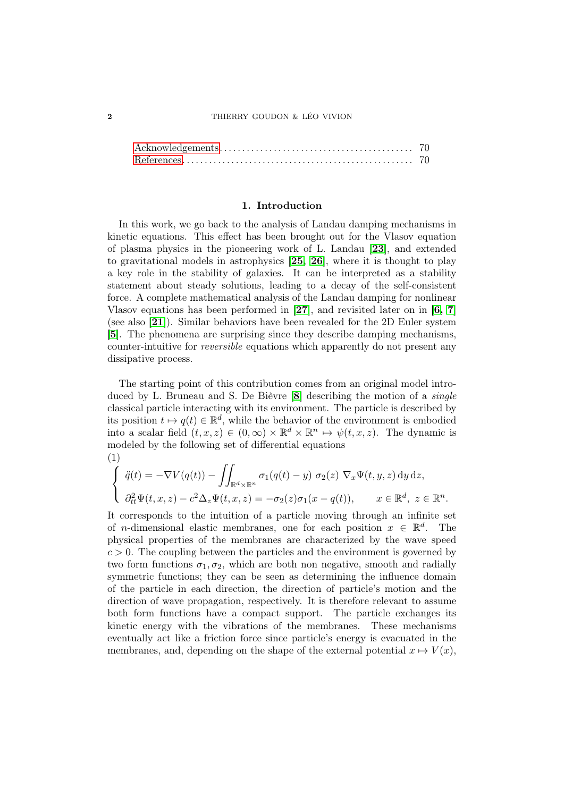#### 1. Introduction

<span id="page-1-0"></span>In this work, we go back to the analysis of Landau damping mechanisms in kinetic equations. This effect has been brought out for the Vlasov equation of plasma physics in the pioneering work of L. Landau [[23](#page-70-0)], and extended to gravitational models in astrophysics [[25,](#page-70-1) [26](#page-70-2)], where it is thought to play a key role in the stability of galaxies. It can be interpreted as a stability statement about steady solutions, leading to a decay of the self-consistent force. A complete mathematical analysis of the Landau damping for nonlinear Vlasov equations has been performed in  $[27]$  $[27]$  $[27]$ , and revisited later on in  $[6, 7]$  $[6, 7]$  $[6, 7]$  $[6, 7]$ (see also [[21](#page-70-3)]). Similar behaviors have been revealed for the 2D Euler system [[5](#page-69-4)]. The phenomena are surprising since they describe damping mechanisms, counter-intuitive for reversible equations which apparently do not present any dissipative process.

The starting point of this contribution comes from an original model introduced by L. Bruneau and S. De Bièvre [[8](#page-69-5)] describing the motion of a single classical particle interacting with its environment. The particle is described by its position  $t \mapsto q(t) \in \mathbb{R}^d$ , while the behavior of the environment is embodied into a scalar field  $(t, x, z) \in (0, \infty) \times \mathbb{R}^d \times \mathbb{R}^n \mapsto \psi(t, x, z)$ . The dynamic is modeled by the following set of differential equations (1)

<span id="page-1-1"></span>
$$
\begin{cases}\n\ddot{q}(t) = -\nabla V(q(t)) - \iint_{\mathbb{R}^d \times \mathbb{R}^n} \sigma_1(q(t) - y) \sigma_2(z) \nabla_x \Psi(t, y, z) \, dy \, dz, \\
\partial_{tt}^2 \Psi(t, x, z) - c^2 \Delta_z \Psi(t, x, z) = -\sigma_2(z) \sigma_1(x - q(t)), \qquad x \in \mathbb{R}^d, \ z \in \mathbb{R}^n.\n\end{cases}
$$

It corresponds to the intuition of a particle moving through an infinite set of *n*-dimensional elastic membranes, one for each position  $x \in \mathbb{R}^d$ . The physical properties of the membranes are characterized by the wave speed  $c > 0$ . The coupling between the particles and the environment is governed by two form functions  $\sigma_1, \sigma_2$ , which are both non negative, smooth and radially symmetric functions; they can be seen as determining the influence domain of the particle in each direction, the direction of particle's motion and the direction of wave propagation, respectively. It is therefore relevant to assume both form functions have a compact support. The particle exchanges its kinetic energy with the vibrations of the membranes. These mechanisms eventually act like a friction force since particle's energy is evacuated in the membranes, and, depending on the shape of the external potential  $x \mapsto V(x)$ ,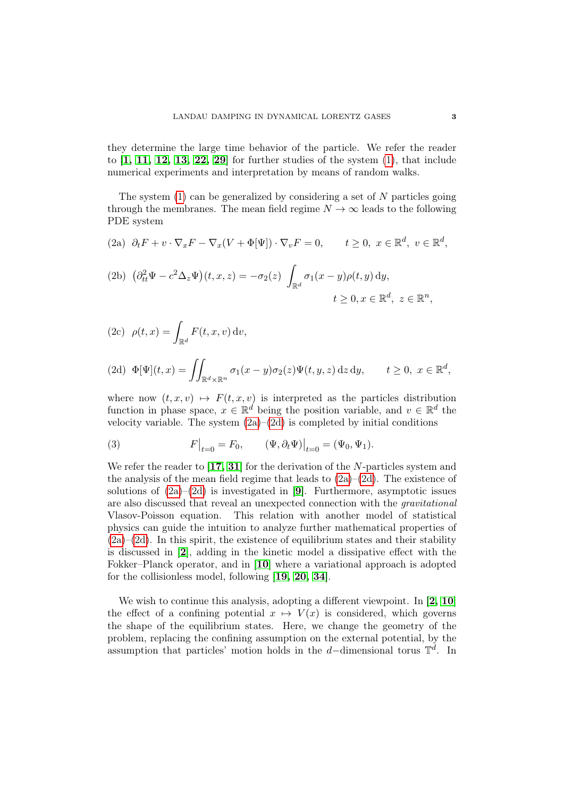they determine the large time behavior of the particle. We refer the reader to  $\begin{bmatrix} 1, 11, 12, 13, 22, 29 \end{bmatrix}$  $\begin{bmatrix} 1, 11, 12, 13, 22, 29 \end{bmatrix}$  $\begin{bmatrix} 1, 11, 12, 13, 22, 29 \end{bmatrix}$  $\begin{bmatrix} 1, 11, 12, 13, 22, 29 \end{bmatrix}$  $\begin{bmatrix} 1, 11, 12, 13, 22, 29 \end{bmatrix}$  $\begin{bmatrix} 1, 11, 12, 13, 22, 29 \end{bmatrix}$  $\begin{bmatrix} 1, 11, 12, 13, 22, 29 \end{bmatrix}$  $\begin{bmatrix} 1, 11, 12, 13, 22, 29 \end{bmatrix}$  for further studies of the system  $(1)$ , that include numerical experiments and interpretation by means of random walks.

The system  $(1)$  can be generalized by considering a set of N particles going through the membranes. The mean field regime  $N \to \infty$  leads to the following PDE system

<span id="page-2-0"></span>(2a) 
$$
\partial_t F + v \cdot \nabla_x F - \nabla_x (V + \Phi[\Psi]) \cdot \nabla_v F = 0
$$
,  $t \ge 0$ ,  $x \in \mathbb{R}^d$ ,  $v \in \mathbb{R}^d$ ,

<span id="page-2-2"></span>(2b) 
$$
(\partial_{tt}^2 \Psi - c^2 \Delta_z \Psi)(t, x, z) = -\sigma_2(z) \int_{\mathbb{R}^d} \sigma_1(x - y) \rho(t, y) dy,
$$
  

$$
t \ge 0, x \in \mathbb{R}^d, z \in \mathbb{R}^n,
$$

<span id="page-2-3"></span>(2c) 
$$
\rho(t,x) = \int_{\mathbb{R}^d} F(t,x,v) \, \mathrm{d}v
$$
,

<span id="page-2-1"></span>
$$
(2d) \ \Phi[\Psi](t,x) = \iint_{\mathbb{R}^d \times \mathbb{R}^n} \sigma_1(x-y)\sigma_2(z)\Psi(t,y,z) \,dz \,dy, \qquad t \ge 0, \ x \in \mathbb{R}^d,
$$

where now  $(t, x, v) \mapsto F(t, x, v)$  is interpreted as the particles distribution function in phase space,  $x \in \mathbb{R}^d$  being the position variable, and  $v \in \mathbb{R}^d$  the velocity variable. The system  $(2a)–(2d)$  $(2a)–(2d)$  $(2a)–(2d)$  is completed by initial conditions

(3) 
$$
F|_{t=0} = F_0, \qquad (\Psi, \partial_t \Psi)|_{t=0} = (\Psi_0, \Psi_1).
$$

We refer the reader to  $\left[17, 31\right]$  $\left[17, 31\right]$  $\left[17, 31\right]$  $\left[17, 31\right]$  for the derivation of the N-particles system and the analysis of the mean field regime that leads to  $(2a)-(2d)$  $(2a)-(2d)$  $(2a)-(2d)$ . The existence of solutions of  $(2a)-(2d)$  $(2a)-(2d)$  $(2a)-(2d)$  is investigated in [[9](#page-69-7)]. Furthermore, asymptotic issues are also discussed that reveal an unexpected connection with the gravitational Vlasov-Poisson equation. This relation with another model of statistical physics can guide the intuition to analyze further mathematical properties of  $(2a)–(2d)$  $(2a)–(2d)$  $(2a)–(2d)$ . In this spirit, the existence of equilibrium states and their stability is discussed in [[2](#page-69-8)], adding in the kinetic model a dissipative effect with the Fokker–Planck operator, and in [[10](#page-70-9)] where a variational approach is adopted for the collisionless model, following [[19,](#page-70-10) [20,](#page-70-11) [34](#page-71-3)].

We wish to continue this analysis, adopting a different viewpoint. In [[2,](#page-69-8) [10](#page-70-9)] the effect of a confining potential  $x \mapsto V(x)$  is considered, which governs the shape of the equilibrium states. Here, we change the geometry of the problem, replacing the confining assumption on the external potential, by the assumption that particles' motion holds in the d-dimensional torus  $\mathbb{T}^d$ . In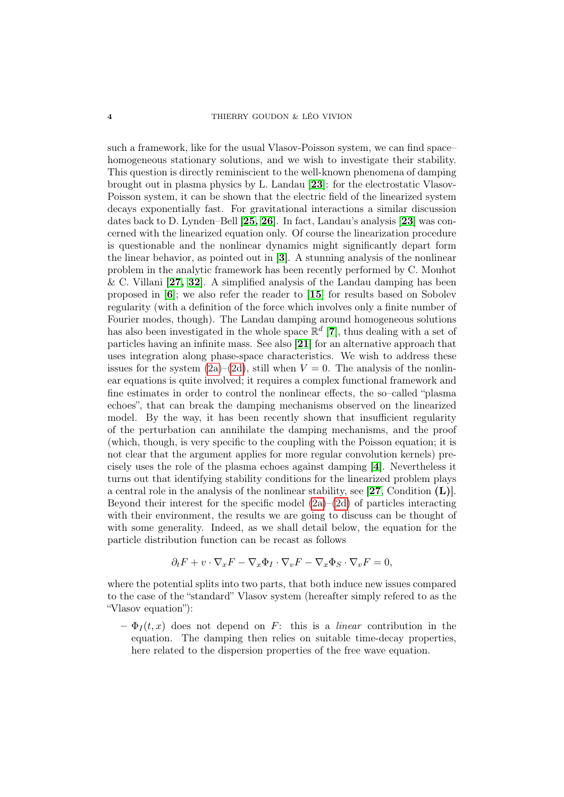such a framework, like for the usual Vlasov-Poisson system, we can find space– homogeneous stationary solutions, and we wish to investigate their stability. This question is directly reminiscient to the well-known phenomena of damping brought out in plasma physics by L. Landau [[23](#page-70-0)]: for the electrostatic Vlasov-Poisson system, it can be shown that the electric field of the linearized system decays exponentially fast. For gravitational interactions a similar discussion dates back to D. Lynden–Bell [[25,](#page-70-1) [26](#page-70-2)]. In fact, Landau's analysis [[23](#page-70-0)] was concerned with the linearized equation only. Of course the linearization procedure is questionable and the nonlinear dynamics might significantly depart form the linear behavior, as pointed out in [[3](#page-69-9)]. A stunning analysis of the nonlinear problem in the analytic framework has been recently performed by C. Mouhot & C. Villani  $[27, 32]$  $[27, 32]$  $[27, 32]$  $[27, 32]$ . A simplified analysis of the Landau damping has been proposed in [[6](#page-69-2)]; we also refer the reader to [[15](#page-70-12)] for results based on Sobolev regularity (with a definition of the force which involves only a finite number of Fourier modes, though). The Landau damping around homogeneous solutions has also been investigated in the whole space  $\mathbb{R}^d$  [[7](#page-69-3)], thus dealing with a set of particles having an infinite mass. See also [[21](#page-70-3)] for an alternative approach that uses integration along phase-space characteristics. We wish to address these issues for the system  $(2a)-(2d)$  $(2a)-(2d)$  $(2a)-(2d)$ , still when  $V=0$ . The analysis of the nonlinear equations is quite involved; it requires a complex functional framework and fine estimates in order to control the nonlinear effects, the so–called "plasma echoes", that can break the damping mechanisms observed on the linearized model. By the way, it has been recently shown that insufficient regularity of the perturbation can annihilate the damping mechanisms, and the proof (which, though, is very specific to the coupling with the Poisson equation; it is not clear that the argument applies for more regular convolution kernels) precisely uses the role of the plasma echoes against damping [[4](#page-69-10)]. Nevertheless it turns out that identifying stability conditions for the linearized problem plays a central role in the analysis of the nonlinear stability, see  $[27,$  $[27,$  $[27,$  Condition  $(L)$ ]. Beyond their interest for the specific model  $(2a)$ – $(2d)$  of particles interacting with their environment, the results we are going to discuss can be thought of with some generality. Indeed, as we shall detail below, the equation for the particle distribution function can be recast as follows

$$
\partial_t F + v \cdot \nabla_x F - \nabla_x \Phi_I \cdot \nabla_v F - \nabla_x \Phi_S \cdot \nabla_v F = 0,
$$

where the potential splits into two parts, that both induce new issues compared to the case of the "standard" Vlasov system (hereafter simply refered to as the "Vlasov equation"):

 $-\Phi_I(t, x)$  does not depend on F: this is a *linear* contribution in the equation. The damping then relies on suitable time-decay properties, here related to the dispersion properties of the free wave equation.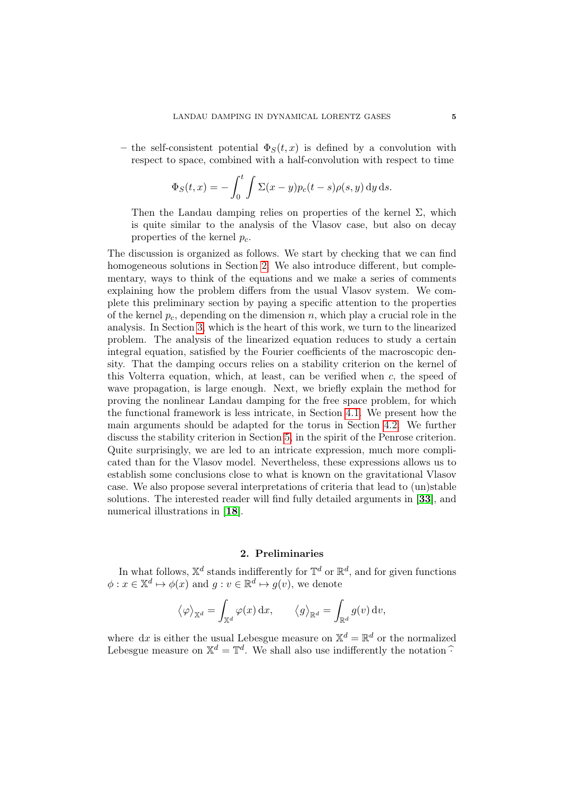– the self-consistent potential  $\Phi_S(t, x)$  is defined by a convolution with respect to space, combined with a half-convolution with respect to time

$$
\Phi_S(t,x) = -\int_0^t \int \Sigma(x-y)p_c(t-s)\rho(s,y) \,dy\,ds.
$$

Then the Landau damping relies on properties of the kernel  $\Sigma$ , which is quite similar to the analysis of the Vlasov case, but also on decay properties of the kernel  $p_c$ .

The discussion is organized as follows. We start by checking that we can find homogeneous solutions in Section [2.](#page-4-0) We also introduce different, but complementary, ways to think of the equations and we make a series of comments explaining how the problem differs from the usual Vlasov system. We complete this preliminary section by paying a specific attention to the properties of the kernel  $p_c$ , depending on the dimension n, which play a crucial role in the analysis. In Section [3,](#page-18-0) which is the heart of this work, we turn to the linearized problem. The analysis of the linearized equation reduces to study a certain integral equation, satisfied by the Fourier coefficients of the macroscopic density. That the damping occurs relies on a stability criterion on the kernel of this Volterra equation, which, at least, can be verified when  $c$ , the speed of wave propagation, is large enough. Next, we briefly explain the method for proving the nonlinear Landau damping for the free space problem, for which the functional framework is less intricate, in Section [4.1.](#page-37-0) We present how the main arguments should be adapted for the torus in Section [4.2.](#page-50-0) We further discuss the stability criterion in Section [5,](#page-56-0) in the spirit of the Penrose criterion. Quite surprisingly, we are led to an intricate expression, much more complicated than for the Vlasov model. Nevertheless, these expressions allows us to establish some conclusions close to what is known on the gravitational Vlasov case. We also propose several interpretations of criteria that lead to (un)stable solutions. The interested reader will find fully detailed arguments in [[33](#page-71-5)], and numerical illustrations in [[18](#page-70-13)].

## 2. Preliminaries

<span id="page-4-0"></span>In what follows,  $\mathbb{X}^d$  stands indifferently for  $\mathbb{T}^d$  or  $\mathbb{R}^d$ , and for given functions  $\phi: x \in \mathbb{X}^d \mapsto \phi(x)$  and  $g: v \in \mathbb{R}^d \mapsto g(v)$ , we denote

$$
\langle \varphi \rangle_{\mathbb{X}^d} = \int_{\mathbb{X}^d} \varphi(x) dx, \qquad \langle g \rangle_{\mathbb{R}^d} = \int_{\mathbb{R}^d} g(v) dv,
$$

where dx is either the usual Lebesgue measure on  $\mathbb{X}^d = \mathbb{R}^d$  or the normalized Lebesgue measure on  $\mathbb{X}^d = \mathbb{T}^d$ . We shall also use indifferently the notation  $\widehat{\cdot}$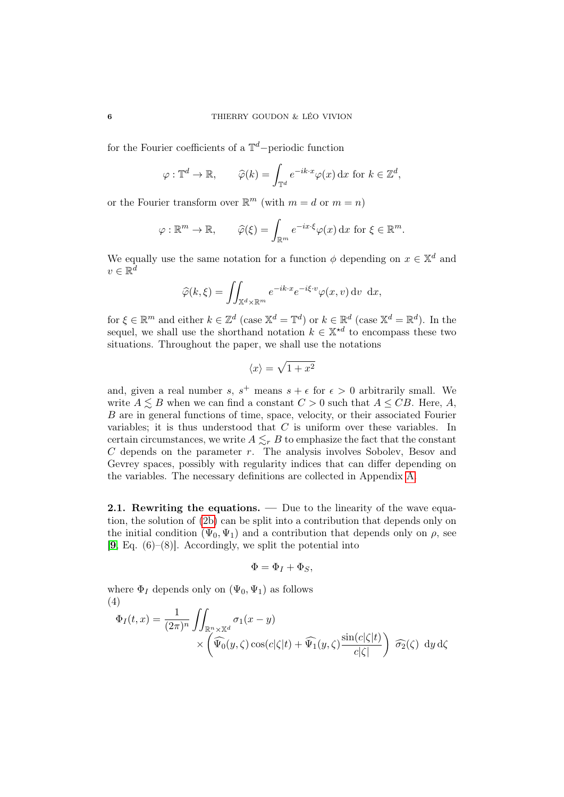for the Fourier coefficients of a  $\mathbb{T}^d$ -periodic function

$$
\varphi: \mathbb{T}^d \to \mathbb{R}, \qquad \widehat{\varphi}(k) = \int_{\mathbb{T}^d} e^{-ik \cdot x} \varphi(x) \, dx \text{ for } k \in \mathbb{Z}^d,
$$

or the Fourier transform over  $\mathbb{R}^m$  (with  $m = d$  or  $m = n$ )

$$
\varphi : \mathbb{R}^m \to \mathbb{R}, \qquad \widehat{\varphi}(\xi) = \int_{\mathbb{R}^m} e^{-ix \cdot \xi} \varphi(x) \, \mathrm{d}x \text{ for } \xi \in \mathbb{R}^m.
$$

We equally use the same notation for a function  $\phi$  depending on  $x \in \mathbb{X}^d$  and  $v \in \mathbb{R}^{\bar{d}}$ 

$$
\widehat{\varphi}(k,\xi) = \iint_{\mathbb{X}^d \times \mathbb{R}^m} e^{-ik \cdot x} e^{-i\xi \cdot v} \varphi(x,v) \, \mathrm{d}v \, \mathrm{d}x,
$$

for  $\xi \in \mathbb{R}^m$  and either  $k \in \mathbb{Z}^d$  (case  $\mathbb{X}^d = \mathbb{T}^d$ ) or  $k \in \mathbb{R}^d$  (case  $\mathbb{X}^d = \mathbb{R}^d$ ). In the sequel, we shall use the shorthand notation  $k \in \mathbb{X}^{*d}$  to encompass these two situations. Throughout the paper, we shall use the notations

$$
\langle x \rangle = \sqrt{1 + x^2}
$$

and, given a real number s,  $s^+$  means  $s + \epsilon$  for  $\epsilon > 0$  arbitrarily small. We write  $A \leq B$  when we can find a constant  $C > 0$  such that  $A \leq CB$ . Here, A, B are in general functions of time, space, velocity, or their associated Fourier variables; it is thus understood that  $C$  is uniform over these variables. In certain circumstances, we write  $A \lesssim_r B$  to emphasize the fact that the constant  $C$  depends on the parameter  $r$ . The analysis involves Sobolev, Besov and Gevrey spaces, possibly with regularity indices that can differ depending on the variables. The necessary definitions are collected in Appendix [A.](#page-65-0)

2.1. Rewriting the equations. — Due to the linearity of the wave equation, the solution of [\(2b\)](#page-2-2) can be split into a contribution that depends only on the initial condition  $(\Psi_0, \Psi_1)$  and a contribution that depends only on  $\rho$ , see  $[9, Eq. (6)–(8)]$  $[9, Eq. (6)–(8)]$  $[9, Eq. (6)–(8)]$ . Accordingly, we split the potential into

$$
\Phi = \Phi_I + \Phi_S,
$$

where  $\Phi_I$  depends only on  $(\Psi_0, \Psi_1)$  as follows (4)

<span id="page-5-0"></span>
$$
\Phi_I(t,x) = \frac{1}{(2\pi)^n} \iint_{\mathbb{R}^n \times \mathbb{X}^d} \sigma_1(x-y) \times \left( \widehat{\Psi_0}(y,\zeta) \cos(c|\zeta|t) + \widehat{\Psi_1}(y,\zeta) \frac{\sin(c|\zeta|t)}{c|\zeta|} \right) \widehat{\sigma_2}(\zeta) dy d\zeta
$$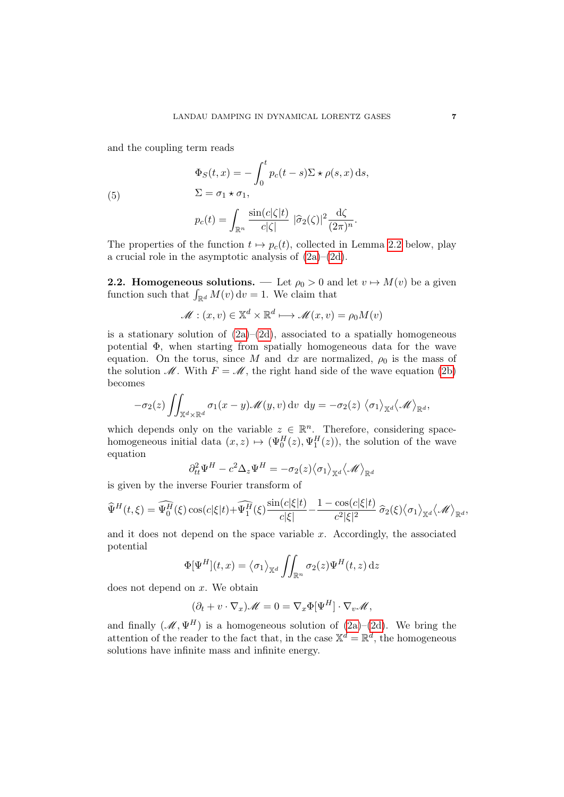and the coupling term reads

$$
\Phi_S(t, x) = -\int_0^t p_c(t - s) \Sigma \star \rho(s, x) \, ds,
$$
  

$$
\Sigma = \sigma_1 \star \sigma_1,
$$

$$
(5)
$$

<span id="page-6-0"></span>
$$
p_c(t) = \int_{\mathbb{R}^n} \frac{\sin(c|\zeta|t)}{c|\zeta|} |\widehat{\sigma}_2(\zeta)|^2 \frac{\mathrm{d}\zeta}{(2\pi)^n}.
$$

The properties of the function  $t \mapsto p_c(t)$ , collected in Lemma [2.2](#page-11-0) below, play a crucial role in the asymptotic analysis of  $(2a)-(2d)$  $(2a)-(2d)$  $(2a)-(2d)$ .

**2.2. Homogeneous solutions.** — Let  $\rho_0 > 0$  and let  $v \mapsto M(v)$  be a given function such that  $\int_{\mathbb{R}^d} M(v) dv = 1$ . We claim that

$$
\mathcal{M} : (x, v) \in \mathbb{X}^d \times \mathbb{R}^d \longmapsto \mathcal{M}(x, v) = \rho_0 M(v)
$$

is a stationary solution of  $(2a)-(2d)$  $(2a)-(2d)$  $(2a)-(2d)$ , associated to a spatially homogeneous potential Φ, when starting from spatially homogeneous data for the wave equation. On the torus, since M and dx are normalized,  $\rho_0$  is the mass of the solution  $\mathcal M$ . With  $F = \mathcal M$ , the right hand side of the wave equation [\(2b\)](#page-2-2) becomes

$$
-\sigma_2(z)\iint_{\mathbb{X}^d\times\mathbb{R}^d}\sigma_1(x-y)\mathscr{M}(y,v)\,\mathrm{d} v\,\,\mathrm{d} y=-\sigma_2(z)\,\big\langle\sigma_1\big\rangle_{\mathbb{X}^d}\big\langle\mathscr{M}\big\rangle_{\mathbb{R}^d},
$$

which depends only on the variable  $z \in \mathbb{R}^n$ . Therefore, considering spacehomogeneous initial data  $(x, z) \mapsto (\Psi_0^H(z), \Psi_1^H(z))$ , the solution of the wave equation

$$
\partial_{tt}^2 \Psi^H - c^2 \Delta_z \Psi^H = -\sigma_2(z) \langle \sigma_1 \rangle_{\mathbb{X}^d} \langle \mathcal{M} \rangle_{\mathbb{R}^d}
$$

is given by the inverse Fourier transform of

$$
\widehat{\Psi}^{H}(t,\xi) = \widehat{\Psi_{0}^{H}}(\xi) \cos(c|\xi|t) + \widehat{\Psi_{1}^{H}}(\xi) \frac{\sin(c|\xi|t)}{c|\xi|} - \frac{1 - \cos(c|\xi|t)}{c^{2}|\xi|^{2}} \widehat{\sigma}_{2}(\xi) \langle \sigma_{1} \rangle_{\mathbb{X}^{d}} \langle \mathcal{M} \rangle_{\mathbb{R}^{d}},
$$

and it does not depend on the space variable  $x$ . Accordingly, the associated potential

$$
\Phi[\Psi^H](t,x) = \langle \sigma_1 \rangle_{\mathbb{X}^d} \iint_{\mathbb{R}^n} \sigma_2(z) \Psi^H(t,z) \, \mathrm{d}z
$$

does not depend on  $x$ . We obtain

$$
(\partial_t + v \cdot \nabla_x) \mathscr{M} = 0 = \nabla_x \Phi[\Psi^H] \cdot \nabla_v \mathscr{M},
$$

and finally  $(\mathscr{M}, \Psi^H)$  is a homogeneous solution of  $(2a)-(2d)$  $(2a)-(2d)$  $(2a)-(2d)$ . We bring the attention of the reader to the fact that, in the case  $\mathbb{X}^d = \mathbb{R}^d$ , the homogeneous solutions have infinite mass and infinite energy.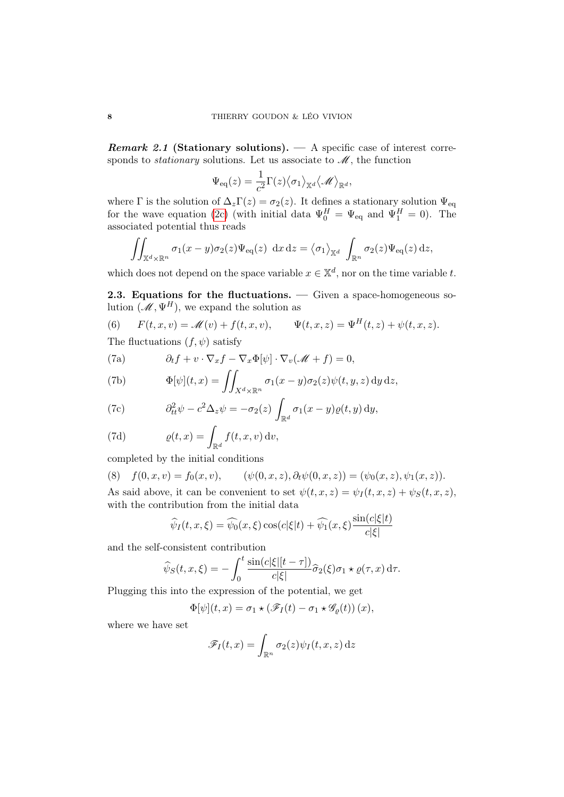**Remark 2.1 (Stationary solutions).**  $\qquad$  A specific case of interest corresponds to *stationary* solutions. Let us associate to  $\mathcal{M}$ , the function

$$
\Psi_{\text{eq}}(z) = \frac{1}{c^2} \Gamma(z) \langle \sigma_1 \rangle_{\mathbb{X}^d} \langle \mathscr{M} \rangle_{\mathbb{R}^d},
$$

where  $\Gamma$  is the solution of  $\Delta_z\Gamma(z) = \sigma_2(z)$ . It defines a stationary solution  $\Psi_{\text{eq}}$ for the wave equation [\(2c\)](#page-2-3) (with initial data  $\Psi_0^H = \Psi_{\text{eq}}$  and  $\Psi_1^H = 0$ ). The associated potential thus reads

$$
\iint_{\mathbb{X}^d \times \mathbb{R}^n} \sigma_1(x - y) \sigma_2(z) \Psi_{\text{eq}}(z) \, dx \, dz = \langle \sigma_1 \rangle_{\mathbb{X}^d} \int_{\mathbb{R}^n} \sigma_2(z) \Psi_{\text{eq}}(z) \, dz,
$$

which does not depend on the space variable  $x \in \mathbb{X}^d$ , nor on the time variable t.

2.3. Equations for the fluctuations. — Given a space-homogeneous solution  $(\mathcal{M}, \Psi^H)$ , we expand the solution as

<span id="page-7-0"></span>(6) 
$$
F(t, x, v) = \mathcal{M}(v) + f(t, x, v), \qquad \Psi(t, x, z) = \Psi^{H}(t, z) + \psi(t, x, z).
$$

The fluctuations  $(f, \psi)$  satisfy

(7a)  $\partial_t f + v \cdot \nabla_x f - \nabla_x \Phi[\psi] \cdot \nabla_v (\mathscr{M} + f) = 0,$ 

(7b) 
$$
\Phi[\psi](t,x) = \iint_{X^d \times \mathbb{R}^n} \sigma_1(x-y) \sigma_2(z) \psi(t,y,z) \,dy \,dz,
$$

(7c) 
$$
\partial_{tt}^2 \psi - c^2 \Delta_z \psi = -\sigma_2(z) \int_{\mathbb{R}^d} \sigma_1(x - y) \varrho(t, y) \, dy,
$$

(7d) 
$$
\varrho(t,x) = \int_{\mathbb{R}^d} f(t,x,v) \, dv,
$$

completed by the initial conditions

(8) 
$$
f(0, x, v) = f_0(x, v), \quad (\psi(0, x, z), \partial_t \psi(0, x, z)) = (\psi_0(x, z), \psi_1(x, z)).
$$
 As said above, it can be convenient to set  $\psi(t, x, z) = \psi_I(t, x, z) + \psi_S(t, x, z)$ , with the contribution from the initial data

$$
\widehat{\psi}_I(t, x, \xi) = \widehat{\psi}_0(x, \xi) \cos(c|\xi|t) + \widehat{\psi}_1(x, \xi) \frac{\sin(c|\xi|t)}{c|\xi|}
$$

and the self-consistent contribution

$$
\widehat{\psi}_S(t,x,\xi) = -\int_0^t \frac{\sin(c|\xi|[t-\tau])}{c|\xi|} \widehat{\sigma}_2(\xi)\sigma_1 \star \varrho(\tau,x) d\tau.
$$

Plugging this into the expression of the potential, we get

$$
\Phi[\psi](t,x) = \sigma_1 \star (\mathscr{F}_I(t) - \sigma_1 \star \mathscr{G}_{\varrho}(t)) (x),
$$

where we have set

$$
\mathscr{F}_I(t,x) = \int_{\mathbb{R}^n} \sigma_2(z) \psi_I(t,x,z) \, \mathrm{d}z
$$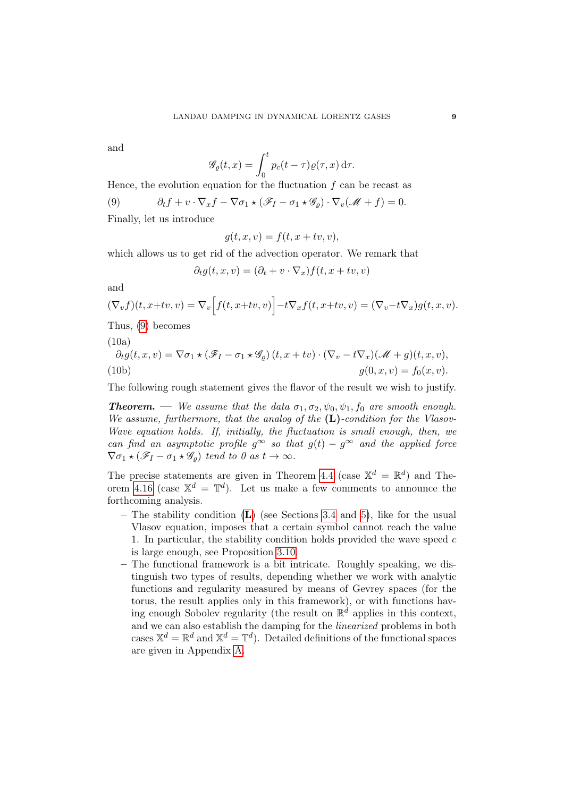and

$$
\mathscr{G}_{\varrho}(t,x) = \int_0^t p_c(t-\tau)\varrho(\tau,x) \,\mathrm{d}\tau.
$$

Hence, the evolution equation for the fluctuation  $f$  can be recast as

<span id="page-8-0"></span>(9)  $\partial_t f + v \cdot \nabla_x f - \nabla \sigma_1 \star (\mathscr{F}_I - \sigma_1 \star \mathscr{G}_o) \cdot \nabla_v (\mathscr{M} + f) = 0.$ 

Finally, let us introduce

$$
g(t, x, v) = f(t, x + tv, v),
$$

which allows us to get rid of the advection operator. We remark that

$$
\partial_t g(t, x, v) = (\partial_t + v \cdot \nabla_x) f(t, x + tv, v)
$$

and

$$
(\nabla_v f)(t, x+tv, v) = \nabla_v \Big[ f(t, x+tv, v) \Big] - t \nabla_x f(t, x+tv, v) = (\nabla_v - t \nabla_x) g(t, x, v).
$$

Thus, [\(9\)](#page-8-0) becomes

(10a)

$$
\partial_t g(t, x, v) = \nabla \sigma_1 \star (\mathscr{F}_I - \sigma_1 \star \mathscr{G}_\varrho) (t, x + tv) \cdot (\nabla_v - t \nabla_x) (\mathscr{M} + g)(t, x, v),
$$
  
(10b)  

$$
g(0, x, v) = f_0(x, v).
$$

The following rough statement gives the flavor of the result we wish to justify.

**Theorem.** — We assume that the data  $\sigma_1, \sigma_2, \psi_0, \psi_1, f_0$  are smooth enough. We assume, furthermore, that the analog of the  $(L)$ -condition for the Vlasov-Wave equation holds. If, initially, the fluctuation is small enough, then, we can find an asymptotic profile  $g^{\infty}$  so that  $g(t) - g^{\infty}$  and the applied force  $\nabla \sigma_1 \star (\mathscr{F}_I - \sigma_1 \star \mathscr{G}_o)$  tend to 0 as  $t \to \infty$ .

The precise statements are given in Theorem [4.4](#page-42-0) (case  $\mathbb{X}^d = \mathbb{R}^d$ ) and The-orem [4.16](#page-54-0) (case  $\mathbb{X}^d = \mathbb{T}^d$ ). Let us make a few comments to announce the forthcoming analysis.

- The stability condition  $(L)$  $(L)$  $(L)$  (see Sections [3.4](#page-35-0) and [5\)](#page-56-0), like for the usual Vlasov equation, imposes that a certain symbol cannot reach the value 1. In particular, the stability condition holds provided the wave speed  $c$ is large enough, see Proposition [3.10.](#page-36-1)
- The functional framework is a bit intricate. Roughly speaking, we distinguish two types of results, depending whether we work with analytic functions and regularity measured by means of Gevrey spaces (for the torus, the result applies only in this framework), or with functions having enough Sobolev regularity (the result on  $\mathbb{R}^d$  applies in this context, and we can also establish the damping for the linearized problems in both cases  $\mathbb{X}^d = \mathbb{R}^d$  and  $\mathbb{X}^d = \mathbb{T}^d$ ). Detailed definitions of the functional spaces are given in Appendix [A.](#page-65-0)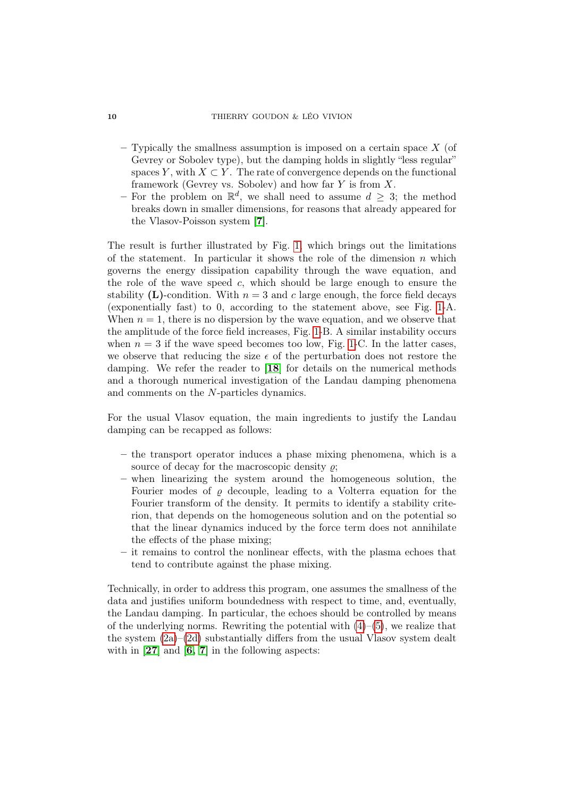#### 10 THIERRY GOUDON & LÉO VIVION

- $-$  Typically the smallness assumption is imposed on a certain space X (of Gevrey or Sobolev type), but the damping holds in slightly "less regular" spaces Y, with  $X \subset Y$ . The rate of convergence depends on the functional framework (Gevrey vs. Sobolev) and how far  $Y$  is from  $X$ .
- For the problem on  $\mathbb{R}^d$ , we shall need to assume  $d \geq 3$ ; the method breaks down in smaller dimensions, for reasons that already appeared for the Vlasov-Poisson system [[7](#page-69-3)].

The result is further illustrated by Fig. [1,](#page-10-0) which brings out the limitations of the statement. In particular it shows the role of the dimension  $n$  which governs the energy dissipation capability through the wave equation, and the role of the wave speed  $c$ , which should be large enough to ensure the stability (L)-condition. With  $n = 3$  and c large enough, the force field decays (exponentially fast) to 0, according to the statement above, see Fig. [1-](#page-10-0)A. When  $n = 1$ , there is no dispersion by the wave equation, and we observe that the amplitude of the force field increases, Fig. [1-](#page-10-0)B. A similar instability occurs when  $n = 3$  if the wave speed becomes too low, Fig. [1-](#page-10-0)C. In the latter cases, we observe that reducing the size  $\epsilon$  of the perturbation does not restore the damping. We refer the reader to [[18](#page-70-13)] for details on the numerical methods and a thorough numerical investigation of the Landau damping phenomena and comments on the N-particles dynamics.

For the usual Vlasov equation, the main ingredients to justify the Landau damping can be recapped as follows:

- the transport operator induces a phase mixing phenomena, which is a source of decay for the macroscopic density  $\rho$ ;
- when linearizing the system around the homogeneous solution, the Fourier modes of  $\rho$  decouple, leading to a Volterra equation for the Fourier transform of the density. It permits to identify a stability criterion, that depends on the homogeneous solution and on the potential so that the linear dynamics induced by the force term does not annihilate the effects of the phase mixing;
- it remains to control the nonlinear effects, with the plasma echoes that tend to contribute against the phase mixing.

Technically, in order to address this program, one assumes the smallness of the data and justifies uniform boundedness with respect to time, and, eventually, the Landau damping. In particular, the echoes should be controlled by means of the underlying norms. Rewriting the potential with  $(4)$ – $(5)$ , we realize that the system  $(2a)$ – $(2d)$  substantially differs from the usual Vlasov system dealt with in  $[27]$  $[27]$  $[27]$  and  $[6, 7]$  $[6, 7]$  $[6, 7]$  $[6, 7]$  in the following aspects: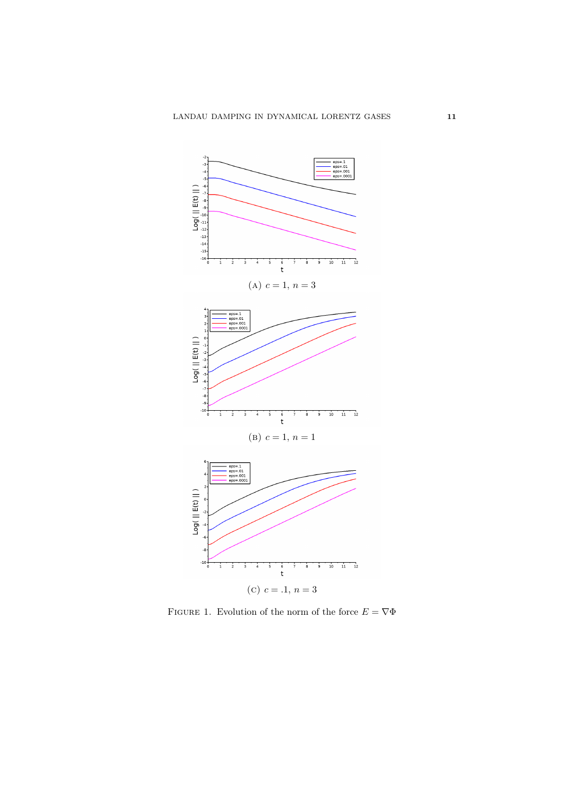<span id="page-10-0"></span>

FIGURE 1. Evolution of the norm of the force  $E = \nabla \Phi$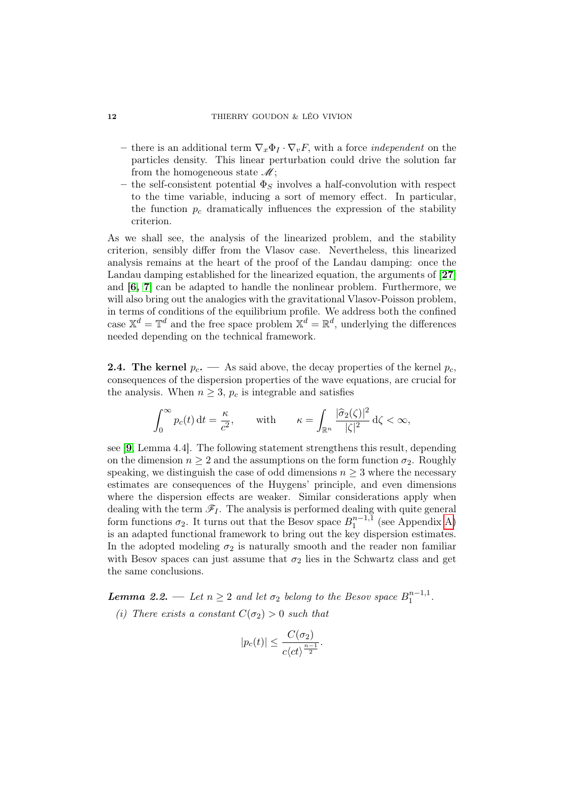- there is an additional term  $\nabla_x \Phi_I \cdot \nabla_v F$ , with a force *independent* on the particles density. This linear perturbation could drive the solution far from the homogeneous state  $\mathcal{M}$ ;
- the self-consistent potential  $\Phi_S$  involves a half-convolution with respect to the time variable, inducing a sort of memory effect. In particular, the function  $p_c$  dramatically influences the expression of the stability criterion.

As we shall see, the analysis of the linearized problem, and the stability criterion, sensibly differ from the Vlasov case. Nevertheless, this linearized analysis remains at the heart of the proof of the Landau damping: once the Landau damping established for the linearized equation, the arguments of [[27](#page-71-0)] and [[6,](#page-69-2) [7](#page-69-3)] can be adapted to handle the nonlinear problem. Furthermore, we will also bring out the analogies with the gravitational Vlasov-Poisson problem, in terms of conditions of the equilibrium profile. We address both the confined case  $\mathbb{X}^d = \mathbb{T}^d$  and the free space problem  $\mathbb{X}^d = \mathbb{R}^d$ , underlying the differences needed depending on the technical framework.

**2.4.** The kernel  $p_c$ . — As said above, the decay properties of the kernel  $p_c$ , consequences of the dispersion properties of the wave equations, are crucial for the analysis. When  $n \geq 3$ ,  $p_c$  is integrable and satisfies

$$
\int_0^\infty p_c(t) dt = \frac{\kappa}{c^2}, \quad \text{with} \quad \kappa = \int_{\mathbb{R}^n} \frac{|\hat{\sigma}_2(\zeta)|^2}{|\zeta|^2} d\zeta < \infty,
$$

see [[9](#page-69-7), Lemma 4.4]. The following statement strengthens this result, depending on the dimension  $n \geq 2$  and the assumptions on the form function  $\sigma_2$ . Roughly speaking, we distinguish the case of odd dimensions  $n \geq 3$  where the necessary estimates are consequences of the Huygens' principle, and even dimensions where the dispersion effects are weaker. Similar considerations apply when dealing with the term  $\mathscr{F}_I$ . The analysis is performed dealing with quite general form functions  $\sigma_2$ . It turns out that the Besov space  $B_1^{n-1,1}$  $_1^{n-1,1}$  (see Appendix [A\)](#page-65-0) is an adapted functional framework to bring out the key dispersion estimates. In the adopted modeling  $\sigma_2$  is naturally smooth and the reader non familiar with Besov spaces can just assume that  $\sigma_2$  lies in the Schwartz class and get the same conclusions.

<span id="page-11-0"></span>**Lemma 2.2.** — Let  $n \geq 2$  and let  $\sigma_2$  belong to the Besov space  $B_1^{n-1,1}$  $\frac{n-1,1}{1}$ . (i) There exists a constant  $C(\sigma_2) > 0$  such that

$$
|p_c(t)| \leq \frac{C(\sigma_2)}{c\langle ct\rangle^{\frac{n-1}{2}}}.
$$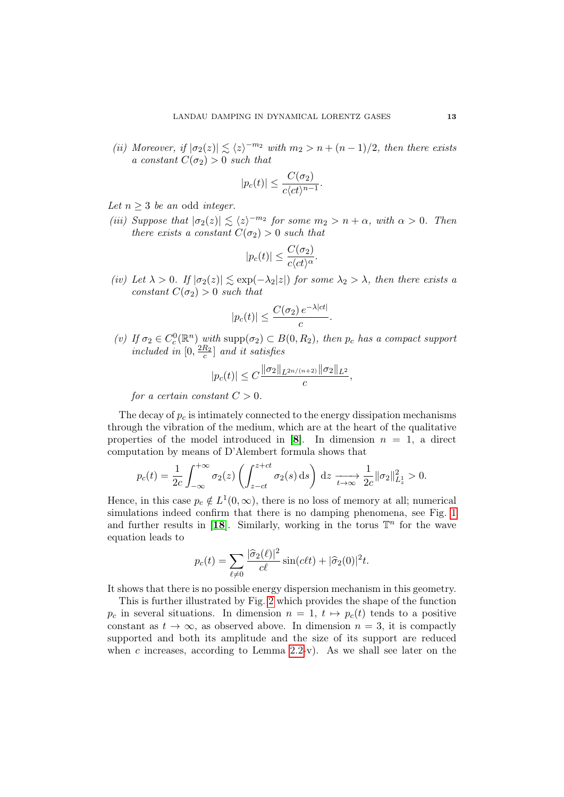(ii) Moreover, if  $|\sigma_2(z)| \lesssim \langle z \rangle^{-m_2}$  with  $m_2 > n + (n-1)/2$ , then there exists a constant  $C(\sigma_2) > 0$  such that

$$
|p_c(t)| \le \frac{C(\sigma_2)}{c\langle ct \rangle^{n-1}}.
$$

Let  $n \geq 3$  be an odd integer.

(iii) Suppose that  $|\sigma_2(z)| \lesssim \langle z \rangle^{-m_2}$  for some  $m_2 > n + \alpha$ , with  $\alpha > 0$ . Then there exists a constant  $C(\sigma_2) > 0$  such that

$$
|p_c(t)| \leq \frac{C(\sigma_2)}{c\langle ct\rangle^{\alpha}}.
$$

(iv) Let  $\lambda > 0$ . If  $|\sigma_2(z)| \lesssim \exp(-\lambda_2|z|)$  for some  $\lambda_2 > \lambda$ , then there exists a constant  $C(\sigma_2) > 0$  such that

$$
|p_c(t)| \le \frac{C(\sigma_2) e^{-\lambda|ct|}}{c}.
$$

(v) If  $\sigma_2 \in C_c^0(\mathbb{R}^n)$  with supp $(\sigma_2) \subset B(0, R_2)$ , then  $p_c$  has a compact support included in  $[0, \frac{2R_2}{c}]$  and it satisfies

$$
|p_c(t)| \le C \frac{\|\sigma_2\|_{L^{2n/(n+2)}} \|\sigma_2\|_{L^2}}{c},
$$

for a certain constant  $C > 0$ .

The decay of  $p_c$  is intimately connected to the energy dissipation mechanisms through the vibration of the medium, which are at the heart of the qualitative properties of the model introduced in [[8](#page-69-5)]. In dimension  $n = 1$ , a direct computation by means of D'Alembert formula shows that

$$
p_c(t) = \frac{1}{2c} \int_{-\infty}^{+\infty} \sigma_2(z) \left( \int_{z-ct}^{z+ct} \sigma_2(s) \, ds \right) \, dz \xrightarrow[t \to \infty]{} \frac{1}{2c} ||\sigma_2||_{L_z^1}^2 > 0.
$$

Hence, in this case  $p_c \notin L^1(0, \infty)$ , there is no loss of memory at all; numerical simulations indeed confirm that there is no damping phenomena, see Fig. [1](#page-10-0) and further results in [[18](#page-70-13)]. Similarly, working in the torus  $\mathbb{T}^n$  for the wave equation leads to

$$
p_c(t) = \sum_{\ell \neq 0} \frac{|\hat{\sigma}_2(\ell)|^2}{c\ell} \sin(c\ell t) + |\hat{\sigma}_2(0)|^2 t.
$$

It shows that there is no possible energy dispersion mechanism in this geometry.

This is further illustrated by Fig. [2](#page-13-0) which provides the shape of the function  $p_c$  in several situations. In dimension  $n = 1, t \mapsto p_c(t)$  tends to a positive constant as  $t \to \infty$ , as observed above. In dimension  $n = 3$ , it is compactly supported and both its amplitude and the size of its support are reduced when c increases, according to Lemma  $2.2-v$ . As we shall see later on the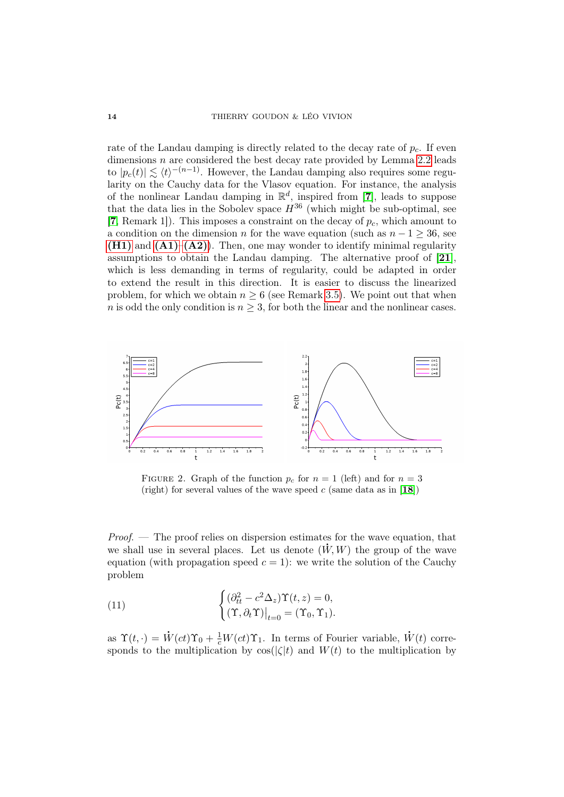rate of the Landau damping is directly related to the decay rate of  $p_c$ . If even dimensions  $n$  are considered the best decay rate provided by Lemma [2.2](#page-11-0) leads to  $|p_c(t)| \lesssim \langle t \rangle^{-(n-1)}$ . However, the Landau damping also requires some regularity on the Cauchy data for the Vlasov equation. For instance, the analysis of the nonlinear Landau damping in  $\mathbb{R}^d$ , inspired from [[7](#page-69-3)], leads to suppose that the data lies in the Sobolev space  $H^{36}$  (which might be sub-optimal, see [[7](#page-69-3), Remark 1]). This imposes a constraint on the decay of  $p_c$ , which amount to a condition on the dimension n for the wave equation (such as  $n - 1 \geq 36$ , see  $(H1)$  and  $(A1)–(A2)$  $(A1)–(A2)$  $(A1)–(A2)$ . Then, one may wonder to identify minimal regularity assumptions to obtain the Landau damping. The alternative proof of [[21](#page-70-3)], which is less demanding in terms of regularity, could be adapted in order to extend the result in this direction. It is easier to discuss the linearized problem, for which we obtain  $n \geq 6$  (see Remark [3.5\)](#page-26-0). We point out that when n is odd the only condition is  $n \geq 3$ , for both the linear and the nonlinear cases.

<span id="page-13-0"></span>

FIGURE 2. Graph of the function  $p_c$  for  $n = 1$  (left) and for  $n = 3$ (right) for several values of the wave speed  $c$  (same data as in [[18](#page-70-13)])

Proof. — The proof relies on dispersion estimates for the wave equation, that we shall use in several places. Let us denote  $(W, W)$  the group of the wave equation (with propagation speed  $c = 1$ ): we write the solution of the Cauchy problem

(11) 
$$
\begin{cases} (\partial_{tt}^2 - c^2 \Delta_z) \Upsilon(t, z) = 0, \\ (\Upsilon, \partial_t \Upsilon)|_{t=0} = (\Upsilon_0, \Upsilon_1). \end{cases}
$$

as  $\Upsilon(t, \cdot) =$ .  $\dot{W}(ct)\Upsilon_0 + \frac{1}{c}W(ct)\Upsilon_1$ . In terms of Fourier variable, .  $W(t)$  corresponds to the multiplication by  $\cos(|\zeta|t)$  and  $W(t)$  to the multiplication by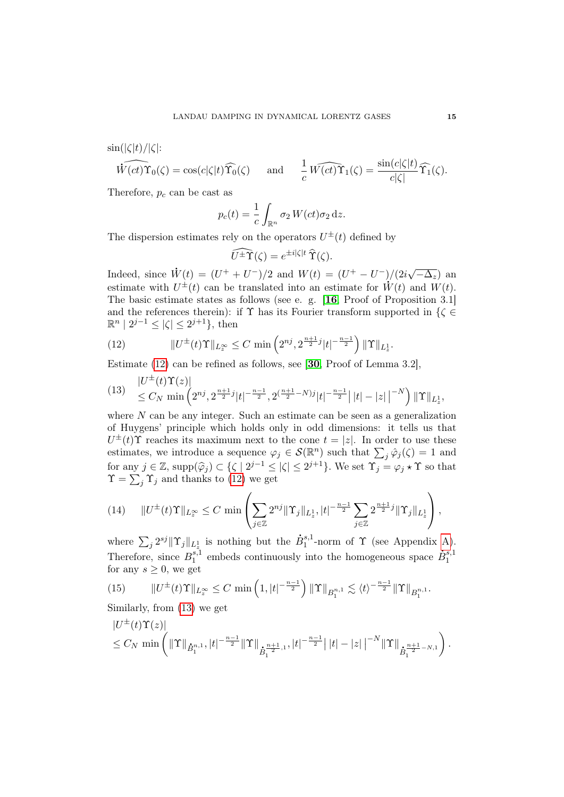$\sin(|\zeta|t)/|\zeta|$ :

$$
\widehat{W(ct)}\Upsilon_0(\zeta)=\cos(c|\zeta|t)\widehat{\Upsilon_0}(\zeta)\quad \ \ \mathrm{and}\quad \ \ \frac{1}{c}\widehat{W(ct)}\Upsilon_1(\zeta)=\frac{\sin(c|\zeta|t)}{c|\zeta|}\widehat{\Upsilon_1}(\zeta).
$$

Therefore,  $p_c$  can be cast as

$$
p_c(t) = \frac{1}{c} \int_{\mathbb{R}^n} \sigma_2 W(ct) \sigma_2 dz.
$$

The dispersion estimates rely on the operators  $U^{\pm}(t)$  defined by

$$
\widehat{U^{\pm}\Upsilon}(\zeta) = e^{\pm i|\zeta|t} \,\widehat{\Upsilon}(\zeta).
$$

Indeed, since .  $\dot{W}(t) = (U^+ + U^-)/2$  and  $W(t) = (U^+ - U^-)/(2i\sqrt{t})$ )/(2*i*√− $\overline{\Delta_z}$ ) an estimate with  $U^{\pm}(t)$  can be translated into an estimate for  $\dot{W}(t)$  and  $W(t)$ . The basic estimate states as follows (see e. g. [[16](#page-70-14), Proof of Proposition 3.1] and the references therein): if  $\Upsilon$  has its Fourier transform supported in  $\{\zeta \in$  $\mathbb{R}^n \mid 2^{j-1} \leq |\zeta| \leq 2^{j+1}$ , then

<span id="page-14-0"></span>(12) 
$$
||U^{\pm}(t)\Upsilon||_{L_z^{\infty}} \leq C \min\left(2^{nj}, 2^{\frac{n+1}{2}j}|t|^{-\frac{n-1}{2}}\right) ||\Upsilon||_{L_z^1}.
$$

Estimate [\(12\)](#page-14-0) can be refined as follows, see [[30](#page-71-6), Proof of Lemma 3.2],

<span id="page-14-1"></span>
$$
(13) \quad \begin{array}{l} |U^{\pm}(t)\Upsilon(z)| \\ \leq C_N \min\left(2^{nj}, 2^{\frac{n+1}{2}j}|t|^{-\frac{n-1}{2}}, 2^{(\frac{n+1}{2}-N)j}|t|^{-\frac{n-1}{2}}\left||t|-|z|\,\right|^{-N}\right) \|\Upsilon\|_{L_z^1}, \end{array}
$$

where  $N$  can be any integer. Such an estimate can be seen as a generalization of Huygens' principle which holds only in odd dimensions: it tells us that  $U^{\pm}(t)$  reaches its maximum next to the cone  $t = |z|$ . In order to use these estimates, we introduce a sequence  $\varphi_j \in \mathcal{S}(\mathbb{R}^n)$  such that  $\sum_j \hat{\varphi}_j(\zeta) = 1$  and for any  $j \in \mathbb{Z}$ , supp $(\widehat{\varphi}_j) \subset \{\zeta \mid 2^{j-1} \leq |\zeta| \leq 2^{j+1}\}$ . We set  $\Upsilon_j = \varphi_j \star \Upsilon$  so that  $\Upsilon = \sum_{j=1}^{\infty} \Upsilon_j$  and thanks to (12) we get  $\Upsilon = \sum_j \Upsilon_j$  and thanks to [\(12\)](#page-14-0) we get

$$
(14) \qquad \|U^{\pm}(t)\Upsilon\|_{L_{z}^{\infty}} \leq C \min\left(\sum_{j\in\mathbb{Z}} 2^{nj} \|\Upsilon_{j}\|_{L_{z}^{1}}, |t|^{-\frac{n-1}{2}} \sum_{j\in\mathbb{Z}} 2^{\frac{n+1}{2}j} \|\Upsilon_{j}\|_{L_{z}^{1}}\right),
$$

where  $\sum_j 2^{sj} {\parallel \Upsilon_j \parallel_{L_z^1}}$  is nothing but the z  $\dot{B}^{s,1}_1$  $1^{s,1}$ -norm of  $\Upsilon$  (see Appendix [A\)](#page-65-0). Therefore, since  $B_1^{s,1}$  $_1^{s,1}$  embeds continuously into the homogeneous space .  $\dot{B}^{s,1}_1$ 1 for any  $s \geq 0$ , we get

<span id="page-14-2"></span>(15) 
$$
||U^{\pm}(t)\Upsilon||_{L_z^{\infty}} \leq C \min\left(1, |t|^{-\frac{n-1}{2}}\right) ||\Upsilon||_{B_1^{n,1}} \lesssim \langle t \rangle^{-\frac{n-1}{2}} ||\Upsilon||_{B_1^{n,1}}.
$$

Similarly, from [\(13\)](#page-14-1) we get

$$
|U^{\pm}(t)\Upsilon(z)|\n\leq C_N \min\left(\|\Upsilon\|_{\dot{B}_1^{n,1}},|t|^{-\frac{n-1}{2}}\|\Upsilon\|_{\dot{B}_1^{\frac{n+1}{2},1}},|t|^{-\frac{n-1}{2}}\| |t|-|z|\left|^{-N}\|\Upsilon\|_{\dot{B}_1^{\frac{n+1}{2}-N,1}}\right).
$$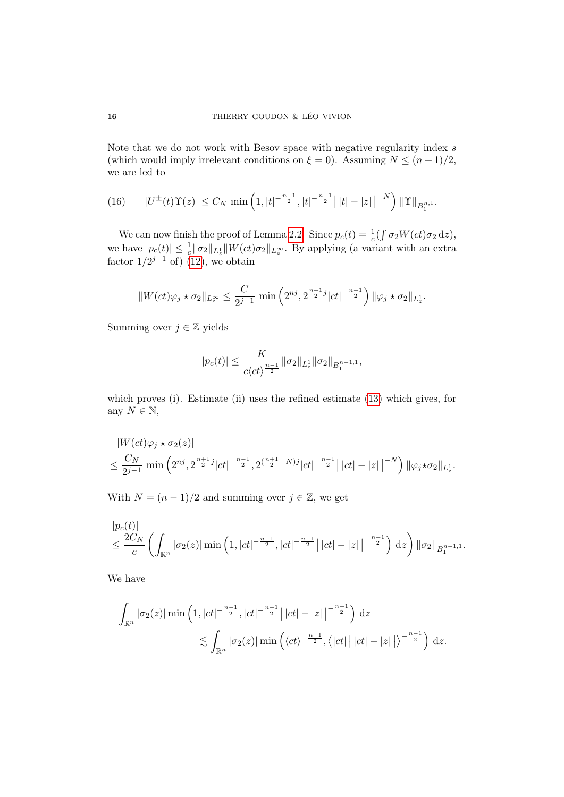Note that we do not work with Besov space with negative regularity index  $s$ (which would imply irrelevant conditions on  $\xi = 0$ ). Assuming  $N \leq (n+1)/2$ , we are led to

<span id="page-15-0"></span>(16) 
$$
|U^{\pm}(t)\Upsilon(z)| \leq C_N \min\left(1, |t|^{-\frac{n-1}{2}}, |t|^{-\frac{n-1}{2}}\right| |t| - |z| \big|^{-N}\right) \|\Upsilon\|_{B_1^{n,1}}.
$$

We can now finish the proof of Lemma [2.2.](#page-11-0) Since  $p_c(t) = \frac{1}{c} \left( \int \sigma_2 W(ct) \sigma_2 \, \mathrm{d}z \right)$ , we have  $|p_c(t)| \leq \frac{1}{c} ||\sigma_2||_{L_z^1} ||W(ct)\sigma_2||_{L_z^{\infty}}$ . By applying (a variant with an extra factor  $1/2^{j-1}$  of) [\(12\)](#page-14-0), we obtain

$$
||W(ct)\varphi_j \star \sigma_2||_{L_z^{\infty}} \le \frac{C}{2^{j-1}} \min\left(2^{nj}, 2^{\frac{n+1}{2}j}|ct|^{-\frac{n-1}{2}}\right) ||\varphi_j \star \sigma_2||_{L_z^1}.
$$

Summing over  $j \in \mathbb{Z}$  yields

$$
|p_c(t)|\leq \frac{K}{c\langle ct\rangle^{\frac{n-1}{2}}}\|\sigma_2\|_{L_x^1}\|\sigma_2\|_{B^{n-1,1}_1},
$$

which proves (i). Estimate (ii) uses the refined estimate [\(13\)](#page-14-1) which gives, for any  $N \in \mathbb{N}$ ,

$$
|W(ct)\varphi_j \star \sigma_2(z)|
$$
  

$$
\leq \frac{C_N}{2^{j-1}} \min \left(2^{nj}, 2^{\frac{n+1}{2}j} |ct|^{-\frac{n-1}{2}}, 2^{(\frac{n+1}{2}-N)j} |ct|^{-\frac{n-1}{2}} \left| |ct| - |z| \right|^{-N} \right) \|\varphi_j \star \sigma_2\|_{L_z^1}.
$$

With  $N = (n-1)/2$  and summing over  $j \in \mathbb{Z}$ , we get

$$
\frac{|p_c(t)|}{c} \leq \frac{2C_N}{c} \left( \int_{\mathbb{R}^n} |\sigma_2(z)| \min\left(1, |ct|^{-\frac{n-1}{2}}, |ct|^{-\frac{n-1}{2}} \right) |ct| - |z| \left|^{-\frac{n-1}{2}} \right) dz \right) \|\sigma_2\|_{B_1^{n-1,1}}.
$$

We have

$$
\int_{\mathbb{R}^n} |\sigma_2(z)| \min\left(1, |ct|^{-\frac{n-1}{2}}, |ct|^{-\frac{n-1}{2}}| |ct| - |z| \, \middle|^{-\frac{n-1}{2}}\right) \, \mathrm{d}z
$$
\n
$$
\lesssim \int_{\mathbb{R}^n} |\sigma_2(z)| \min\left(\langle ct \rangle^{-\frac{n-1}{2}}, \langle |ct| \, \big| \, |ct| - |z| \, \big| \right)^{-\frac{n-1}{2}}\right) \, \mathrm{d}z.
$$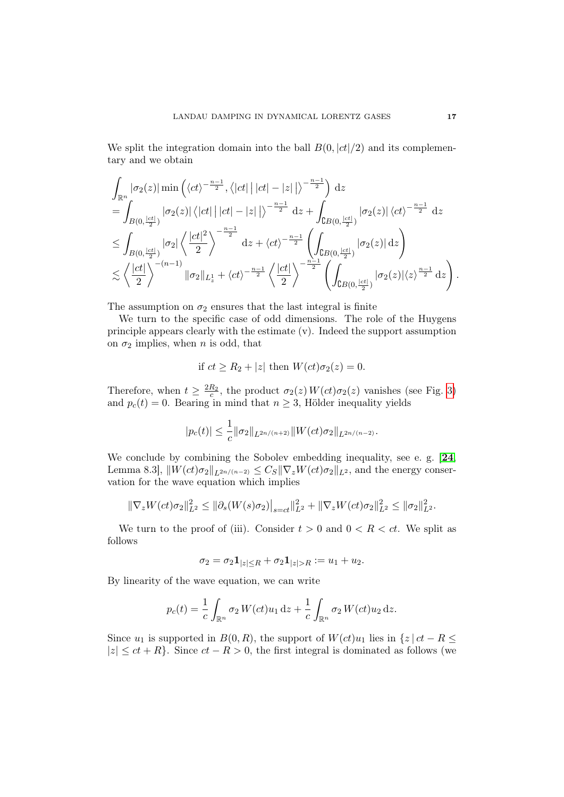We split the integration domain into the ball  $B(0, |ct|/2)$  and its complementary and we obtain

$$
\int_{\mathbb{R}^n} |\sigma_2(z)| \min\left(\langle ct \rangle^{-\frac{n-1}{2}}, \langle |ct| \, | \, |ct| - |z| \, | \rangle^{-\frac{n-1}{2}}\right) dz
$$
\n
$$
= \int_{B(0,\frac{|ct|}{2})} |\sigma_2(z)| \, \langle |ct| \, | \, |ct| - |z| \, | \rangle^{-\frac{n-1}{2}} dz + \int_{\mathbb{C}B(0,\frac{|ct|}{2})} |\sigma_2(z)| \, \langle ct \rangle^{-\frac{n-1}{2}} dz
$$
\n
$$
\leq \int_{B(0,\frac{|ct|}{2})} |\sigma_2| \, \langle \frac{|ct|^2}{2} \rangle^{-\frac{n-1}{2}} dz + \langle ct \rangle^{-\frac{n-1}{2}} \left( \int_{\mathbb{C}B(0,\frac{|ct|}{2})} |\sigma_2(z)| dz \right)
$$
\n
$$
\lesssim \left\langle \frac{|ct|}{2} \right\rangle^{-(n-1)} \|\sigma_2\|_{L_x^1} + \langle ct \rangle^{-\frac{n-1}{2}} \left\langle \frac{|ct|}{2} \right\rangle^{-\frac{n-1}{2}} \left( \int_{\mathbb{C}B(0,\frac{|ct|}{2})} |\sigma_2(z)| \langle z \rangle^{\frac{n-1}{2}} dz \right).
$$

The assumption on  $\sigma_2$  ensures that the last integral is finite

We turn to the specific case of odd dimensions. The role of the Huygens principle appears clearly with the estimate (v). Indeed the support assumption on  $\sigma_2$  implies, when *n* is odd, that

if 
$$
ct \ge R_2 + |z|
$$
 then  $W(ct)\sigma_2(z) = 0$ .

Therefore, when  $t \geq \frac{2R_2}{c}$ , the product  $\sigma_2(z) W(ct) \sigma_2(z)$  vanishes (see Fig. [3\)](#page-17-0) and  $p_c(t) = 0$ . Bearing in mind that  $n \geq 3$ , Hölder inequality yields

$$
|p_c(t)| \leq \frac{1}{c} \|\sigma_2\|_{L^{2n/(n+2)}} \|W(ct)\sigma_2\|_{L^{2n/(n-2)}}.
$$

We conclude by combining the Sobolev embedding inequality, see e. g. [[24](#page-70-15), Lemma 8.3,  $\|W(ct)\sigma_2\|_{L^{2n/(n-2)}} \leq C_S \|\nabla_z W(ct)\sigma_2\|_{L^2}$ , and the energy conservation for the wave equation which implies

$$
\|\nabla_z W(ct)\sigma_2\|_{L^2}^2 \le \|\partial_s(W(s)\sigma_2)\|_{s=ct}\|_{L^2}^2 + \|\nabla_z W(ct)\sigma_2\|_{L^2}^2 \le \|\sigma_2\|_{L^2}^2.
$$

We turn to the proof of (iii). Consider  $t > 0$  and  $0 < R < ct$ . We split as follows

$$
\sigma_2 = \sigma_2 \mathbf{1}_{|z| \le R} + \sigma_2 \mathbf{1}_{|z| > R} := u_1 + u_2.
$$

By linearity of the wave equation, we can write

$$
p_c(t) = \frac{1}{c} \int_{\mathbb{R}^n} \sigma_2 W(ct) u_1 \, \mathrm{d}z + \frac{1}{c} \int_{\mathbb{R}^n} \sigma_2 W(ct) u_2 \, \mathrm{d}z.
$$

Since  $u_1$  is supported in  $B(0, R)$ , the support of  $W(ct)u_1$  lies in  $\{z \mid ct - R \leq \}$  $|z| \le ct + R$ . Since  $ct - R > 0$ , the first integral is dominated as follows (we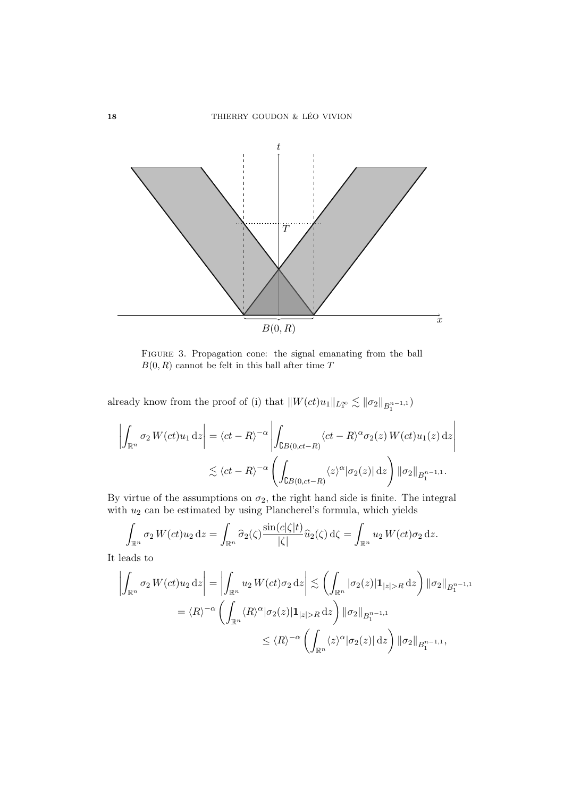<span id="page-17-0"></span>

FIGURE 3. Propagation cone: the signal emanating from the ball  $B(0, R)$  cannot be felt in this ball after time T

already know from the proof of (i) that  $||W(ct)u_1||_{L_z^{\infty}} \lesssim ||\sigma_2||_{B_1^{n-1,1}}$ 

$$
\left| \int_{\mathbb{R}^n} \sigma_2 W(ct) u_1 \, dz \right| = \langle ct - R \rangle^{-\alpha} \left| \int_{\mathbb{C}B(0, ct - R)} \langle ct - R \rangle^{\alpha} \sigma_2(z) W(ct) u_1(z) \, dz \right|
$$
  
 
$$
\lesssim \langle ct - R \rangle^{-\alpha} \left( \int_{\mathbb{C}B(0, ct - R)} \langle z \rangle^{\alpha} |\sigma_2(z)| \, dz \right) ||\sigma_2||_{B_1^{n-1, 1}}.
$$

By virtue of the assumptions on  $\sigma_2$ , the right hand side is finite. The integral with  $u_2$  can be estimated by using Plancherel's formula, which yields

$$
\int_{\mathbb{R}^n} \sigma_2 W(ct) u_2 \, dz = \int_{\mathbb{R}^n} \widehat{\sigma}_2(\zeta) \frac{\sin(c|\zeta|t)}{|\zeta|} \widehat{u}_2(\zeta) \, d\zeta = \int_{\mathbb{R}^n} u_2 W(ct) \sigma_2 \, dz.
$$

It leads to

$$
\left| \int_{\mathbb{R}^n} \sigma_2 W(ct) u_2 \, dz \right| = \left| \int_{\mathbb{R}^n} u_2 W(ct) \sigma_2 \, dz \right| \lesssim \left( \int_{\mathbb{R}^n} |\sigma_2(z)| \mathbf{1}_{|z| > R} \, dz \right) \|\sigma_2\|_{B_1^{n-1,1}} \n= \langle R \rangle^{-\alpha} \left( \int_{\mathbb{R}^n} \langle R \rangle^{\alpha} |\sigma_2(z)| \mathbf{1}_{|z| > R} \, dz \right) \|\sigma_2\|_{B_1^{n-1,1}} \n\leq \langle R \rangle^{-\alpha} \left( \int_{\mathbb{R}^n} \langle z \rangle^{\alpha} |\sigma_2(z)| \, dz \right) \|\sigma_2\|_{B_1^{n-1,1}},
$$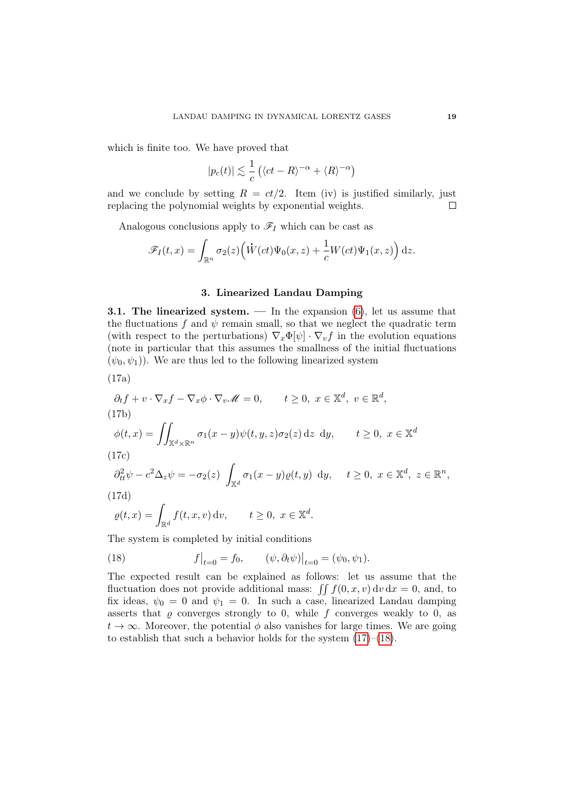which is finite too. We have proved that

$$
|p_c(t)| \lesssim \frac{1}{c} \left( \langle ct - R \rangle^{-\alpha} + \langle R \rangle^{-\alpha} \right)
$$

and we conclude by setting  $R = ct/2$ . Item (iv) is justified similarly, just replacing the polynomial weights by exponential weights.  $\Box$ 

Analogous conclusions apply to  $\mathscr{F}_I$  which can be cast as

$$
\mathscr{F}_I(t,x) = \int_{\mathbb{R}^n} \sigma_2(z) \Big( \dot{W}(ct) \Psi_0(x,z) + \frac{1}{c} W(ct) \Psi_1(x,z) \Big) dz.
$$

## 3. Linearized Landau Damping

<span id="page-18-0"></span>**3.1. The linearized system.** — In the expansion  $(6)$ , let us assume that the fluctuations f and  $\psi$  remain small, so that we neglect the quadratic term (with respect to the perturbations)  $\nabla_x \Phi[\psi] \cdot \nabla_v f$  in the evolution equations (note in particular that this assumes the smallness of the initial fluctuations  $(\psi_0, \psi_1)$ . We are thus led to the following linearized system

<span id="page-18-3"></span>
$$
(17a)
$$

$$
\partial_t f + v \cdot \nabla_x f - \nabla_x \phi \cdot \nabla_v \mathscr{M} = 0, \qquad t \ge 0, \ x \in \mathbb{X}^d, \ v \in \mathbb{R}^d,
$$
  
(17b)  

$$
\phi(t, x) = \iint_{\mathbb{X}^d \times \mathbb{R}^n} \sigma_1(x - y) \psi(t, y, z) \sigma_2(z) dz dy, \qquad t \ge 0, \ x \in \mathbb{X}^d
$$
  
(17c)  

$$
\partial_{tt}^2 \psi - c^2 \Delta_z \psi = -\sigma_2(z) \int_{\mathbb{X}^d} \sigma_1(x - y) \varrho(t, y) dy, \qquad t \ge 0, \ x \in \mathbb{X}^d, \ z \in \mathbb{R}^n
$$
  
(17d)

$$
\varrho(t,x) = \int_{\mathbb{R}^d} f(t,x,v) \, dv, \qquad t \ge 0, \ x \in \mathbb{X}^d
$$

The system is completed by initial conditions

<span id="page-18-2"></span>(18) 
$$
f\big|_{t=0} = f_0, \qquad (\psi, \partial_t \psi)\big|_{t=0} = (\psi_0, \psi_1).
$$

The expected result can be explained as follows: let us assume that the fluctuation does not provide additional mass:  $\iint f(0, x, v) dv dx = 0$ , and, to fix ideas,  $\psi_0 = 0$  and  $\psi_1 = 0$ . In such a case, linearized Landau damping asserts that  $\varrho$  converges strongly to 0, while f converges weakly to 0, as  $t \to \infty$ . Moreover, the potential  $\phi$  also vanishes for large times. We are going to establish that such a behavior holds for the system  $(17)–(18)$  $(17)–(18)$  $(17)–(18)$ .

.

<span id="page-18-1"></span>,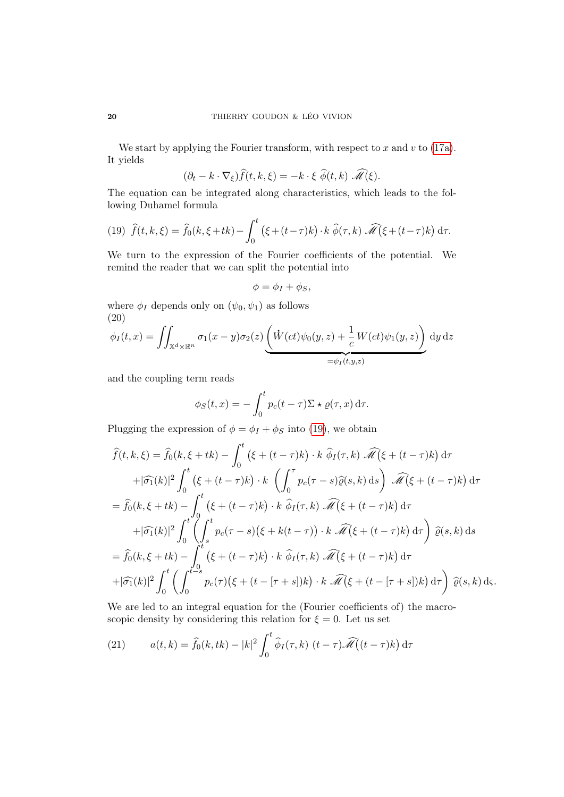We start by applying the Fourier transform, with respect to  $x$  and  $v$  to [\(17a\)](#page-18-3). It yields

$$
(\partial_t - k \cdot \nabla_{\xi}) \widehat{f}(t, k, \xi) = -k \cdot \xi \widehat{\phi}(t, k) \widehat{\mathscr{M}}(\xi).
$$

The equation can be integrated along characteristics, which leads to the following Duhamel formula

<span id="page-19-0"></span>(19) 
$$
\widehat{f}(t,k,\xi) = \widehat{f}_0(k,\xi+tk) - \int_0^t (\xi+(t-\tau)k) \cdot k \widehat{\phi}(\tau,k) \widehat{\mathcal{M}}(\xi+(t-\tau)k) d\tau.
$$

We turn to the expression of the Fourier coefficients of the potential. We remind the reader that we can split the potential into

$$
\phi = \phi_I + \phi_S,
$$

where  $\phi_I$  depends only on  $(\psi_0, \psi_1)$  as follows (20)

<span id="page-19-2"></span>
$$
\phi_I(t,x) = \iint_{\mathbb{X}^d \times \mathbb{R}^n} \sigma_1(x-y)\sigma_2(z) \underbrace{\left(\dot{W}(ct)\psi_0(y,z) + \frac{1}{c}W(ct)\psi_1(y,z)\right)}_{= \psi_I(t,y,z)} dy dz
$$

and the coupling term reads

$$
\phi_S(t,x) = -\int_0^t p_c(t-\tau) \Sigma \star \varrho(\tau,x) \,d\tau.
$$

Plugging the expression of  $\phi = \phi_I + \phi_S$  into [\(19\)](#page-19-0), we obtain

$$
\widehat{f}(t,k,\xi) = \widehat{f}_0(k,\xi+tk) - \int_0^t (\xi+(t-\tau)k) \cdot k \widehat{\phi}_I(\tau,k) \widehat{\mathcal{M}}(\xi+(t-\tau)k) d\tau \n+|\widehat{\sigma}_1(k)|^2 \int_0^t (\xi+(t-\tau)k) \cdot k \left( \int_0^{\tau} p_c(\tau-s) \widehat{\varrho}(s,k) ds \right) \widehat{\mathcal{M}}(\xi+(t-\tau)k) d\tau \n= \widehat{f}_0(k,\xi+tk) - \int_0^t (\xi+(t-\tau)k) \cdot k \widehat{\phi}_I(\tau,k) \widehat{\mathcal{M}}(\xi+(t-\tau)k) d\tau \n+|\widehat{\sigma}_1(k)|^2 \int_0^t (\int_s^t p_c(\tau-s) (\xi+k(t-\tau)) \cdot k \widehat{\mathcal{M}}(\xi+(t-\tau)k) d\tau) \widehat{\varrho}(s,k) ds \n= \widehat{f}_0(k,\xi+tk) - \int_0^t (\xi+(t-\tau)k) \cdot k \widehat{\phi}_I(\tau,k) \widehat{\mathcal{M}}(\xi+(t-\tau)k) d\tau \n+|\widehat{\sigma}_1(k)|^2 \int_0^t (\int_0^{t-s} p_c(\tau) (\xi+(t-[\tau+s])k) \cdot k \widehat{\mathcal{M}}(\xi+(t-[\tau+s])k) d\tau) \widehat{\varrho}(s,k) d\varsigma.
$$

We are led to an integral equation for the (Fourier coefficients of) the macroscopic density by considering this relation for  $\xi = 0$ . Let us set

<span id="page-19-1"></span>(21) 
$$
a(t,k) = \hat{f}_0(k,tk) - |k|^2 \int_0^t \hat{\phi}_I(\tau,k) \ (t-\tau) \widehat{\mathscr{M}}(t-\tau) k \ d\tau
$$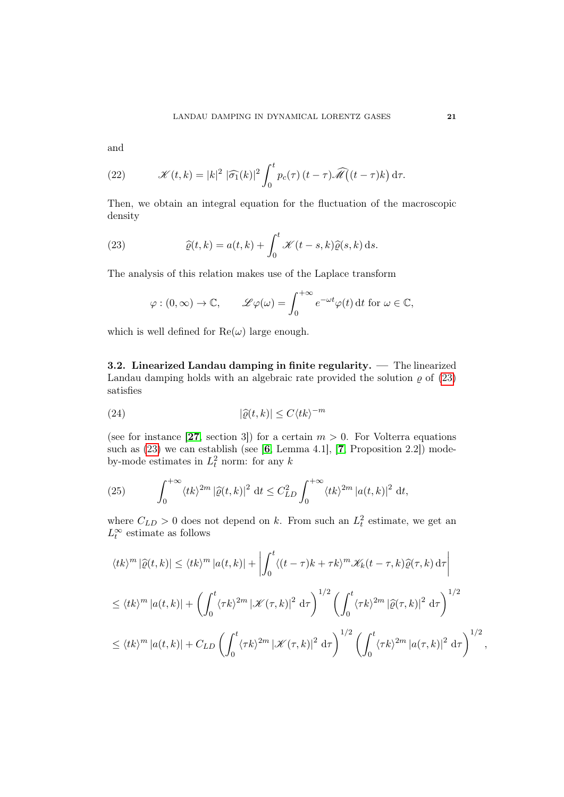and

<span id="page-20-3"></span>(22) 
$$
\mathscr{K}(t,k) = |k|^2 |\widehat{\sigma_1}(k)|^2 \int_0^t p_c(\tau) (t-\tau) \widehat{\mathscr{M}}(t-\tau) k) d\tau.
$$

Then, we obtain an integral equation for the fluctuation of the macroscopic density

(23) 
$$
\widehat{\varrho}(t,k) = a(t,k) + \int_0^t \mathcal{K}(t-s,k)\widehat{\varrho}(s,k) \,ds.
$$

The analysis of this relation makes use of the Laplace transform

<span id="page-20-0"></span>
$$
\varphi : (0, \infty) \to \mathbb{C}, \qquad \mathscr{L}\varphi(\omega) = \int_0^{+\infty} e^{-\omega t} \varphi(t) dt \text{ for } \omega \in \mathbb{C},
$$

which is well defined for  $\text{Re}(\omega)$  large enough.

3.2. Linearized Landau damping in finite regularity. — The linearized Landau damping holds with an algebraic rate provided the solution  $\rho$  of [\(23\)](#page-20-0) satisfies

<span id="page-20-2"></span>(24) 
$$
|\widehat{\varrho}(t,k)| \le C \langle tk \rangle^{-m}
$$

(see for instance [[27](#page-71-0), section 3]) for a certain  $m > 0$ . For Volterra equations such as  $(23)$  we can establish (see [[6](#page-69-2), Lemma 4.1], [[7](#page-69-3), Proposition 2.2]) modeby-mode estimates in  $L_t^2$  norm: for any k

<span id="page-20-1"></span>(25) 
$$
\int_0^{+\infty} \langle tk \rangle^{2m} |\widehat{\varrho}(t,k)|^2 dt \leq C_{LD}^2 \int_0^{+\infty} \langle tk \rangle^{2m} |a(t,k)|^2 dt,
$$

where  $C_{LD} > 0$  does not depend on k. From such an  $L_t^2$  estimate, we get an  $L_t^{\infty}$  estimate as follows

$$
\langle tk \rangle^m |\hat{\varrho}(t,k)| \le \langle tk \rangle^m |a(t,k)| + \left| \int_0^t \langle (t-\tau)k + \tau k \rangle^m \mathcal{K}_k(t-\tau,k) \hat{\varrho}(\tau,k) d\tau \right|
$$
  

$$
\le \langle tk \rangle^m |a(t,k)| + \left( \int_0^t \langle \tau k \rangle^{2m} |\mathcal{K}(\tau,k)|^2 d\tau \right)^{1/2} \left( \int_0^t \langle \tau k \rangle^{2m} |\hat{\varrho}(\tau,k)|^2 d\tau \right)^{1/2}
$$
  

$$
\le \langle tk \rangle^m |a(t,k)| + C_{LD} \left( \int_0^t \langle \tau k \rangle^{2m} |\mathcal{K}(\tau,k)|^2 d\tau \right)^{1/2} \left( \int_0^t \langle \tau k \rangle^{2m} |a(\tau,k)|^2 d\tau \right)^{1/2},
$$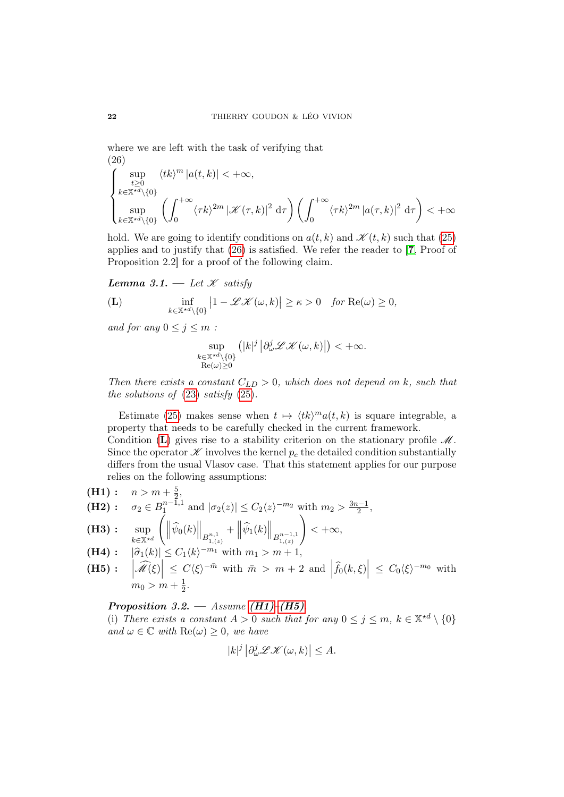where we are left with the task of verifying that (26)

<span id="page-21-2"></span>
$$
\begin{cases} \displaystyle \sup_{\substack{t \geq 0 \\ k \in \mathbb{X}^{\star d} \backslash \{0\}}} \langle tk \rangle^m |a(t,k)| < +\infty, \\ \sup_{k \in \mathbb{X}^{\star d} \backslash \{0\}} \left( \int_0^{+\infty} \langle \tau k \rangle^{2m} \left| \mathcal{K}(\tau, k) \right|^2 \, \mathrm{d}\tau \right) \left( \int_0^{+\infty} \langle \tau k \rangle^{2m} \left| a(\tau, k) \right|^2 \, \mathrm{d}\tau \right) < +\infty \end{cases}
$$

hold. We are going to identify conditions on  $a(t, k)$  and  $\mathscr{K}(t, k)$  such that [\(25\)](#page-20-1) applies and to justify that [\(26\)](#page-21-2) is satisfied. We refer the reader to [[7](#page-69-3), Proof of Proposition 2.2] for a proof of the following claim.

<span id="page-21-8"></span>Lemma 3.1.  $-\text{Let } K$  satisfy

<span id="page-21-0"></span>
$$
\textbf{(L)} \qquad \qquad \inf_{k \in \mathbb{X}^{*d} \setminus \{0\}} \left| 1 - \mathcal{L}\mathcal{K}(\omega, k) \right| \ge \kappa > 0 \quad \text{for } \text{Re}(\omega) \ge 0,
$$

and for any  $0 \leq j \leq m$ :

$$
\sup_{\substack{k\in\mathbb{X}^{\star d}\backslash\{0\}\\ \mathrm{Re}(\omega)\geq 0}}\left(|k|^{j}\left|\partial_{\omega}^{j}\mathscr{L}\mathscr{K}(\omega,k)\right|\right)<+\infty.
$$

Then there exists a constant  $C_{LD} > 0$ , which does not depend on k, such that the solutions of  $(23)$  satisfy  $(25)$ .

Estimate [\(25\)](#page-20-1) makes sense when  $t \mapsto \langle tk \rangle^m a(t, k)$  is square integrable, a property that needs to be carefully checked in the current framework.

Condition ([L](#page-21-0)) gives rise to a stability criterion on the stationary profile  $\mathcal{M}$ . Since the operator  $\mathscr K$  involves the kernel  $p_c$  the detailed condition substantially differs from the usual Vlasov case. That this statement applies for our purpose relies on the following assumptions:

<span id="page-21-7"></span><span id="page-21-6"></span><span id="page-21-1"></span>(H1): 
$$
n > m + \frac{5}{2}
$$
,  
\n(H2):  $\sigma_2 \in B_1^{n-1,1}$  and  $|\sigma_2(z)| \le C_2 \langle z \rangle^{-m_2}$  with  $m_2 > \frac{3n-1}{2}$ ,  
\n(H3):  $\sup_{k \in \mathbb{X}^{*d}} \left( \left\| \hat{\psi}_0(k) \right\|_{B_{1,(z)}^{n,1}} + \left\| \hat{\psi}_1(k) \right\|_{B_{1,(z)}^{n-1,1}} \right) < +\infty$ ,  
\n(H4):  $|\hat{\sigma}_1(k)| \le C_1 \langle k \rangle^{-m_1}$  with  $m_1 > m + 1$ ,

<span id="page-21-4"></span><span id="page-21-3"></span>**(H5):** 
$$
|\widehat{\mathcal{M}}(\xi)| \leq C \langle \xi \rangle^{-\bar{m}}
$$
 with  $\bar{m} > m + 2$  and  $|\widehat{f}_0(k,\xi)| \leq C_0 \langle \xi \rangle^{-m_0}$  with  $m_0 > m + \frac{1}{2}$ .

<span id="page-21-5"></span>Proposition 3.2. — Assume  $(H1)$ – $(H5)$ .

(i) There exists a constant  $A > 0$  such that for any  $0 \le j \le m$ ,  $k \in \mathbb{X}^{*d} \setminus \{0\}$ and  $\omega \in \mathbb{C}$  with  $\text{Re}(\omega) \geq 0$ , we have

$$
|k|^j \left| \partial_{\omega}^j \mathcal{L} \mathcal{K}(\omega, k) \right| \leq A.
$$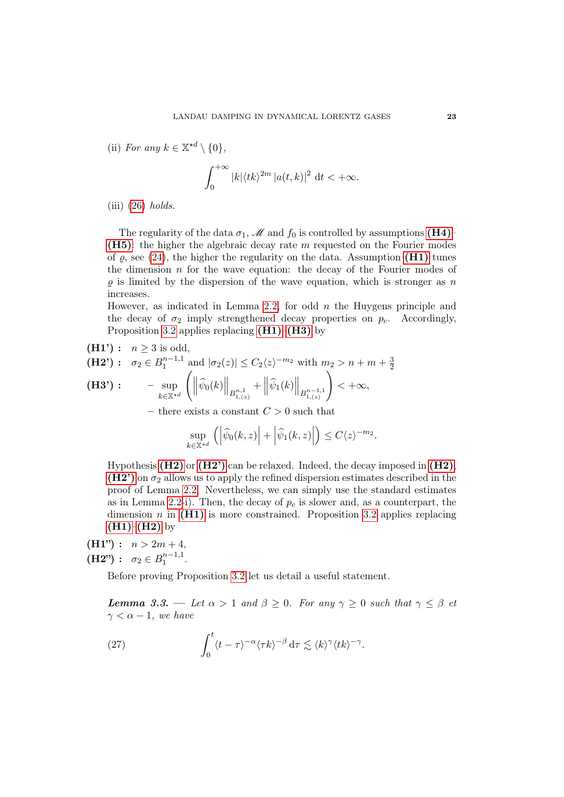(ii) For any  $k \in \mathbb{X}^{\star d} \setminus \{0\},\$ 

$$
\int_0^{+\infty} |k| \langle tk \rangle^{2m} |a(t,k)|^2 dt < +\infty.
$$

 $(iii)$  [\(26\)](#page-21-2) holds.

The regularity of the data  $\sigma_1$ , M and  $f_0$  is controlled by assumptions [\(H4\)](#page-21-4)– ( $H5$ ): the higher the algebraic decay rate m requested on the Fourier modes of  $\varrho$ , see [\(24\)](#page-20-2), the higher the regularity on the data. Assumption [\(H1\)](#page-21-1) tunes the dimension  $n$  for the wave equation: the decay of the Fourier modes of  $\rho$  is limited by the dispersion of the wave equation, which is stronger as n increases.

However, as indicated in Lemma [2.2,](#page-11-0) for odd  $n$  the Huygens principle and the decay of  $\sigma_2$  imply strengthened decay properties on  $p_c$ . Accordingly, Proposition [3.2](#page-21-5) applies replacing  $(H1)$ – $(H3)$  by

<span id="page-22-3"></span><span id="page-22-2"></span><span id="page-22-0"></span>(H1') : 
$$
n \ge 3
$$
 is odd,  
\n(H2') :  $\sigma_2 \in B_1^{n-1,1}$  and  $|\sigma_2(z)| \le C_2 \langle z \rangle^{-m_2}$  with  $m_2 > n + m + \frac{3}{2}$   
\n(H3') :  $-\sup_{k \in \mathbb{X}^{*d}} \left( \left\| \widehat{\psi}_0(k) \right\|_{B_{1,(z)}^{n,1}} + \left\| \widehat{\psi}_1(k) \right\|_{B_{1,(z)}^{n-1,1}} \right) < +\infty$ ,

– there exists a constant  $C > 0$  such that

$$
\sup_{k \in \mathbb{X}^{\star d}} \left( \left| \widehat{\psi}_0(k, z) \right| + \left| \widehat{\psi}_1(k, z) \right| \right) \le C \langle z \rangle^{-m_2}.
$$

Hypothesis  $(H2)$  or  $(H2')$  can be relaxed. Indeed, the decay imposed in  $(H2)$ ,  $(H2')$  on  $\sigma_2$  allows us to apply the refined dispersion estimates described in the proof of Lemma [2.2.](#page-11-0) Nevertheless, we can simply use the standard estimates as in Lemma [2.2-](#page-11-0)i). Then, the decay of  $p_c$  is slower and, as a counterpart, the dimension n in  $(H1)$  is more constrained. Proposition [3.2](#page-21-5) applies replacing  $(H1)–(H2)$  $(H1)–(H2)$  $(H1)–(H2)$  by

 $(H1") : n > 2m + 4,$  $(H2") : \sigma_2 \in B_1^{n-1,1}$  $\frac{n-1,1}{1}$ .

Before proving Proposition [3.2](#page-21-5) let us detail a useful statement.

<span id="page-22-1"></span>**Lemma 3.3.** — Let  $\alpha > 1$  and  $\beta \geq 0$ . For any  $\gamma \geq 0$  such that  $\gamma \leq \beta$  et  $\gamma < \alpha - 1$ , we have

(27) 
$$
\int_0^t \langle t - \tau \rangle^{-\alpha} \langle \tau k \rangle^{-\beta} d\tau \lesssim \langle k \rangle^{\gamma} \langle tk \rangle^{-\gamma}.
$$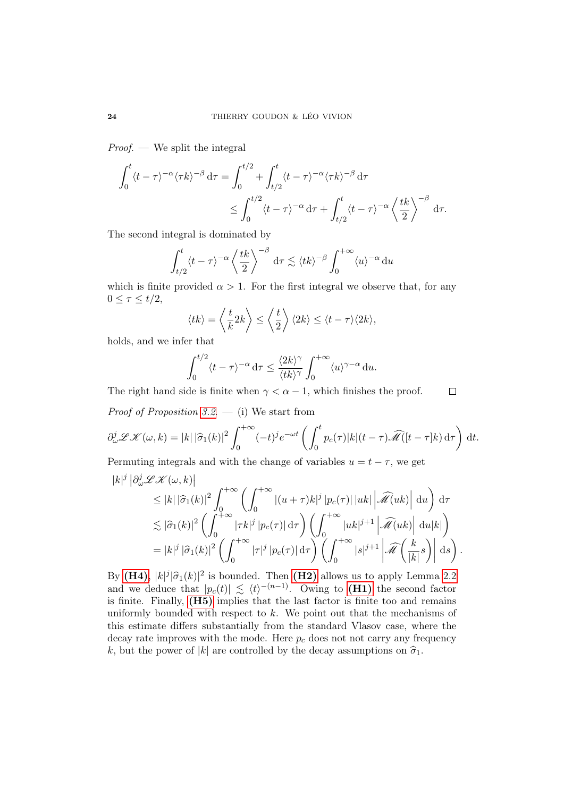*Proof.* — We split the integral

$$
\int_0^t \langle t - \tau \rangle^{-\alpha} \langle \tau k \rangle^{-\beta} d\tau = \int_0^{t/2} + \int_{t/2}^t \langle t - \tau \rangle^{-\alpha} \langle \tau k \rangle^{-\beta} d\tau
$$
  

$$
\leq \int_0^{t/2} \langle t - \tau \rangle^{-\alpha} d\tau + \int_{t/2}^t \langle t - \tau \rangle^{-\alpha} \left\langle \frac{tk}{2} \right\rangle^{-\beta} d\tau.
$$

The second integral is dominated by

$$
\int_{t/2}^t \langle t - \tau \rangle^{-\alpha} \left\langle \frac{tk}{2} \right\rangle^{-\beta} d\tau \lesssim \langle tk \rangle^{-\beta} \int_0^{+\infty} \langle u \rangle^{-\alpha} du
$$

which is finite provided  $\alpha > 1$ . For the first integral we observe that, for any  $0 \leq \tau \leq t/2$ ,

$$
\langle tk \rangle = \left\langle \frac{t}{k} 2k \right\rangle \le \left\langle \frac{t}{2} \right\rangle \langle 2k \rangle \le \langle t - \tau \rangle \langle 2k \rangle,
$$

holds, and we infer that

$$
\int_0^{t/2} \langle t - \tau \rangle^{-\alpha} d\tau \le \frac{\langle 2k \rangle^{\gamma}}{\langle tk \rangle^{\gamma}} \int_0^{+\infty} \langle u \rangle^{\gamma-\alpha} du.
$$

The right hand side is finite when  $\gamma < \alpha - 1$ , which finishes the proof.  $\Box$ 

*Proof of Proposition [3.2](#page-21-5).* — (i) We start from

$$
\partial_{\omega}^{j} \mathscr{L} \mathscr{K}(\omega, k) = |k| |\widehat{\sigma}_{1}(k)|^{2} \int_{0}^{+\infty} (-t)^{j} e^{-\omega t} \left( \int_{0}^{t} p_{c}(\tau) |k|(t-\tau) \widehat{\mathscr{M}}([t-\tau]k) d\tau \right) dt.
$$

Permuting integrals and with the change of variables  $u = t - \tau$ , we get

$$
|k|^{j} |\partial_{\omega}^{j} \mathcal{L} \mathcal{K}(\omega, k)|
$$
  
\n
$$
\leq |k| |\widehat{\sigma}_{1}(k)|^{2} \int_{0}^{+\infty} \left( \int_{0}^{+\infty} |(u+\tau)k|^{j} |p_{c}(\tau)| |uk| \left| \widehat{\mathcal{M}}(uk) \right| du \right) d\tau
$$
  
\n
$$
\lesssim |\widehat{\sigma}_{1}(k)|^{2} \left( \int_{0}^{+\infty} |\tau k|^{j} |p_{c}(\tau)| d\tau \right) \left( \int_{0}^{+\infty} |uk|^{j+1} \left| \widehat{\mathcal{M}}(uk) \right| du |k| \right)
$$
  
\n
$$
= |k|^{j} |\widehat{\sigma}_{1}(k)|^{2} \left( \int_{0}^{+\infty} |\tau|^{j} |p_{c}(\tau)| d\tau \right) \left( \int_{0}^{+\infty} |s|^{j+1} \left| \widehat{\mathcal{M}}\left(\frac{k}{|k|} s\right) \right| ds \right).
$$

By [\(H4\)](#page-21-4),  $|k|^j |\hat{\sigma}_1(k)|^2$  is bounded. Then [\(H2\)](#page-21-7) allows us to apply Lemma [2.2](#page-11-0)<br>and we deduce that  $|p(k)| \leq (k-1)$ . Owing to (H1) the second fector and we deduce that  $|p_c(t)| \le \langle t \rangle^{-(n-1)}$ . Owing to (**H1**) the second factor is finite. Finally, [\(H5\)](#page-21-3) implies that the last factor is finite too and remains uniformly bounded with respect to  $k$ . We point out that the mechanisms of this estimate differs substantially from the standard Vlasov case, where the decay rate improves with the mode. Here  $p_c$  does not not carry any frequency k, but the power of |k| are controlled by the decay assumptions on  $\hat{\sigma}_1$ .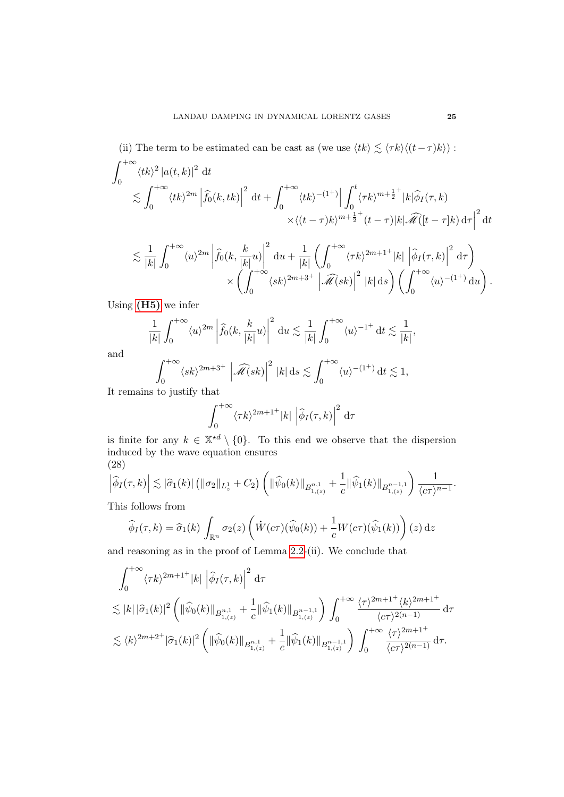(ii) The term to be estimated can be cast as (we use  $\langle tk \rangle \lesssim \langle \tau k \rangle \langle (t-\tau)k \rangle$ ) :  $\int^{+\infty}$  $\mathbf{0}$  $\langle tk \rangle^2 |a(t, k)|^2 dt$  $\langle \int^{+\infty}$  $\boldsymbol{0}$  $\langle tk \rangle^{2m} \left| \widehat{f}_0(k, tk) \right|$  $2 \mathrm{d}t + \int^{+\infty}$ 0  $\langle tk \rangle^{-(1^+)}$  $\int_0^t$ 0  $\langle \tau k \rangle^{m+\frac{1}{2}^+} |k| \widehat{\phi}_I(\tau, k)$  $\times \langle (t-\tau)k\rangle^{m+\frac{1}{2}^{+}} (t-\tau)|k| \widehat{\mathscr{M}}([t-\tau]k) d\tau$  $\frac{2}{dt}$  $\leq \frac{1}{2}$  $|k|$  $\int^{+\infty}$  $\boldsymbol{0}$  $\langle u \rangle^{2m} \left| \widehat{f}_0(k, \frac{k}{|k|}u) \right|$ 2  $du + \frac{1}{11}$  $|k|$  $\int f^{+\infty}$  $\mathbf{0}$  $\langle \tau k\rangle^{2m+1^+} |k|\, \left|\widehat{\phi}_I(\tau,k)\right|$ <sup>2</sup> d $\tau$  $\times$   $\int^{+\infty}$  $\langle sk \rangle^{2m+3^+} \left| \widehat{\mathscr{M}}(sk) \right|$  $\binom{2}{k}$   $\binom{2}{k}$  $\langle u \rangle^{-(1^+)} du$ .

Using  $(H5)$  we infer

$$
\frac{1}{|k|} \int_0^{+\infty} \langle u \rangle^{2m} \left| \widehat{f}_0(k, \frac{k}{|k|} u) \right|^2 du \lesssim \frac{1}{|k|} \int_0^{+\infty} \langle u \rangle^{-1^+} dt \lesssim \frac{1}{|k|},
$$

0

and

$$
\int_0^{+\infty} \langle sk \rangle^{2m+3^+} \left| \widehat{\mathscr{M}}(sk) \right|^2 |k| \, ds \lesssim \int_0^{+\infty} \langle u \rangle^{-(1^+)} \, dt \lesssim 1,
$$

It remains to justify that

$$
\int_0^{+\infty} \langle \tau k \rangle^{2m+1^+} |k| \left| \widehat{\phi}_I(\tau, k) \right|^2 d\tau
$$

is finite for any  $k \in \mathbb{X}^{*d} \setminus \{0\}$ . To this end we observe that the dispersion induced by the wave equation ensures (28)

<span id="page-24-0"></span>
$$
\left|\widehat{\phi}_I(\tau,k)\right| \lesssim |\widehat{\sigma}_1(k)| \left( \|\sigma_2\|_{L^1_z} + C_2 \right) \left( \|\widehat{\psi}_0(k)\|_{B^{n,1}_{1,(z)}} + \frac{1}{c} \|\widehat{\psi}_1(k)\|_{B^{n-1,1}_{1,(z)}} \right) \frac{1}{\langle c\tau \rangle^{n-1}}.
$$

This follows from

$$
\widehat{\phi}_I(\tau,k) = \widehat{\sigma}_1(k) \int_{\mathbb{R}^n} \sigma_2(z) \left( \dot{W}(c\tau)(\widehat{\psi}_0(k)) + \frac{1}{c} W(c\tau)(\widehat{\psi}_1(k)) \right)(z) dz
$$

and reasoning as in the proof of Lemma [2.2-](#page-11-0)(ii). We conclude that

$$
\int_0^{+\infty} \langle \tau k \rangle^{2m+1^+} |k| \left| \widehat{\phi}_I(\tau, k) \right|^2 d\tau
$$
  
\n
$$
\lesssim |k| |\widehat{\sigma}_1(k)|^2 \left( \| \widehat{\psi}_0(k) \|_{B^{n,1}_{1,(z)}} + \frac{1}{c} \| \widehat{\psi}_1(k) \|_{B^{n-1,1}_{1,(z)}} \right) \int_0^{+\infty} \frac{\langle \tau \rangle^{2m+1^+} \langle k \rangle^{2m+1^+}}{\langle c\tau \rangle^{2(n-1)}} d\tau
$$
  
\n
$$
\lesssim \langle k \rangle^{2m+2^+} |\widehat{\sigma}_1(k)|^2 \left( \| \widehat{\psi}_0(k) \|_{B^{n,1}_{1,(z)}} + \frac{1}{c} \| \widehat{\psi}_1(k) \|_{B^{n-1,1}_{1,(z)}} \right) \int_0^{+\infty} \frac{\langle \tau \rangle^{2m+1^+}}{\langle c\tau \rangle^{2(n-1)}} d\tau.
$$

0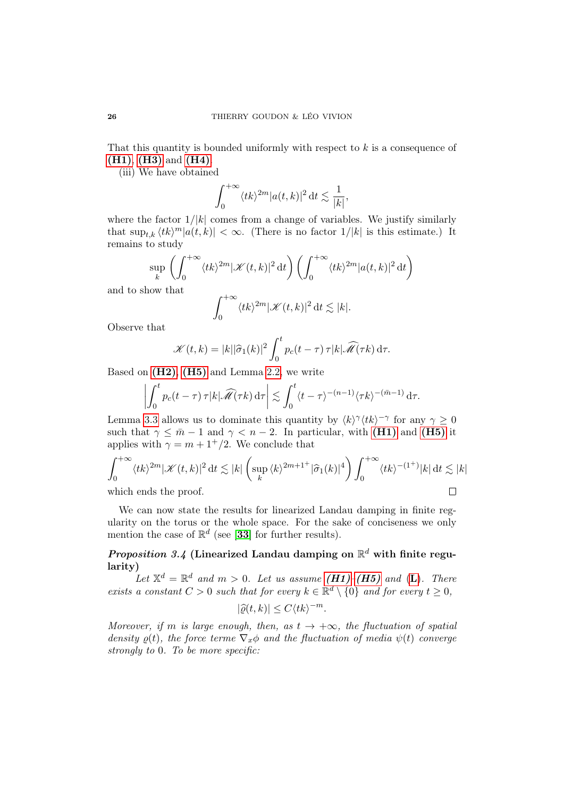That this quantity is bounded uniformly with respect to  $k$  is a consequence of [\(H1\)](#page-21-1), [\(H3\)](#page-21-6) and [\(H4\)](#page-21-4).

(iii) We have obtained

$$
\int_0^{+\infty} \langle tk \rangle^{2m} |a(t,k)|^2 \, \mathrm{d}t \lesssim \frac{1}{|k|},
$$

where the factor  $1/|k|$  comes from a change of variables. We justify similarly that  $\sup_{t,k} \langle tk \rangle^m |a(t, k)| < \infty$ . (There is no factor  $1/|k|$  is this estimate.) It remains to study

$$
\sup_{k} \left( \int_{0}^{+\infty} \langle tk \rangle^{2m} |\mathcal{K}(t,k)|^{2} \, \mathrm{d}t \right) \left( \int_{0}^{+\infty} \langle tk \rangle^{2m} |a(t,k)|^{2} \, \mathrm{d}t \right)
$$

and to show that

$$
\int_0^{+\infty} \langle tk \rangle^{2m} |\mathcal{K}(t,k)|^2 \, \mathrm{d}t \lesssim |k|.
$$

Observe that

$$
\mathscr{K}(t,k) = |k||\widehat{\sigma}_1(k)|^2 \int_0^t p_c(t-\tau) \,\tau |k|\widehat{\mathscr{M}}(\tau k) \,\mathrm{d}\tau.
$$

Based on  $(H2)$ ,  $(H5)$  and Lemma [2.2,](#page-11-0) we write

$$
\left| \int_0^t p_c(t-\tau) \, \tau |k| \widehat{\mathscr{M}}(\tau k) \, \mathrm{d}\tau \right| \lesssim \int_0^t \langle t-\tau \rangle^{-(n-1)} \langle \tau k \rangle^{-(\bar{m}-1)} \, \mathrm{d}\tau.
$$

Lemma [3.3](#page-22-1) allows us to dominate this quantity by  $\langle k \rangle^{\gamma} \langle tk \rangle^{-\gamma}$  for any  $\gamma \geq 0$ such that  $\gamma \leq \bar{m} - 1$  and  $\gamma \leq n - 2$ . In particular, with [\(H1\)](#page-21-1) and [\(H5\)](#page-21-3) it applies with  $\gamma = m + 1^+/2$ . We conclude that

$$
\int_0^{+\infty} \langle tk \rangle^{2m} |\mathcal{K}(t,k)|^2 dt \lesssim |k| \left( \sup_k \langle k \rangle^{2m+1^+} |\hat{\sigma}_1(k)|^4 \right) \int_0^{+\infty} \langle tk \rangle^{-(1^+)} |k| dt \lesssim |k|
$$
\nwhich ends the proof.

which ends the proof.

We can now state the results for linearized Landau damping in finite regularity on the torus or the whole space. For the sake of conciseness we only mention the case of  $\mathbb{R}^d$  (see [[33](#page-71-5)] for further results).

# <span id="page-25-0"></span>Proposition 3.4 (Linearized Landau damping on  $\mathbb{R}^d$  with finite regularity)

[L](#page-21-0)et  $\mathbb{X}^d = \mathbb{R}^d$  and  $m > 0$ . Let us assume (**H1**)–(**H5**) and (**L**). There exists a constant  $C > 0$  such that for every  $k \in \mathbb{R}^d \setminus \{0\}$  and for every  $t \geq 0$ ,

$$
|\widehat{\varrho}(t,k)| \le C \langle tk \rangle^{-m}.
$$

Moreover, if m is large enough, then, as  $t \to +\infty$ , the fluctuation of spatial density  $\rho(t)$ , the force terme  $\nabla_x \phi$  and the fluctuation of media  $\psi(t)$  converge strongly to 0. To be more specific: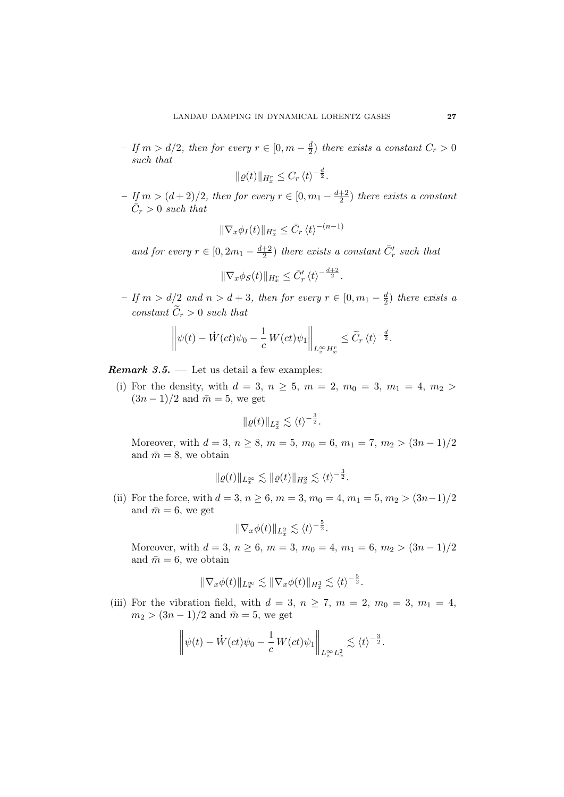$-$  If  $m > d/2$ , then for every  $r \in [0, m - \frac{d}{2}]$  $\frac{d}{2}$ ) there exists a constant  $C_r > 0$ such that

$$
\|\varrho(t)\|_{H_x^r} \leq C_r \langle t \rangle^{-\frac{d}{2}}.
$$

 $−$  If  $m > (d+2)/2$ , then for every  $r \in [0, m_1 - \frac{d+2}{2}]$  $\frac{+2}{2}$ ) there exists a constant  $\overline{C}_r > 0$  such that

$$
\|\nabla_x \phi_I(t)\|_{H^r_x} \leq \bar{C}_r \langle t \rangle^{-(n-1)}
$$

and for every  $r \in [0, 2m_1 - \frac{d+2}{2}]$  $\frac{+2}{2}$ ) there exists a constant  $\bar{C}'_r$  such that

$$
\|\nabla_x \phi_S(t)\|_{H^r_x} \leq \bar{C}'_r \langle t \rangle^{-\frac{d+2}{2}}.
$$

 $−$  If  $m > d/2$  and  $n > d + 3$ , then for every  $r \in [0, m<sub>1</sub> - \frac{d}{2})$  $\frac{d}{2}$ ) there exists a constant  $\widetilde{C}_r > 0$  such that

$$
\left\|\psi(t)-\dot{W}(ct)\psi_0-\frac{1}{c}W(ct)\psi_1\right\|_{L^{\infty}_xH^r_x}\leq \widetilde{C}_r\,\langle t\rangle^{-\frac{d}{2}}.
$$

<span id="page-26-0"></span>**Remark 3.5.** — Let us detail a few examples:

(i) For the density, with  $d = 3, n \ge 5, m = 2, m_0 = 3, m_1 = 4, m_2 >$  $(3n-1)/2$  and  $\bar{m}=5$ , we get

$$
\|\varrho(t)\|_{L^2_x} \lesssim \langle t \rangle^{-\frac{3}{2}}.
$$

Moreover, with  $d = 3, n \ge 8, m = 5, m_0 = 6, m_1 = 7, m_2 > (3n - 1)/2$ and  $\bar{m} = 8$ , we obtain

$$
\|\varrho(t)\|_{L_x^{\infty}} \lesssim \|\varrho(t)\|_{H_x^3} \lesssim \langle t \rangle^{-\frac{3}{2}}.
$$

(ii) For the force, with  $d = 3, n \ge 6, m = 3, m_0 = 4, m_1 = 5, m_2 > (3n-1)/2$ and  $\bar{m} = 6$ , we get

$$
\|\nabla_x \phi(t)\|_{L^2_x} \lesssim \langle t \rangle^{-\frac{5}{2}}.
$$

Moreover, with  $d = 3, n \ge 6, m = 3, m_0 = 4, m_1 = 6, m_2 > (3n - 1)/2$ and  $\bar{m} = 6$ , we obtain

$$
\|\nabla_x \phi(t)\|_{L^\infty_x} \lesssim \|\nabla_x \phi(t)\|_{H^3_x} \lesssim \langle t \rangle^{-\frac{5}{2}}.
$$

(iii) For the vibration field, with  $d = 3$ ,  $n \ge 7$ ,  $m = 2$ ,  $m_0 = 3$ ,  $m_1 = 4$ ,  $m_2 > (3n - 1)/2$  and  $\bar{m} = 5$ , we get

$$
\left\|\psi(t)-\dot{W}(ct)\psi_0-\frac{1}{c}\,W(ct)\psi_1\right\|_{L^\infty_z L^2_x}\lesssim \langle t\rangle^{-\frac{3}{2}}.
$$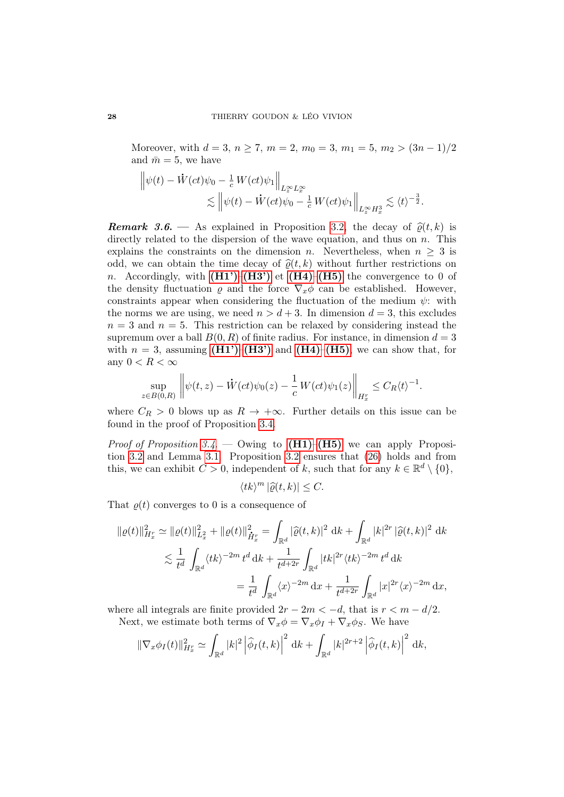Moreover, with  $d = 3$ ,  $n \ge 7$ ,  $m = 2$ ,  $m_0 = 3$ ,  $m_1 = 5$ ,  $m_2 > (3n - 1)/2$ and  $\bar{m} = 5$ , we have

$$
\begin{aligned}\n\left\|\psi(t) - \dot{W}(ct)\psi_0 - \frac{1}{c}W(ct)\psi_1\right\|_{L_x^\infty L_x^\infty} \\
&\lesssim \left\|\psi(t) - \dot{W}(ct)\psi_0 - \frac{1}{c}W(ct)\psi_1\right\|_{L_x^\infty H_x^3} \lesssim \langle t \rangle^{-\frac{3}{2}}.\n\end{aligned}
$$

<span id="page-27-0"></span>**Remark 3.6.** — As explained in Proposition [3.2,](#page-21-5) the decay of  $\hat{\rho}(t, k)$  is directly related to the dispersion of the wave equation, and thus on  $n$ . This explains the constraints on the dimension n. Nevertheless, when  $n \geq 3$  is odd, we can obtain the time decay of  $\hat{\varrho}(t, k)$  without further restrictions on n. Accordingly, with  $(H1')-(H3')$  $(H1')-(H3')$  $(H1')-(H3')$  et  $(H4)-(H5)$  $(H4)-(H5)$  $(H4)-(H5)$  the convergence to 0 of the density fluctuation  $\varrho$  and the force  $\nabla_x \phi$  can be established. However, constraints appear when considering the fluctuation of the medium  $\psi$ : with the norms we are using, we need  $n > d + 3$ . In dimension  $d = 3$ , this excludes  $n = 3$  and  $n = 5$ . This restriction can be relaxed by considering instead the supremum over a ball  $B(0, R)$  of finite radius. For instance, in dimension  $d = 3$ with  $n = 3$ , assuming  $(H1')$ – $(H3')$  and  $(H4)$ – $(H5)$ , we can show that, for any  $0 < R < \infty$ 

$$
\sup_{z\in B(0,R)}\left\|\psi(t,z)-\dot{W}(ct)\psi_0(z)-\frac{1}{c}\,W(ct)\psi_1(z)\right\|_{H^r_x}\leq C_R\langle t\rangle^{-1}.
$$

where  $C_R > 0$  blows up as  $R \to +\infty$ . Further details on this issue can be found in the proof of Proposition [3.4.](#page-25-0)

*Proof of Proposition [3.4](#page-25-0).* — Owing to  $(H1)$ – $(H5)$  we can apply Proposition [3.2](#page-21-5) and Lemma [3.1.](#page-21-8) Proposition [3.2](#page-21-5) ensures that [\(26\)](#page-21-2) holds and from this, we can exhibit  $C > 0$ , independent of k, such that for any  $k \in \mathbb{R}^d \setminus \{0\}$ ,

$$
\langle tk \rangle^m \left| \widehat{\varrho}(t,k) \right| \leq C.
$$

That  $\rho(t)$  converges to 0 is a consequence of

$$
\begin{split} \|\varrho(t)\|_{H_x^r}^2 &\simeq \|\varrho(t)\|_{L_x^2}^2 + \|\varrho(t)\|_{\dot{H}_x^r}^2 = \int_{\mathbb{R}^d} |\widehat{\varrho}(t,k)|^2 \, \mathrm{d}k + \int_{\mathbb{R}^d} |k|^{2r} \, |\widehat{\varrho}(t,k)|^2 \, \mathrm{d}k \\ &\lesssim \frac{1}{t^d} \int_{\mathbb{R}^d} \langle tk \rangle^{-2m} \, t^d \, \mathrm{d}k + \frac{1}{t^{d+2r}} \int_{\mathbb{R}^d} |tk|^{2r} \langle tk \rangle^{-2m} \, t^d \, \mathrm{d}k \\ &= \frac{1}{t^d} \int_{\mathbb{R}^d} \langle x \rangle^{-2m} \, \mathrm{d}x + \frac{1}{t^{d+2r}} \int_{\mathbb{R}^d} |x|^{2r} \langle x \rangle^{-2m} \, \mathrm{d}x, \end{split}
$$

where all integrals are finite provided  $2r - 2m < -d$ , that is  $r < m - d/2$ . Next, we estimate both terms of  $\nabla_x \phi = \nabla_x \phi_I + \nabla_x \phi_S$ . We have

$$
\|\nabla_x \phi_I(t)\|_{H_x^r}^2 \simeq \int_{\mathbb{R}^d} |k|^2 \left|\widehat{\phi}_I(t,k)\right|^2 \mathrm{d}k + \int_{\mathbb{R}^d} |k|^{2r+2} \left|\widehat{\phi}_I(t,k)\right|^2 \mathrm{d}k,
$$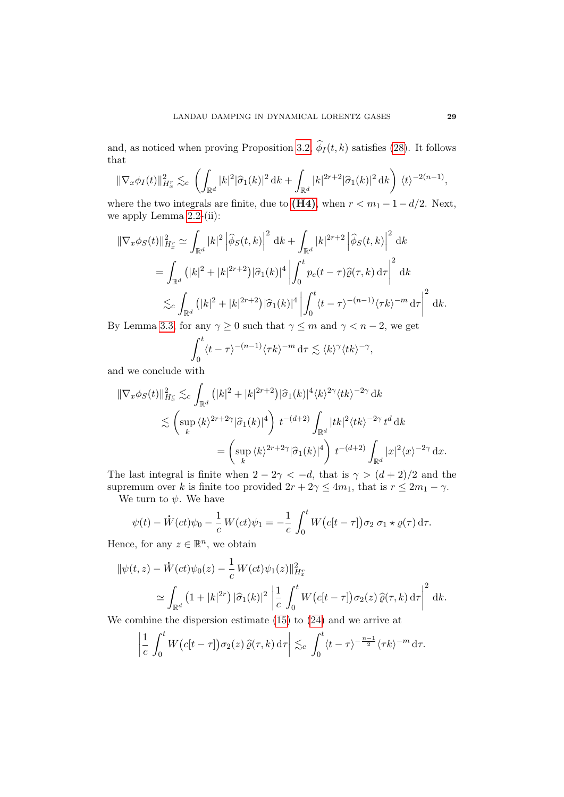and, as noticed when proving Proposition [3.2,](#page-21-5)  $\phi_I(t, k)$  satisfies [\(28\)](#page-24-0). It follows that

$$
\|\nabla_x \phi_I(t)\|_{H_x^r}^2 \lesssim_c \left( \int_{\mathbb{R}^d} |k|^2 |\widehat{\sigma}_1(k)|^2 \, \mathrm{d}k + \int_{\mathbb{R}^d} |k|^{2r+2} |\widehat{\sigma}_1(k)|^2 \, \mathrm{d}k \right) \, \langle t \rangle^{-2(n-1)},
$$

where the two integrals are finite, due to [\(H4\)](#page-21-4), when  $r < m_1 - 1 - d/2$ . Next, we apply Lemma [2.2-](#page-11-0)(ii):

$$
\begin{split} \|\nabla_x \phi_S(t)\|_{H_x^r}^2 &\simeq \int_{\mathbb{R}^d} |k|^2 \left| \widehat{\phi}_S(t,k) \right|^2 \, \mathrm{d}k + \int_{\mathbb{R}^d} |k|^{2r+2} \left| \widehat{\phi}_S(t,k) \right|^2 \, \mathrm{d}k \\ &= \int_{\mathbb{R}^d} \left( |k|^2 + |k|^{2r+2} \right) |\widehat{\sigma}_1(k)|^4 \left| \int_0^t p_c(t-\tau) \widehat{\varrho}(\tau,k) \, \mathrm{d}\tau \right|^2 \, \mathrm{d}k \\ &\lesssim_c \int_{\mathbb{R}^d} \left( |k|^2 + |k|^{2r+2} \right) |\widehat{\sigma}_1(k)|^4 \left| \int_0^t \langle t-\tau \rangle^{-(n-1)} \langle \tau k \rangle^{-m} \, \mathrm{d}\tau \right|^2 \, \mathrm{d}k. \end{split}
$$

By Lemma [3.3,](#page-22-1) for any  $\gamma \geq 0$  such that  $\gamma \leq m$  and  $\gamma < n-2$ , we get

$$
\int_0^t \langle t - \tau \rangle^{-(n-1)} \langle \tau k \rangle^{-m} \, \mathrm{d}\tau \lesssim \langle k \rangle^{\gamma} \langle tk \rangle^{-\gamma},
$$

and we conclude with

$$
\begin{split} \|\nabla_x \phi_S(t)\|_{H_x^r}^2 &\lesssim_c \int_{\mathbb{R}^d} \left( |k|^2 + |k|^{2r+2} \right) |\widehat{\sigma}_1(k)|^4 \langle k \rangle^{2\gamma} \langle tk \rangle^{-2\gamma} \, \mathrm{d}k \\ &\lesssim \left( \sup_k \langle k \rangle^{2r+2\gamma} |\widehat{\sigma}_1(k)|^4 \right) t^{-(d+2)} \int_{\mathbb{R}^d} |tk|^2 \langle tk \rangle^{-2\gamma} \, t^d \, \mathrm{d}k \\ &= \left( \sup_k \langle k \rangle^{2r+2\gamma} |\widehat{\sigma}_1(k)|^4 \right) t^{-(d+2)} \int_{\mathbb{R}^d} |x|^2 \langle x \rangle^{-2\gamma} \, \mathrm{d}x. \end{split}
$$

The last integral is finite when  $2 - 2\gamma < -d$ , that is  $\gamma > (d+2)/2$  and the supremum over k is finite too provided  $2r + 2\gamma \leq 4m_1$ , that is  $r \leq 2m_1 - \gamma$ .

We turn to  $\psi$ . We have

$$
\psi(t) - \dot{W}(ct)\psi_0 - \frac{1}{c}W(ct)\psi_1 = -\frac{1}{c}\int_0^t W(c[t-\tau])\sigma_2 \sigma_1 \star \varrho(\tau) d\tau.
$$

Hence, for any  $z \in \mathbb{R}^n$ , we obtain

$$
\begin{aligned} \|\psi(t,z) - \dot{W}(ct)\psi_0(z) - \frac{1}{c} W(ct)\psi_1(z)\|_{H^r_x}^2 \\ &\simeq \int_{\mathbb{R}^d} \left(1 + |k|^{2r}\right) |\widehat{\sigma}_1(k)|^2 \left|\frac{1}{c} \int_0^t W\big(c[t-\tau]\big) \sigma_2(z) \,\widehat{\varrho}(\tau,k) \,\mathrm{d}\tau\right|^2 \,\mathrm{d}k. \end{aligned}
$$

We combine the dispersion estimate [\(15\)](#page-14-2) to [\(24\)](#page-20-2) and we arrive at

$$
\left|\frac{1}{c}\int_0^t W\big(c[t-\tau]\big)\sigma_2(z)\,\widehat{\varrho}(\tau,k)\,\mathrm{d}\tau\right|\lesssim_c \int_0^t \langle t-\tau\rangle^{-\frac{n-1}{2}}\langle \tau k\rangle^{-m}\,\mathrm{d}\tau.
$$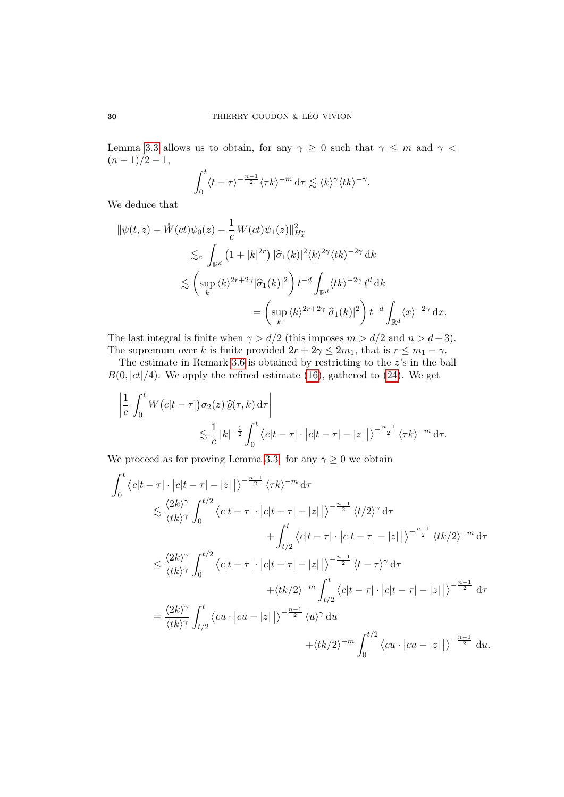Lemma [3.3](#page-22-1) allows us to obtain, for any  $\gamma \geq 0$  such that  $\gamma \leq m$  and  $\gamma$  $(n-1)/2-1,$ 

$$
\int_0^t \langle t - \tau \rangle^{-\frac{n-1}{2}} \langle \tau k \rangle^{-m} \, \mathrm{d}\tau \lesssim \langle k \rangle^{\gamma} \langle tk \rangle^{-\gamma}.
$$

We deduce that

$$
\begin{split} \|\psi(t,z) - \dot{W}(ct)\psi_0(z) - \frac{1}{c} \, W(ct)\psi_1(z)\|_{H^r_x}^2 \\ \lesssim_c \int_{\mathbb{R}^d} \left(1 + |k|^{2r}\right) |\widehat{\sigma}_1(k)|^2 \langle k \rangle^{2\gamma} \langle tk \rangle^{-2\gamma} \, dk \\ \lesssim \left(\sup_k \langle k \rangle^{2r+2\gamma} |\widehat{\sigma}_1(k)|^2\right) t^{-d} \int_{\mathbb{R}^d} \langle tk \rangle^{-2\gamma} \, t^d \, dk \\ = \left(\sup_k \langle k \rangle^{2r+2\gamma} |\widehat{\sigma}_1(k)|^2\right) t^{-d} \int_{\mathbb{R}^d} \langle x \rangle^{-2\gamma} \, dx. \end{split}
$$

The last integral is finite when  $\gamma > d/2$  (this imposes  $m > d/2$  and  $n > d+3$ ). The supremum over k is finite provided  $2r + 2\gamma \leq 2m_1$ , that is  $r \leq m_1 - \gamma$ .

The estimate in Remark [3.6](#page-27-0) is obtained by restricting to the z's in the ball  $B(0, |ct|/4)$ . We apply the refined estimate [\(16\)](#page-15-0), gathered to [\(24\)](#page-20-2). We get

$$
\left| \frac{1}{c} \int_0^t W(c[t-\tau]) \sigma_2(z) \, \widehat{\varrho}(\tau, k) \, d\tau \right|
$$
  
\$\lesssim \frac{1}{c} |k|^{-\frac{1}{2}} \int\_0^t \langle c|t-\tau| \cdot |c|t-\tau| - |z| \, |\rangle^{-\frac{n-1}{2}} \langle \tau k \rangle^{-m} d\tau\$.

We proceed as for proving Lemma [3.3:](#page-22-1) for any  $\gamma \geq 0$  we obtain

$$
\int_{0}^{t} \langle c|t-\tau| \cdot |c|t-\tau| - |z| \rangle \rangle^{-\frac{n-1}{2}} \langle \tau k \rangle^{-m} d\tau
$$
  
\n
$$
\lesssim \frac{\langle 2k \rangle^{\gamma}}{\langle tk \rangle^{\gamma}} \int_{0}^{t/2} \langle c|t-\tau| \cdot |c|t-\tau| - |z| \rangle \rangle^{-\frac{n-1}{2}} \langle t/2 \rangle^{\gamma} d\tau
$$
  
\n
$$
+ \int_{t/2}^{t} \langle c|t-\tau| \cdot |c|t-\tau| - |z| \rangle \rangle^{-\frac{n-1}{2}} \langle tk/2 \rangle^{-m} d\tau
$$
  
\n
$$
\leq \frac{\langle 2k \rangle^{\gamma}}{\langle tk \rangle^{\gamma}} \int_{0}^{t/2} \langle c|t-\tau| \cdot |c|t-\tau| - |z| \rangle \rangle^{-\frac{n-1}{2}} \langle t-\tau \rangle^{\gamma} d\tau
$$
  
\n
$$
+ \langle tk/2 \rangle^{-m} \int_{t/2}^{t} \langle c|t-\tau| \cdot |c|t-\tau| - |z| \rangle \rangle^{-\frac{n-1}{2}} d\tau
$$
  
\n
$$
= \frac{\langle 2k \rangle^{\gamma}}{\langle tk \rangle^{\gamma}} \int_{t/2}^{t} \langle cu \cdot |cu - |z| \rangle \rangle^{-\frac{n-1}{2}} \langle u \rangle^{\gamma} du
$$
  
\n
$$
+ \langle tk/2 \rangle^{-m} \int_{0}^{t/2} \langle cu \cdot |cu - |z| \rangle \rangle^{-\frac{n-1}{2}} du.
$$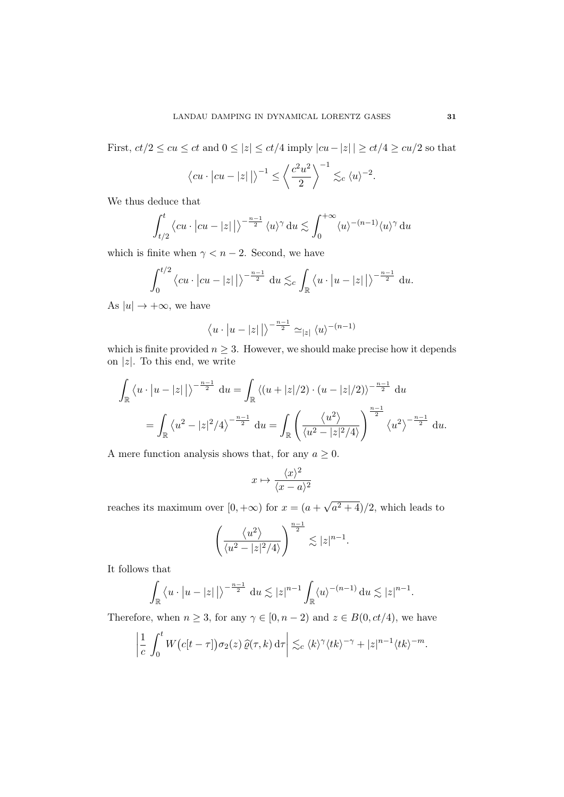First,  $ct/2 \le cu \le ct$  and  $0 \le |z| \le ct/4$  imply  $|cu-|z| \le ct/4 \ge cu/2$  so that

$$
\langle cu \cdot | cu - |z| \rangle
$$
<sup>-1</sup>  $\leq \left\langle \frac{c^2 u^2}{2} \right\rangle^{-1} \lesssim_c \langle u \rangle^{-2}$ .

We thus deduce that

$$
\int_{t/2}^t \left\langle cu \cdot |cu - |z| \right\rangle \right)^{-\frac{n-1}{2}} \left\langle u \right\rangle^{\gamma} du \lesssim \int_0^{+\infty} \left\langle u \right\rangle^{-(n-1)} \left\langle u \right\rangle^{\gamma} du
$$

which is finite when  $\gamma < n - 2$ . Second, we have

$$
\int_0^{t/2} \langle cu \cdot | cu - |z| | \rangle^{-\frac{n-1}{2}} du \lesssim_c \int_{\mathbb{R}} \langle u \cdot | u - |z| | \rangle^{-\frac{n-1}{2}} du.
$$

As  $|u| \rightarrow +\infty$ , we have

$$
\langle u\cdot\left|u-\left|z\right|\right|\rangle^{-\frac{n-1}{2}}\simeq_{\left|z\right|}\langle u\rangle^{-(n-1)}
$$

which is finite provided  $n \geq 3$ . However, we should make precise how it depends on  $|z|$ . To this end, we write

$$
\int_{\mathbb{R}} \left\langle u \cdot |u - |z| \right\rangle^{-\frac{n-1}{2}} du = \int_{\mathbb{R}} \left\langle (u + |z|/2) \cdot (u - |z|/2) \right\rangle^{-\frac{n-1}{2}} du
$$
\n
$$
= \int_{\mathbb{R}} \left\langle u^2 - |z|^2/4 \right\rangle^{-\frac{n-1}{2}} du = \int_{\mathbb{R}} \left( \frac{\left\langle u^2 \right\rangle}{\left\langle u^2 - |z|^2/4 \right\rangle} \right)^{\frac{n-1}{2}} \left\langle u^2 \right\rangle^{-\frac{n-1}{2}} du.
$$

A mere function analysis shows that, for any  $a \geq 0$ .

$$
x\mapsto \frac{\langle x\rangle^2}{\langle x-a\rangle^2}
$$

reaches its maximum over  $[0, +\infty)$  for  $x = (a +$ √  $\sqrt{a^2+4}/2$ , which leads to

$$
\left(\frac{\langle u^2 \rangle}{\langle u^2 - |z|^2/4 \rangle}\right)^{\frac{n-1}{2}} \lesssim |z|^{n-1}.
$$

It follows that

$$
\int_{\mathbb{R}} \left\langle u \cdot \left| u - |z| \right| \right\rangle^{-\frac{n-1}{2}} du \lesssim |z|^{n-1} \int_{\mathbb{R}} \left\langle u \right\rangle^{-(n-1)} du \lesssim |z|^{n-1}.
$$

Therefore, when  $n \geq 3$ , for any  $\gamma \in [0, n-2)$  and  $z \in B(0, ct/4)$ , we have

$$
\left|\frac{1}{c}\int_0^t W(c[t-\tau])\sigma_2(z)\,\widehat{\varrho}(\tau,k)\,\mathrm{d}\tau\right|\lesssim_c \langle k\rangle^\gamma \langle tk\rangle^{-\gamma}+|z|^{n-1} \langle tk\rangle^{-m}.
$$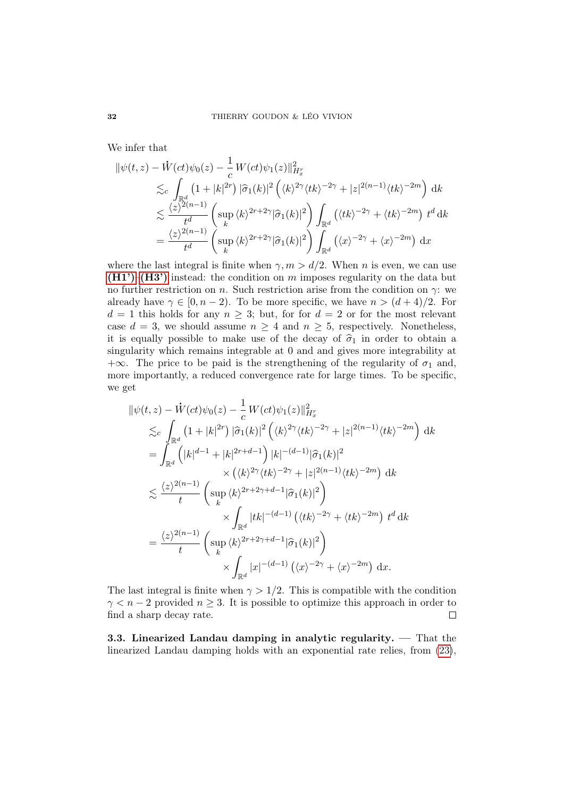We infer that

$$
\begin{split} \|\psi(t,z) - \dot{W}(ct)\psi_0(z) - \frac{1}{c} \, W(ct)\psi_1(z)\|_{H_x^r}^2 \\ \lesssim_c & \int_{\mathbb{R}^d} \left(1 + |k|^{2r}\right) |\hat{\sigma}_1(k)|^2 \left(\langle k\rangle^{2\gamma} \langle tk\rangle^{-2\gamma} + |z|^{2(n-1)} \langle tk\rangle^{-2m}\right) \, \mathrm{d}k \\ \lesssim & \frac{\langle z\rangle^{2(n-1)}}{t^d} \left(\sup_k \langle k\rangle^{2r+2\gamma} |\hat{\sigma}_1(k)|^2\right) \int_{\mathbb{R}^d} \left(\langle tk\rangle^{-2\gamma} + \langle tk\rangle^{-2m}\right) \, t^d \, \mathrm{d}k \\ = & \frac{\langle z\rangle^{2(n-1)}}{t^d} \left(\sup_k \langle k\rangle^{2r+2\gamma} |\hat{\sigma}_1(k)|^2\right) \int_{\mathbb{R}^d} \left(\langle x\rangle^{-2\gamma} + \langle x\rangle^{-2m}\right) \, \mathrm{d}x \end{split}
$$

where the last integral is finite when  $\gamma, m > d/2$ . When n is even, we can use  $(H1')$ – $(H3')$  instead: the condition on m imposes regularity on the data but no further restriction on n. Such restriction arise from the condition on  $\gamma$ : we already have  $\gamma \in [0, n-2)$ . To be more specific, we have  $n > (d+4)/2$ . For  $d = 1$  this holds for any  $n \geq 3$ ; but, for for  $d = 2$  or for the most relevant case  $d = 3$ , we should assume  $n \geq 4$  and  $n \geq 5$ , respectively. Nonetheless, it is equally possible to make use of the decay of  $\hat{\sigma}_1$  in order to obtain a singularity which remains integrable at 0 and and gives more integrability at  $+\infty$ . The price to be paid is the strengthening of the regularity of  $\sigma_1$  and, more importantly, a reduced convergence rate for large times. To be specific, we get

$$
\|\psi(t,z) - \dot{W}(ct)\psi_0(z) - \frac{1}{c}W(ct)\psi_1(z)\|_{H_x^r}^2
$$
  
\n
$$
\lesssim_c \int_{\mathbb{R}^d} (1+|k|^{2r}) |\hat{\sigma}_1(k)|^2 \left( \langle k \rangle^{2\gamma} \langle tk \rangle^{-2\gamma} + |z|^{2(n-1)} \langle tk \rangle^{-2m} \right) dk
$$
  
\n
$$
= \int_{\mathbb{R}^d} (|k|^{d-1} + |k|^{2r+d-1}) |k|^{-(d-1)} |\hat{\sigma}_1(k)|^2
$$
  
\n
$$
\times (\langle k \rangle^{2\gamma} \langle tk \rangle^{-2\gamma} + |z|^{2(n-1)} \langle tk \rangle^{-2m}) dk
$$
  
\n
$$
\lesssim \frac{\langle z \rangle^{2(n-1)}}{t} \left( \sup_k \langle k \rangle^{2r+2\gamma+d-1} |\hat{\sigma}_1(k)|^2 \right)
$$
  
\n
$$
\times \int_{\mathbb{R}^d} |tk|^{-(d-1)} (\langle tk \rangle^{-2\gamma} + \langle tk \rangle^{-2m}) t^d dk
$$
  
\n
$$
= \frac{\langle z \rangle^{2(n-1)}}{t} \left( \sup_k \langle k \rangle^{2r+2\gamma+d-1} |\hat{\sigma}_1(k)|^2 \right)
$$
  
\n
$$
\times \int_{\mathbb{R}^d} |x|^{-(d-1)} (\langle x \rangle^{-2\gamma} + \langle x \rangle^{-2m}) dx.
$$

The last integral is finite when  $\gamma > 1/2$ . This is compatible with the condition  $\gamma < n-2$  provided  $n \geq 3$ . It is possible to optimize this approach in order to find a sharp decay rate.  $\Box$ 

3.3. Linearized Landau damping in analytic regularity. — That the linearized Landau damping holds with an exponential rate relies, from [\(23\)](#page-20-0),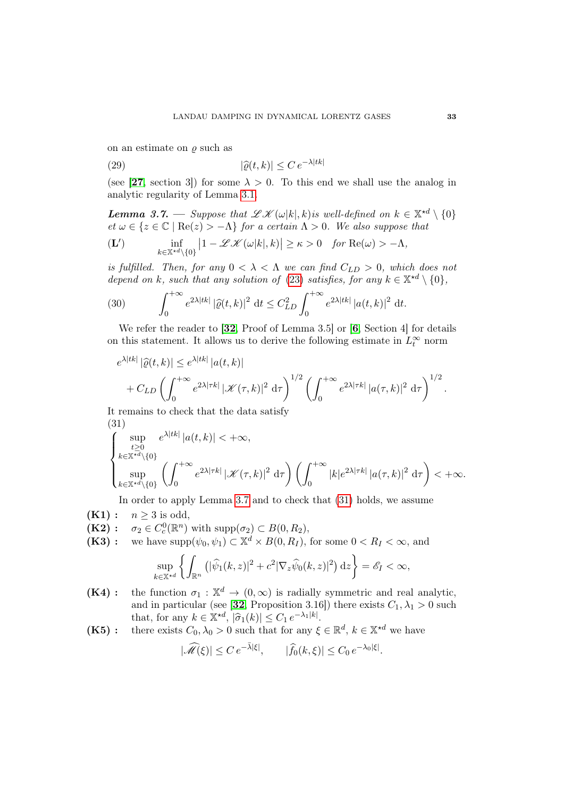on an estimate on  $\rho$  such as

<span id="page-32-8"></span>(29) 
$$
|\widehat{\varrho}(t,k)| \leq C e^{-\lambda|tk|}
$$

(see [[27](#page-71-0), section 3]) for some  $\lambda > 0$ . To this end we shall use the analog in analytic regularity of Lemma [3.1.](#page-21-8)

<span id="page-32-0"></span>**Lemma 3.7.** — Suppose that  $\mathscr{L}\mathscr{K}(\omega|k|,k)$  is well-defined on  $k \in \mathbb{X}^{*d} \setminus \{0\}$  $et \omega \in \{z \in \mathbb{C} \mid \text{Re}(z) > -\Lambda\}$  for a certain  $\Lambda > 0$ . We also suppose that

<span id="page-32-7"></span>
$$
\textbf{(L')} \qquad \inf_{k \in \mathbb{X}^{*d} \setminus \{0\}} \left| 1 - \mathcal{L}\mathcal{K}(\omega|k|,k) \right| \geq \kappa > 0 \quad \text{for } \text{Re}(\omega) > -\Lambda,
$$

is fulfilled. Then, for any  $0 < \lambda < \Lambda$  we can find  $C_{LD} > 0$ , which does not depend on k, such that any solution of [\(23\)](#page-20-0) satisfies, for any  $k \in \mathbb{X}^{*d} \setminus \{0\},$ 

(30) 
$$
\int_0^{+\infty} e^{2\lambda|tk|} |\widehat{\varrho}(t,k)|^2 dt \leq C_{LD}^2 \int_0^{+\infty} e^{2\lambda|tk|} |a(t,k)|^2 dt.
$$

We refer the reader to [[32](#page-71-4), Proof of Lemma 3.5] or [[6](#page-69-2), Section 4] for details on this statement. It allows us to derive the following estimate in  $L_t^{\infty}$  norm

$$
e^{\lambda|tk|} |\widehat{\varrho}(t,k)| \leq e^{\lambda|tk|} |a(t,k)|
$$
  
+  $C_{LD} \left( \int_0^{+\infty} e^{2\lambda|\tau k|} |\mathcal{K}(\tau,k)|^2 d\tau \right)^{1/2} \left( \int_0^{+\infty} e^{2\lambda|\tau k|} |a(\tau,k)|^2 d\tau \right)^{1/2}.$ 

It remains to check that the data satisfy (31)

λ|tk|

<span id="page-32-1"></span>
$$
\begin{cases}\n\sup_{\substack{t\geq 0\\k\in\mathbb{X}^{\star d}\setminus\{0\}}} e^{\lambda|tk|} |a(t,k)| < +\infty, \\
\sup_{k\in\mathbb{X}^{\star d}\setminus\{0\}} \left(\int_0^{+\infty} e^{2\lambda|\tau k|} |\mathcal{K}(\tau,k)|^2 d\tau\right) \left(\int_0^{+\infty} |k| e^{2\lambda|\tau k|} |a(\tau,k)|^2 d\tau\right) < +\infty.\n\end{cases}
$$

<span id="page-32-5"></span>In order to apply Lemma [3.7](#page-32-0) and to check that [\(31\)](#page-32-1) holds, we assume

- $(K1): n > 3$  is odd,
- <span id="page-32-6"></span> $(K2):$  $_{c}^{0}(\mathbb{R}^{n})$  with  $\text{supp}(\sigma_{2}) \subset B(0, R_{2}),$
- <span id="page-32-4"></span>(K3) : we have  $\text{supp}(\psi_0, \psi_1) \subset \mathbb{X}^d \times B(0, R_I)$ , for some  $0 < R_I < \infty$ , and

$$
\sup_{k\in\mathbb{X}^{\star d}}\left\{\int_{\mathbb{R}^n}\left(|\widehat{\psi}_1(k,z)|^2+c^2|\nabla_z\widehat{\psi}_0(k,z)|^2\right)\mathrm{d}z\right\}=\mathscr{E}_I<\infty,
$$

- <span id="page-32-2"></span>(K4): the function  $\sigma_1 : \mathbb{X}^d \to (0,\infty)$  is radially symmetric and real analytic, and in particular (see [[32](#page-71-4), Proposition 3.16]) there exists  $C_1, \lambda_1 > 0$  such that, for any  $k \in \mathbb{X}^{\star d}$ ,  $|\hat{\sigma}_1(k)| \leq C_1 e^{-\lambda_1 |k|}$ .<br>there exists  $C_1 \geq 0$  such that for any 6
- <span id="page-32-3"></span>(K5): there exists  $C_0, \lambda_0 > 0$  such that for any  $\xi \in \mathbb{R}^d$ ,  $k \in \mathbb{X}^{\star d}$  we have

$$
|\widehat{\mathcal{M}}(\xi)| \le C e^{-\bar{\lambda}|\xi|}, \qquad |\widehat{f}_0(k,\xi)| \le C_0 e^{-\lambda_0|\xi|}.
$$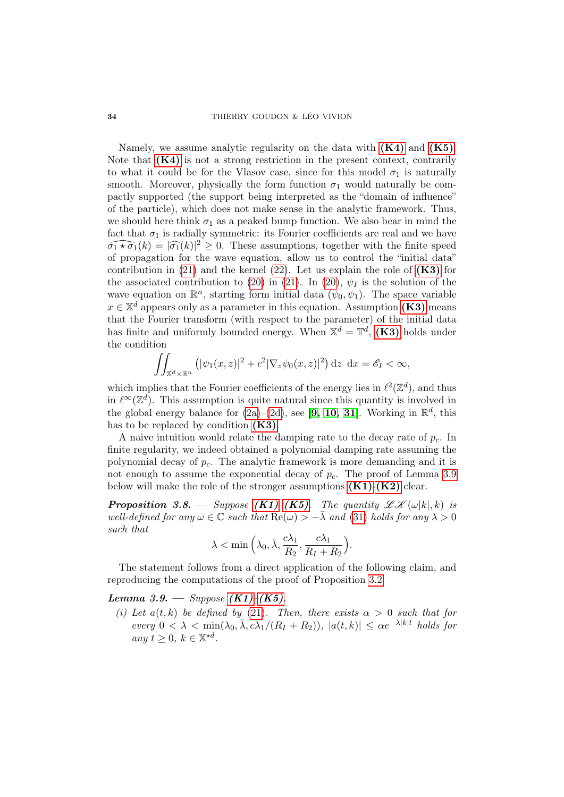Namely, we assume analytic regularity on the data with  $(K4)$  and  $(K5)$ . Note that  $(K4)$  is not a strong restriction in the present context, contrarily to what it could be for the Vlasov case, since for this model  $\sigma_1$  is naturally smooth. Moreover, physically the form function  $\sigma_1$  would naturally be compactly supported (the support being interpreted as the "domain of influence" of the particle), which does not make sense in the analytic framework. Thus, we should here think  $\sigma_1$  as a peaked bump function. We also bear in mind the fact that  $\sigma_1$  is radially symmetric: its Fourier coefficients are real and we have  $\widehat{\sigma_1 \star \sigma_1}(k) = |\widehat{\sigma_1}(k)|^2 \geq 0$ . These assumptions, together with the finite speed<br>of proposation for the wave equation allow us to control the "initial data" of propagation for the wave equation, allow us to control the "initial data" contribution in [\(21\)](#page-19-1) and the kernel [\(22\)](#page-20-3). Let us explain the role of  $(K3)$  for the associated contribution to [\(20\)](#page-19-2) in [\(21\)](#page-19-1). In (20),  $\psi_I$  is the solution of the wave equation on  $\mathbb{R}^n$ , starting form initial data  $(\psi_0, \psi_1)$ . The space variable  $x \in \mathbb{X}^d$  appears only as a parameter in this equation. Assumption [\(K3\)](#page-32-4) means that the Fourier transform (with respect to the parameter) of the initial data has finite and uniformly bounded energy. When  $\mathbb{X}^{d} = \mathbb{T}^{d}$ , [\(K3\)](#page-32-4) holds under the condition

$$
\iint_{\mathbb{X}^d \times \mathbb{R}^n} \left( |\psi_1(x, z)|^2 + c^2 |\nabla_z \psi_0(x, z)|^2 \right) dz \, dx = \mathscr{E}_I < \infty,
$$

which implies that the Fourier coefficients of the energy lies in  $\ell^2(\mathbb{Z}^d)$ , and thus in  $\ell^{\infty}(\mathbb{Z}^d)$ . This assumption is quite natural since this quantity is involved in the global energy balance for  $(2a)-(2d)$  $(2a)-(2d)$  $(2a)-(2d)$ , see [[9,](#page-69-7) [10,](#page-70-9) [31](#page-71-2)]. Working in  $\mathbb{R}^d$ , this has to be replaced by condition  $(K3)$ .

A naive intuition would relate the damping rate to the decay rate of  $p_c$ . In finite regularity, we indeed obtained a polynomial damping rate assuming the polynomial decay of  $p_c$ . The analytic framework is more demanding and it is not enough to assume the exponential decay of  $p_c$ . The proof of Lemma [3.9](#page-33-0) below will make the role of the stronger assumptions  $(K1)-(K2)$  $(K1)-(K2)$  $(K1)-(K2)$  clear.

**Proposition 3.8.** — Suppose  $(K1)-(K5)$  $(K1)-(K5)$  $(K1)-(K5)$ . The quantity  $\mathscr{LK}(\omega|k|,k)$  is well-defined for any  $\omega \in \mathbb{C}$  such that  $\text{Re}(\omega) > -\overline{\lambda}$  and [\(31\)](#page-32-1) holds for any  $\lambda > 0$ such that

$$
\lambda < \min\left(\lambda_0, \bar{\lambda}, \frac{c\lambda_1}{R_2}, \frac{c\lambda_1}{R_1 + R_2}\right).
$$

The statement follows from a direct application of the following claim, and reproducing the computations of the proof of Proposition [3.2.](#page-21-5)

## <span id="page-33-0"></span>Lemma 3.9. — Suppose  $(K1)$ – $(K5)$ .

(i) Let  $a(t, k)$  be defined by [\(21\)](#page-19-1). Then, there exists  $\alpha > 0$  such that for every  $0 < \lambda < \min(\lambda_0, \bar{\lambda}, c\lambda_1/(R_I + R_2)), |a(t, k)| \le \alpha e^{-\lambda |k|t}$  holds for any  $t \geq 0, k \in \mathbb{X}^{\star d}$ .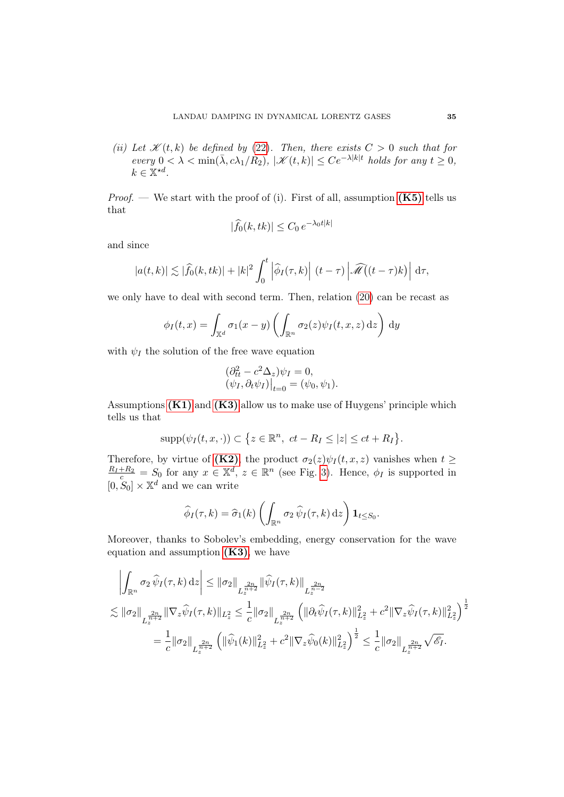(ii) Let  $\mathscr{K}(t, k)$  be defined by [\(22\)](#page-20-3). Then, there exists  $C > 0$  such that for  $every\ 0<\lambda<\min(\bar{\lambda},c\lambda_1/R_2),\ |\mathscr{K}(t,k)|\le Ce^{-\lambda|k|t}\ holds\ for\ any\ t\ge0,$  $k \in \mathbb{X}^{\star d}$ .

*Proof.* — We start with the proof of (i). First of all, assumption  $(K5)$  tells us that

$$
|\widehat{f}_0(k, tk)| \le C_0 e^{-\lambda_0 t |k|}
$$

and since

$$
|a(t,k)| \lesssim |\widehat{f}_0(k,tk)| + |k|^2 \int_0^t \left| \widehat{\phi}_I(\tau,k) \right| (t-\tau) \left| \widehat{\mathscr{M}}(t-\tau)k \right| d\tau,
$$

we only have to deal with second term. Then, relation [\(20\)](#page-19-2) can be recast as

$$
\phi_I(t,x) = \int_{\mathbb{X}^d} \sigma_1(x-y) \left( \int_{\mathbb{R}^n} \sigma_2(z) \psi_I(t,x,z) \, \mathrm{d}z \right) \, \mathrm{d}y
$$

with  $\psi_I$  the solution of the free wave equation

$$
\begin{aligned} \left(\partial_{tt}^2 - c^2 \Delta_z\right) \psi_I &= 0, \\ \left(\psi_I, \partial_t \psi_I\right)\big|_{t=0} &= \left(\psi_0, \psi_1\right). \end{aligned}
$$

Assumptions  $(K1)$  and  $(K3)$  allow us to make use of Huygens' principle which tells us that

$$
\mathrm{supp}(\psi_I(t,x,\cdot))\subset\big\{z\in\mathbb{R}^n,\ ct-R_I\le|z|\le ct+R_I\big\}.
$$

Therefore, by virtue of [\(K2\)](#page-32-6), the product  $\sigma_2(z)\psi_I(t, x, z)$  vanishes when  $t \geq$  $\frac{R_I + R_2}{c} = S_0$  for any  $x \in \mathbb{X}^d$ ,  $z \in \mathbb{R}^n$  (see Fig. [3\)](#page-17-0). Hence,  $\phi_I$  is supported in  $[0, S_0] \times \mathbb{X}^d$  and we can write

$$
\widehat{\phi}_I(\tau,k) = \widehat{\sigma}_1(k) \left( \int_{\mathbb{R}^n} \sigma_2 \,\widehat{\psi}_I(\tau,k) \,\mathrm{d}z \right) \mathbf{1}_{t \leq S_0}.
$$

Moreover, thanks to Sobolev's embedding, energy conservation for the wave equation and assumption  $(K3)$ , we have

$$
\left| \int_{\mathbb{R}^n} \sigma_2 \,\widehat{\psi}_I(\tau,k) \,dz \right| \leq \|\sigma_2\|_{L_z^{\frac{2n}{n+2}}} \|\widehat{\psi}_I(\tau,k)\|_{L_z^{\frac{2n}{n-2}}} \n\lesssim \|\sigma_2\|_{L_z^{\frac{2n}{n+2}}} \|\nabla_z \widehat{\psi}_I(\tau,k)\|_{L_z^2} \leq \frac{1}{c} \|\sigma_2\|_{L_z^{\frac{2n}{n+2}}} \left( \|\partial_t \widehat{\psi}_I(\tau,k)\|_{L_z^2}^2 + c^2 \|\nabla_z \widehat{\psi}_I(\tau,k)\|_{L_z^2}^2 \right)^{\frac{1}{2}} \n= \frac{1}{c} \|\sigma_2\|_{L_z^{\frac{2n}{n+2}}} \left( \|\widehat{\psi}_1(k)\|_{L_z^2}^2 + c^2 \|\nabla_z \widehat{\psi}_0(k)\|_{L_z^2}^2 \right)^{\frac{1}{2}} \leq \frac{1}{c} \|\sigma_2\|_{L_z^{\frac{2n}{n+2}}} \sqrt{\widehat{\mathscr{E}}_I}.
$$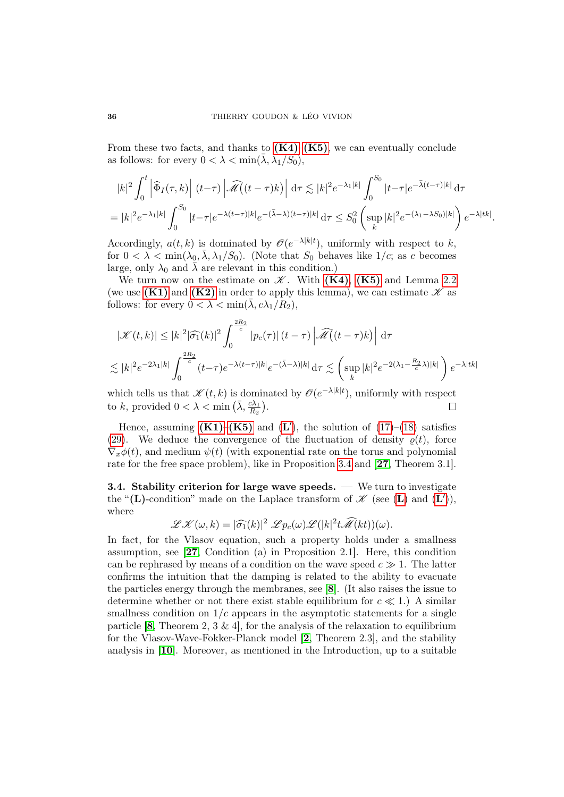From these two facts, and thanks to  $(K4)-(K5)$  $(K4)-(K5)$  $(K4)-(K5)$ , we can eventually conclude as follows: for every  $0 < \lambda < \min(\bar{\lambda}, \lambda_1/S_0),$ 

$$
|k|^2 \int_0^t \left| \widehat{\Phi}_I(\tau, k) \right| (t-\tau) \left| \widehat{\mathcal{M}}((t-\tau)k) \right| d\tau \lesssim |k|^2 e^{-\lambda_1 |k|} \int_0^{S_0} |t-\tau| e^{-\bar{\lambda}(t-\tau)|k|} d\tau
$$
  
= 
$$
|k|^2 e^{-\lambda_1 |k|} \int_0^{S_0} |t-\tau| e^{-\lambda(t-\tau)|k|} e^{-(\bar{\lambda}-\lambda)(t-\tau)|k|} d\tau \leq S_0^2 \left( \sup_k |k|^2 e^{-(\lambda_1-\lambda S_0)|k|} \right) e^{-\lambda|tk|}.
$$

Accordingly,  $a(t, k)$  is dominated by  $\mathscr{O}(e^{-\lambda|k|t})$ , uniformly with respect to k, for  $0 < \lambda < \min(\lambda_0, \overline{\lambda}, \lambda_1/S_0)$ . (Note that  $S_0$  behaves like  $1/c$ ; as c becomes large, only  $\lambda_0$  and  $\lambda$  are relevant in this condition.)

We turn now on the estimate on  $\mathscr K$ . With  $(K4)$ ,  $(K5)$  and Lemma [2.2](#page-11-0) (we use [\(K1\)](#page-32-5) and [\(K2\)](#page-32-6) in order to apply this lemma), we can estimate  $\mathscr K$  as follows: for every  $0 < \lambda < \min(\bar{\lambda}, c\lambda_1/R_2)$ ,

$$
|\mathcal{K}(t,k)| \le |k|^2 |\widehat{\sigma_1}(k)|^2 \int_0^{\frac{2R_2}{c}} |p_c(\tau)| (t-\tau) \left| \widehat{\mathcal{M}}(t-\tau)k \right| d\tau
$$
  

$$
\lesssim |k|^2 e^{-2\lambda_1 |k|} \int_0^{\frac{2R_2}{c}} (t-\tau) e^{-\lambda (t-\tau)|k|} e^{-(\bar{\lambda}-\lambda)|k|} d\tau \lesssim \left( \sup_k |k|^2 e^{-2(\lambda_1 - \frac{R_2}{c}\lambda)|k|} \right) e^{-\lambda |tk|}
$$

which tells us that  $\mathscr{K}(t,k)$  is dominated by  $\mathscr{O}(e^{-\lambda|k|t})$ , uniformly with respect to k, provided  $0 < \lambda < \min(\bar{\lambda}, \frac{c\lambda_1}{R_2})$ .  $\Box$ 

Hence, assuming  $(K1)$ – $(K5)$  and  $(L')$  $(L')$  $(L')$ , the solution of  $(17)$ – $(18)$  satisfies [\(29\)](#page-32-8). We deduce the convergence of the fluctuation of density  $\rho(t)$ , force  $\nabla_x \phi(t)$ , and medium  $\psi(t)$  (with exponential rate on the torus and polynomial rate for the free space problem), like in Proposition [3.4](#page-25-0) and [[27](#page-71-0), Theorem 3.1].

<span id="page-35-0"></span>3.4. Stability criterion for large wave speeds. — We turn to investigate the "([L](#page-32-7))-condition" made on the Laplace transform of  $\mathscr K$  (see (L) and (L')), where

$$
\mathscr{L}\mathscr{K}(\omega,k) = |\widehat{\sigma_1}(k)|^2 \mathscr{L}p_c(\omega)\mathscr{L}(|k|^2 t \widehat{\mathscr{M}}(kt))(\omega).
$$

In fact, for the Vlasov equation, such a property holds under a smallness assumption, see [[27](#page-71-0), Condition (a) in Proposition 2.1]. Here, this condition can be rephrased by means of a condition on the wave speed  $c \gg 1$ . The latter confirms the intuition that the damping is related to the ability to evacuate the particles energy through the membranes, see [[8](#page-69-5)]. (It also raises the issue to determine whether or not there exist stable equilibrium for  $c \ll 1$ .) A similar smallness condition on  $1/c$  appears in the asymptotic statements for a single particle [[8](#page-69-5), Theorem 2, 3 & 4], for the analysis of the relaxation to equilibrium for the Vlasov-Wave-Fokker-Planck model [[2](#page-69-8), Theorem 2.3], and the stability analysis in [[10](#page-70-9)]. Moreover, as mentioned in the Introduction, up to a suitable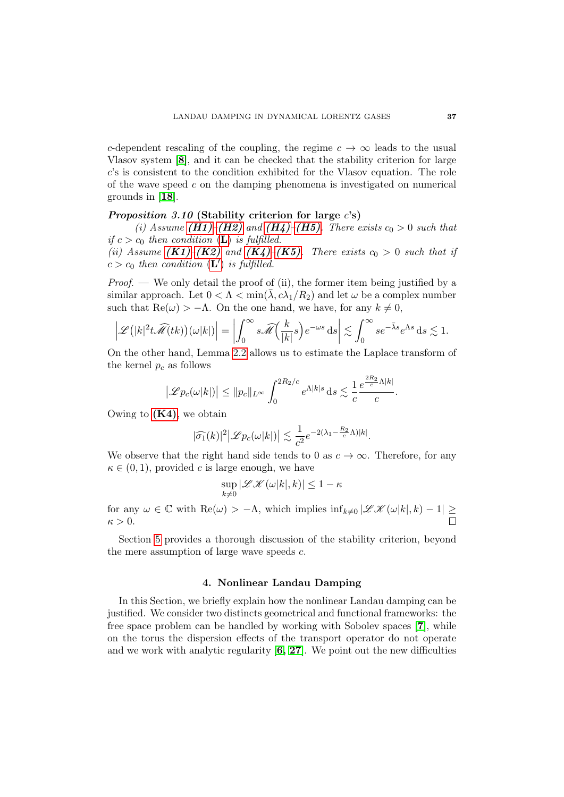c-dependent rescaling of the coupling, the regime  $c \to \infty$  leads to the usual Vlasov system [[8](#page-69-0)], and it can be checked that the stability criterion for large c's is consistent to the condition exhibited for the Vlasov equation. The role of the wave speed  $c$  on the damping phenomena is investigated on numerical grounds in [[18](#page-70-0)].

## <span id="page-36-0"></span>*Proposition 3.10* (Stability criterion for large  $c's$ )

(i) Assume [\(H1\)](#page-21-0)–[\(H2\)](#page-21-1) and [\(H4\)](#page-21-2)–[\(H5\)](#page-21-3). There exists  $c_0 > 0$  such that if  $c > c_0$  then condition ([L](#page-21-4)) is fulfilled.

(ii) Assume  $(K1)-(K2)$  $(K1)-(K2)$  $(K1)-(K2)$  and  $(K4)-(K5)$  $(K4)-(K5)$  $(K4)-(K5)$ . There exists  $c_0 > 0$  such that if  $c > c_0$  then condition  $(L')$  $(L')$  $(L')$  is fulfilled.

*Proof.* — We only detail the proof of (ii), the former item being justified by a similar approach. Let  $0 < \Lambda < \min(\bar{\lambda}, c\lambda_1/R_2)$  and let  $\omega$  be a complex number such that  $\text{Re}(\omega) > -\Lambda$ . On the one hand, we have, for any  $k \neq 0$ ,

$$
\left| \mathscr{L} \left( |k|^2 t \widehat{\mathscr{M}}(tk) \right) (\omega |k|) \right| = \left| \int_0^\infty s \widehat{\mathscr{M}} \left( \frac{k}{|k|} s \right) e^{-\omega s} \, \mathrm{d}s \right| \lesssim \int_0^\infty s e^{-\bar{\lambda} s} e^{\Lambda s} \, \mathrm{d}s \lesssim 1.
$$

On the other hand, Lemma [2.2](#page-11-0) allows us to estimate the Laplace transform of the kernel  $p_c$  as follows

$$
\left|\mathscr{L}p_c(\omega|k|)\right| \leq \|p_c\|_{L^\infty} \int_0^{2R_2/c} e^{\Lambda|k|s} \,\mathrm{d} s \lesssim \frac{1}{c} \frac{e^{\frac{2R_2}{c}\Lambda|k|}}{c}.
$$

Owing to  $(K4)$ , we obtain

$$
|\widehat{\sigma_1}(k)|^2 \big| \mathscr{L} p_c(\omega|k|) \big| \lesssim \frac{1}{c^2} e^{-2(\lambda_1 - \frac{R_2}{c}\Lambda)|k|}.
$$

We observe that the right hand side tends to 0 as  $c \to \infty$ . Therefore, for any  $\kappa \in (0,1)$ , provided c is large enough, we have

$$
\sup_{k\neq 0} |\mathcal{LK}(\omega|k|,k)| \leq 1-\kappa
$$

for any  $\omega \in \mathbb{C}$  with  $\text{Re}(\omega) > -\Lambda$ , which implies  $\inf_{k\neq 0} |\mathscr{L}\mathscr{K}(\omega|k|, k) - 1| \geq$  $\kappa > 0$ .

Section [5](#page-56-0) provides a thorough discussion of the stability criterion, beyond the mere assumption of large wave speeds c.

# 4. Nonlinear Landau Damping

In this Section, we briefly explain how the nonlinear Landau damping can be justified. We consider two distincts geometrical and functional frameworks: the free space problem can be handled by working with Sobolev spaces [[7](#page-69-1)], while on the torus the dispersion effects of the transport operator do not operate and we work with analytic regularity  $[6, 27]$  $[6, 27]$  $[6, 27]$  $[6, 27]$ . We point out the new difficulties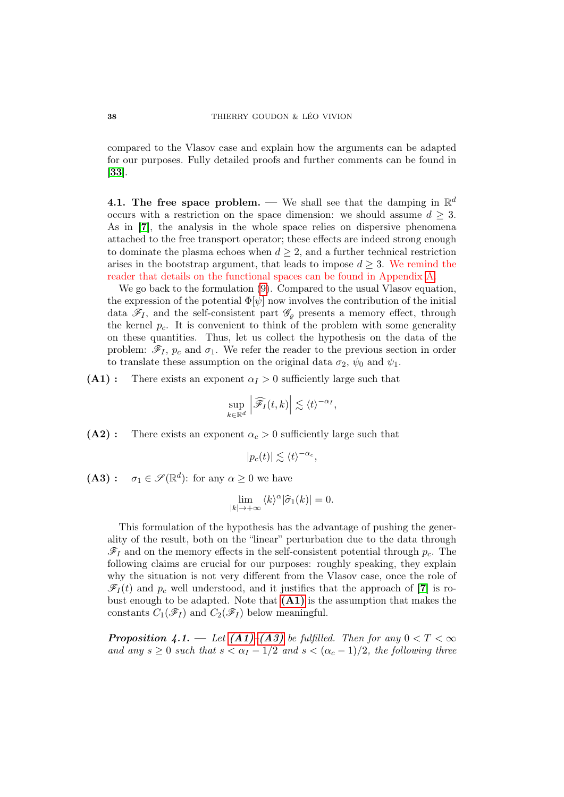compared to the Vlasov case and explain how the arguments can be adapted for our purposes. Fully detailed proofs and further comments can be found in [[33](#page-71-1)].

4.1. The free space problem. — We shall see that the damping in  $\mathbb{R}^d$ occurs with a restriction on the space dimension: we should assume  $d \geq 3$ . As in [[7](#page-69-1)], the analysis in the whole space relies on dispersive phenomena attached to the free transport operator; these effects are indeed strong enough to dominate the plasma echoes when  $d \geq 2$ , and a further technical restriction arises in the bootstrap argument, that leads to impose  $d \geq 3$ . We remind the reader that details on the functional spaces can be found in Appendix [A.](#page-65-0)

We go back to the formulation [\(9\)](#page-8-0). Compared to the usual Vlasov equation, the expression of the potential  $\Phi[\psi]$  now involves the contribution of the initial data  $\mathscr{F}_I$ , and the self-consistent part  $\mathscr{G}_{\varrho}$  presents a memory effect, through the kernel  $p_c$ . It is convenient to think of the problem with some generality on these quantities. Thus, let us collect the hypothesis on the data of the problem:  $\mathscr{F}_I$ ,  $p_c$  and  $\sigma_1$ . We refer the reader to the previous section in order to translate these assumption on the original data  $\sigma_2$ ,  $\psi_0$  and  $\psi_1$ .

<span id="page-37-0"></span> $(A1)$ : There exists an exponent  $\alpha_I > 0$  sufficiently large such that

$$
\sup_{k\in\mathbb{R}^d}\left|\widehat{\mathscr{F}_I}(t,k)\right|\lesssim \langle t\rangle^{-\alpha_I},
$$

<span id="page-37-2"></span> $(A2)$ : There exists an exponent  $\alpha_c > 0$  sufficiently large such that

$$
|p_c(t)| \lesssim \langle t \rangle^{-\alpha_c},
$$

<span id="page-37-1"></span>(A3):  $\sigma_1 \in \mathscr{S}(\mathbb{R}^d)$ : for any  $\alpha \geq 0$  we have

$$
\lim_{|k| \to +\infty} \langle k \rangle^{\alpha} |\hat{\sigma}_1(k)| = 0.
$$

This formulation of the hypothesis has the advantage of pushing the generality of the result, both on the "linear" perturbation due to the data through  $\mathscr{F}_I$  and on the memory effects in the self-consistent potential through  $p_c$ . The following claims are crucial for our purposes: roughly speaking, they explain why the situation is not very different from the Vlasov case, once the role of  $\mathscr{F}_I(t)$  and  $p_c$  well understood, and it justifies that the approach of [[7](#page-69-1)] is robust enough to be adapted. Note that  $(A1)$  is the assumption that makes the constants  $C_1(\mathscr{F}_I)$  and  $C_2(\mathscr{F}_I)$  below meaningful.

<span id="page-37-3"></span>**Proposition 4.1.** — Let  $(A1)$ – $(A3)$  be fulfilled. Then for any  $0 < T < \infty$ and any  $s \geq 0$  such that  $s < \alpha_I - 1/2$  and  $s < (\alpha_c - 1)/2$ , the following three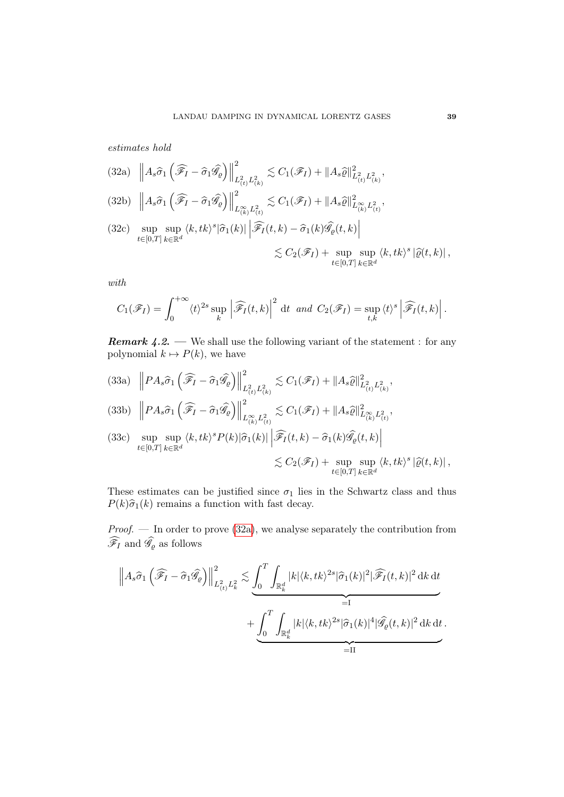estimates hold

<span id="page-38-0"></span>
$$
(32a) \quad \left\| A_s \widehat{\sigma}_1 \left( \widehat{\mathscr{F}}_I - \widehat{\sigma}_1 \widehat{\mathscr{G}}_\varrho \right) \right\|_{L^2_{(t)} L^2_{(k)}}^2 \lesssim C_1(\mathscr{F}_I) + \| A_s \widehat{\varrho} \|_{L^2_{(t)} L^2_{(k)}}^2,
$$

<span id="page-38-1"></span>
$$
(32b) \t\t \left\| A_s \widehat{\sigma}_1 \left( \widehat{\mathscr{F}}_I - \widehat{\sigma}_1 \widehat{\mathscr{G}}_\varrho \right) \right\|_{L_{(k)}^\infty L_{(t)}^2}^2 \lesssim C_1(\mathscr{F}_I) + \| A_s \widehat{\varrho} \|_{L_{(k)}^\infty L_{(t)}^2}^2,
$$

<span id="page-38-2"></span>
$$
(32c) \sup_{t \in [0,T]} \sup_{k \in \mathbb{R}^d} \langle k, tk \rangle^s |\hat{\sigma}_1(k)| \left| \widehat{\mathscr{F}_I}(t,k) - \hat{\sigma}_1(k) \widehat{\mathscr{G}_\varrho}(t,k) \right|
$$
  

$$
\lesssim C_2(\mathscr{F}_I) + \sup_{t \in [0,T]} \sup_{k \in \mathbb{R}^d} \langle k, tk \rangle^s |\hat{\varrho}(t,k)|,
$$

with

$$
C_1(\mathscr{F}_I) = \int_0^{+\infty} \langle t \rangle^{2s} \sup_k \left| \widehat{\mathscr{F}_I}(t,k) \right|^2 dt \text{ and } C_2(\mathscr{F}_I) = \sup_{t,k} \langle t \rangle^s \left| \widehat{\mathscr{F}_I}(t,k) \right|.
$$

<span id="page-38-3"></span>**Remark 4.2.** — We shall use the following variant of the statement : for any polynomial  $k \mapsto P(k)$ , we have

 $\left\|PA_s\widehat{\sigma}_1\left(\widehat{\mathscr{F}}_I-\widehat{\sigma}_1\widehat{\mathscr{G}}_\varrho\right)\right\|$ 2  $(33a)$   $\left\|PA_s\widehat{\sigma}_1\left(\widehat{\mathscr{F}}_I-\widehat{\sigma}_1\widehat{\mathscr{G}}_\varrho\right)\right\|_{L^2_{(t)}L^2_{(k)}}^2 \lesssim C_1(\mathscr{F}_I)+\|A_s\widehat{\varrho}\|_{L^2_{(t)}L^2_{(k)}}^2,$ 

$$
(33b) \left\| P A_s \widehat{\sigma}_1 \left( \widehat{\mathscr{F}}_I - \widehat{\sigma}_1 \widehat{\mathscr{G}}_\varrho \right) \right\|_{L_{(k)}^\infty L_{(t)}^2}^2 \lesssim C_1(\mathscr{F}_I) + \| A_s \widehat{\varrho} \|_{L_{(k)}^\infty L_{(t)}^2}^2,
$$

(33c) 
$$
\sup_{t \in [0,T]} \sup_{k \in \mathbb{R}^d} \langle k, tk \rangle^s P(k) | \hat{\sigma}_1(k) | \left| \widehat{\mathcal{F}_I}(t,k) - \hat{\sigma}_1(k) \widehat{\mathcal{G}_\varrho}(t,k) \right|
$$
  

$$
\lesssim C_2(\mathcal{F}_I) + \sup_{t \in [0,T]} \sup_{k \in \mathbb{R}^d} \langle k, tk \rangle^s |\hat{\varrho}(t,k)|,
$$

These estimates can be justified since  $\sigma_1$  lies in the Schwartz class and thus  $P(k)\hat{\sigma}_1(k)$  remains a function with fast decay.

Proof. — In order to prove [\(32a\)](#page-38-0), we analyse separately the contribution from  $\mathscr{F}_I$  and  $\mathscr{G}_\varrho$  as follows

$$
\left\| A_s \hat{\sigma}_1 \left( \widehat{\mathcal{F}}_I - \hat{\sigma}_1 \widehat{\mathcal{G}}_\varrho \right) \right\|_{L^2_{(t)} L^2_k}^2 \lesssim \underbrace{\int_0^T \int_{\mathbb{R}_k^d} |k| \langle k, tk \rangle^{2s} |\hat{\sigma}_1(k)|^2 |\widehat{\mathcal{F}}_I(t, k)|^2 \, \mathrm{d}k \, \mathrm{d}t}_{=I} + \underbrace{\int_0^T \int_{\mathbb{R}_k^d} |k| \langle k, tk \rangle^{2s} |\hat{\sigma}_1(k)|^4 |\widehat{\mathcal{G}}_\varrho(t, k)|^2 \, \mathrm{d}k \, \mathrm{d}t}_{=II}.
$$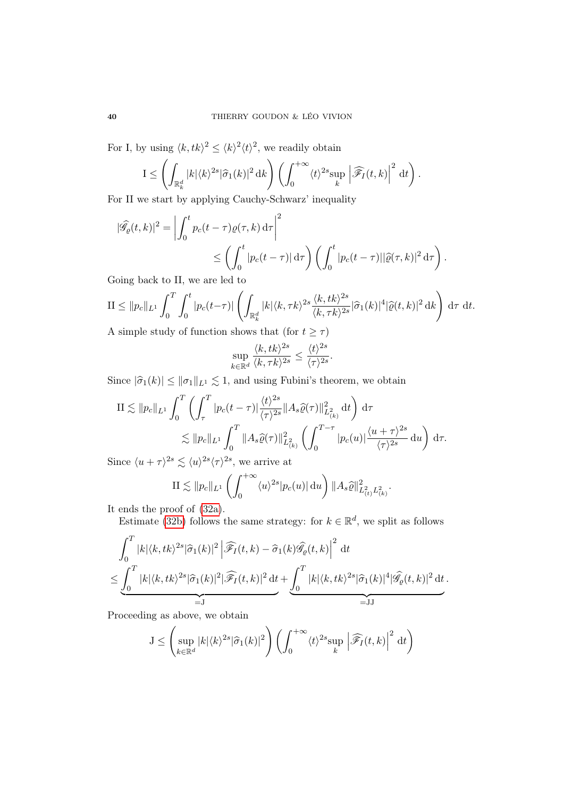For I, by using  $\langle k, tk \rangle^2 \le \langle k \rangle^2 \langle t \rangle^2$ , we readily obtain

$$
I \leq \left( \int_{\mathbb{R}_k^d} |k| \langle k \rangle^{2s} |\widehat{\sigma}_1(k)|^2 \, \mathrm{d}k \right) \left( \int_0^{+\infty} \langle k \rangle^{2s} \sup_k \left| \widehat{\mathscr{F}_I}(t,k) \right|^2 \, \mathrm{d}t \right).
$$

For II we start by applying Cauchy-Schwarz' inequality

$$
|\widehat{\mathscr{G}}_{\varrho}(t,k)|^2 = \left| \int_0^t p_c(t-\tau) \varrho(\tau,k) d\tau \right|^2
$$
  
\$\leq \left( \int\_0^t |p\_c(t-\tau)| d\tau \right) \left( \int\_0^t |p\_c(t-\tau)| |\widehat{\varrho}(\tau,k)|^2 d\tau \right)\$.

Going back to II, we are led to

$$
\mathrm{II} \leq \|p_c\|_{L^1} \int_0^T \int_0^t |p_c(t-\tau)| \left( \int_{\mathbb{R}_k^d} |k| \langle k, \tau k \rangle^{2s} \frac{\langle k, tk \rangle^{2s}}{\langle k, \tau k \rangle^{2s}} |\widehat{\sigma}_1(k)|^4 |\widehat{\varrho}(t,k)|^2 \, \mathrm{d}k \right) \, \mathrm{d}\tau \, \mathrm{d}t.
$$

A simple study of function shows that (for  $t \geq \tau$ )

$$
\sup_{k \in \mathbb{R}^d} \frac{\langle k, tk \rangle^{2s}}{\langle k, \tau k \rangle^{2s}} \le \frac{\langle t \rangle^{2s}}{\langle \tau \rangle^{2s}}.
$$

Since  $|\hat{\sigma}_1(k)| \le ||\sigma_1||_{L^1} \lesssim 1$ , and using Fubini's theorem, we obtain

$$
\Pi \lesssim \|p_c\|_{L^1} \int_0^T \left( \int_\tau^T |p_c(t-\tau)| \frac{\langle t \rangle^{2s}}{\langle \tau \rangle^{2s}} \|A_s \hat{\varrho}(\tau)\|_{L^2(\kappa)}^2 dt \right) d\tau
$$
  

$$
\lesssim \|p_c\|_{L^1} \int_0^T \|A_s \hat{\varrho}(\tau)\|_{L^2(\kappa)}^2 \left( \int_0^{T-\tau} |p_c(u)| \frac{\langle u + \tau \rangle^{2s}}{\langle \tau \rangle^{2s}} du \right) d\tau.
$$

Since  $\langle u + \tau \rangle^{2s} \lesssim \langle u \rangle^{2s} \langle \tau \rangle^{2s}$ , we arrive at

$$
\mathrm{II} \lesssim \|p_c\|_{L^1} \left( \int_0^{+\infty} \langle u \rangle^{2s} |p_c(u)| \, \mathrm{d}u \right) \|A_s \widehat{\varrho}\|_{L^2(t) L^2(x)}^2.
$$

It ends the proof of [\(32a\)](#page-38-0).

Estimate [\(32b\)](#page-38-1) follows the same strategy: for  $k \in \mathbb{R}^d$ , we split as follows

$$
\int_0^T |k| \langle k, tk \rangle^{2s} |\hat{\sigma}_1(k)|^2 \left| \widehat{\mathscr{F}_I}(t,k) - \hat{\sigma}_1(k) \widehat{\mathscr{G}_\varrho}(t,k) \right|^2 dt
$$
  
\n
$$
\leq \underbrace{\int_0^T |k| \langle k, tk \rangle^{2s} |\hat{\sigma}_1(k)|^2 |\widehat{\mathscr{F}_I}(t,k)|^2 dt}_{=:J} + \underbrace{\int_0^T |k| \langle k, tk \rangle^{2s} |\hat{\sigma}_1(k)|^4 |\widehat{\mathscr{G}_\varrho}(t,k)|^2 dt}_{=:JJ}.
$$

Proceeding as above, we obtain

$$
J \leq \left(\sup_{k \in \mathbb{R}^d} |k| \langle k \rangle^{2s} |\hat{\sigma}_1(k)|^2\right) \left(\int_0^{+\infty} \langle t \rangle^{2s} \sup_k \left|\widehat{\mathscr{F}}_I(t,k)\right|^2 dt\right)
$$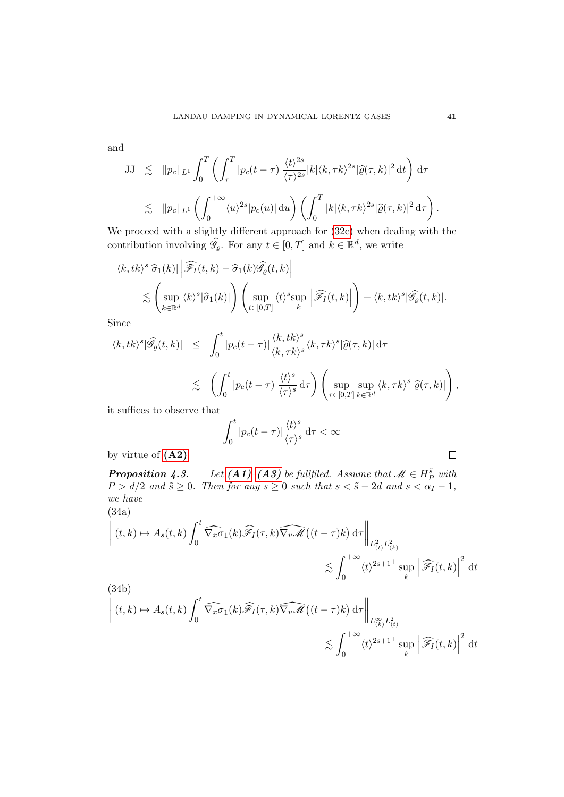and

$$
JJ \precsim ||p_c||_{L^1} \int_0^T \left( \int_\tau^T |p_c(t-\tau)| \frac{\langle t \rangle^{2s}}{\langle \tau \rangle^{2s}} |k| \langle k, \tau k \rangle^{2s} |\widehat{\varrho}(\tau, k)|^2 dt \right) d\tau
$$
  

$$
\lesssim ||p_c||_{L^1} \left( \int_0^{+\infty} \langle u \rangle^{2s} |p_c(u)| du \right) \left( \int_0^T |k| \langle k, \tau k \rangle^{2s} |\widehat{\varrho}(\tau, k)|^2 d\tau \right).
$$

We proceed with a slightly different approach for [\(32c\)](#page-38-2) when dealing with the contribution involving  $\widehat{\mathscr{G}}_{\rho}$ . For any  $t \in [0, T]$  and  $k \in \mathbb{R}^d$ , we write

$$
\langle k, tk \rangle^{s} |\hat{\sigma}_{1}(k)| \left| \widehat{\mathscr{F}}_{I}(t,k) - \hat{\sigma}_{1}(k) \widehat{\mathscr{G}}_{\varrho}(t,k) \right|
$$
  

$$
\lesssim \left( \sup_{k \in \mathbb{R}^{d}} \langle k \rangle^{s} |\hat{\sigma}_{1}(k)| \right) \left( \sup_{t \in [0,T]} \langle t \rangle^{s} \sup_{k} \left| \widehat{\mathscr{F}}_{I}(t,k) \right| \right) + \langle k, tk \rangle^{s} |\widehat{\mathscr{G}}_{\varrho}(t,k)|.
$$

Since

$$
\langle k, tk \rangle^{s} |\widehat{\mathscr{G}}_{\varrho}(t,k)| \leq \int_{0}^{t} |p_{c}(t-\tau)| \frac{\langle k, tk \rangle^{s}}{\langle k, \tau k \rangle^{s}} \langle k, \tau k \rangle^{s} |\widehat{\varrho}(\tau,k)| d\tau
$$
  

$$
\lesssim \left( \int_{0}^{t} |p_{c}(t-\tau)| \frac{\langle t \rangle^{s}}{\langle \tau \rangle^{s}} d\tau \right) \left( \sup_{\tau \in [0,T]} \sup_{k \in \mathbb{R}^{d}} \langle k, \tau k \rangle^{s} |\widehat{\varrho}(\tau,k)| \right),
$$

it suffices to observe that

$$
\int_0^t |p_c(t-\tau)| \frac{\langle t \rangle^s}{\langle \tau \rangle^s} \, \mathrm{d}\tau < \infty
$$

by virtue of [\(A2\)](#page-37-2).

<span id="page-40-0"></span>**Proposition 4.3.** — Let  $(A1)$ – $(A3)$  be fullfiled. Assume that  $\mathscr{M} \in H_P^{\tilde{s}}$  with  $P > d/2$  and  $\tilde{s} \ge 0$ . Then for any  $s \ge 0$  such that  $s < \tilde{s} - 2d$  and  $s < \alpha_I - 1$ , we have (34a)

$$
\left\| (t,k) \mapsto A_s(t,k) \int_0^t \widehat{\nabla_x \sigma}_1(k) \widehat{\mathscr{F}_I}(\tau,k) \widehat{\nabla_v \mathscr{M}} \left( (t-\tau)k \right) d\tau \right\|_{L^2_{(t)} L^2_{(k)}} \leq \int_0^{+\infty} \langle t \rangle^{2s+1^+} \sup_k \left| \widehat{\mathscr{F}_I} (t,k) \right|^2 dt
$$

(34b)  
\n
$$
\left\| (t,k) \mapsto A_s(t,k) \int_0^t \widehat{\nabla_x \sigma}_1(k) \widehat{\mathscr{F}_I}(\tau,k) \widehat{\nabla_v \mathscr{M}}((t-\tau)k) d\tau \right\|_{L_{(k)}^\infty L_{(t)}^2}
$$
\n
$$
\lesssim \int_0^{+\infty} \langle t \rangle^{2s+1^+} \sup_k \left| \widehat{\mathscr{F}_I}(t,k) \right|^2 dt
$$

 $\Box$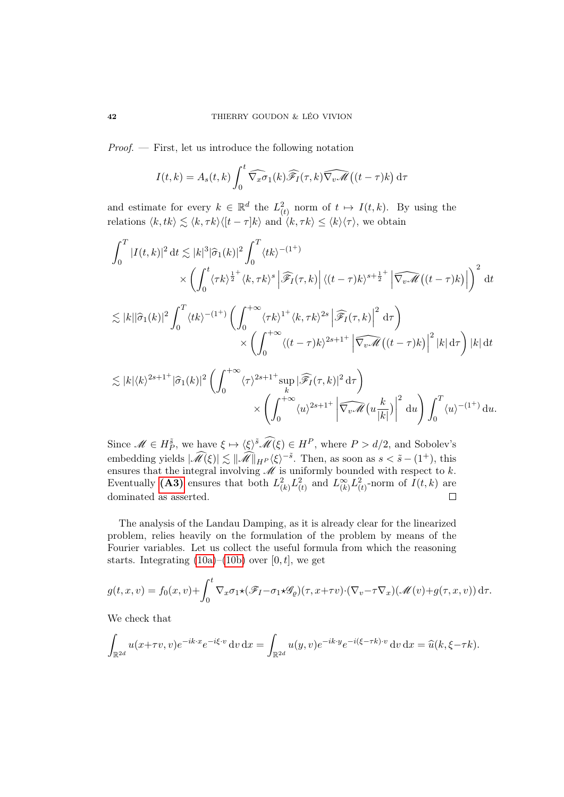Proof. — First, let us introduce the following notation

$$
I(t,k) = A_s(t,k) \int_0^t \widehat{\nabla_x \sigma}_1(k) \widehat{\mathscr{F}_I}(\tau,k) \widehat{\nabla_v \mathscr{M}} \left( (t-\tau)k \right) d\tau
$$

and estimate for every  $k \in \mathbb{R}^d$  the  $L^2_{(t)}$  norm of  $t \mapsto I(t, k)$ . By using the relations  $\langle k, tk \rangle \lesssim \langle k, \tau k \rangle \langle [t - \tau]k \rangle$  and  $\langle k, \tau k \rangle \leq \langle k \rangle \langle \tau \rangle$ , we obtain

$$
\int_{0}^{T} |I(t,k)|^{2} dt \lesssim |k|^{3} |\hat{\sigma}_{1}(k)|^{2} \int_{0}^{T} \langle tk \rangle^{-(1^{+})} \times \left( \int_{0}^{t} \langle \tau k \rangle^{\frac{1}{2}^{+}} \langle k, \tau k \rangle^{s} \left| \widehat{\mathscr{F}_{I}}(\tau,k) \right| \langle (t-\tau)k \rangle^{s+\frac{1}{2}^{+}} \left| \widehat{\nabla_{v} \mathscr{M}}((t-\tau)k) \right| \right)^{2} dt
$$
  

$$
\lesssim |k| |\hat{\sigma}_{1}(k)|^{2} \int_{0}^{T} \langle tk \rangle^{-(1^{+})} \left( \int_{0}^{+\infty} \langle \tau k \rangle^{1^{+}} \langle k, \tau k \rangle^{2s} \left| \widehat{\mathscr{F}_{I}}(\tau,k) \right|^{2} d\tau \right) \times \left( \int_{0}^{+\infty} \langle (t-\tau)k \rangle^{2s+1^{+}} \left| \widehat{\nabla_{v} \mathscr{M}}((t-\tau)k) \right|^{2} |k| d\tau \right) |k| dt
$$
  

$$
\lesssim |k| \langle k \rangle^{2s+1^{+}} |\hat{\sigma}_{1}(k)|^{2} \left( \int_{0}^{+\infty} \langle \tau \rangle^{2s+1^{+}} \sup_{k} |\widehat{\mathscr{F}_{I}}(\tau,k)|^{2} d\tau \right)
$$

$$
\times \left( \int_0^{+\infty} \langle u \rangle^{2s+1^+} \left| \widehat{\nabla_v \mathcal{M}} \left( u \frac{k}{|k|} \right) \right|^2 du \right) \int_0^T \langle u \rangle^{-(1^+)} du.
$$
  
Since  $\mathcal{M} \in H_P^{\tilde{s}}$ , we have  $\xi \mapsto \langle \xi \rangle^{\tilde{s}} \widehat{\mathcal{M}}(\xi) \in H^P$ , where  $P > d/2$ , and Sobolev's

embedding yields  $|\widehat{\mathcal{M}}(\xi)| \lesssim ||\widehat{\mathcal{M}}||_{H^P} \langle \xi \rangle^{-\tilde{s}}$ . Then, as soon as  $s < \tilde{s} - (1^+)$ , this ensures that the integral involving  $\mathcal M$  is uniformly bounded with respect to k. Eventually [\(A3\)](#page-37-1) ensures that both  $L^2_{(k)} L^2_{(t)}$  and  $L^{\infty}_{(k)} L^2_{(t)}$ -norm of  $I(t, k)$  are dominated as asserted.  $\Box$ 

The analysis of the Landau Damping, as it is already clear for the linearized problem, relies heavily on the formulation of the problem by means of the Fourier variables. Let us collect the useful formula from which the reasoning starts. Integrating  $(10a)$ – $(10b)$  over  $[0, t]$ , we get

$$
g(t, x, v) = f_0(x, v) + \int_0^t \nabla_x \sigma_1 \star (\mathscr{F}_I - \sigma_1 \star \mathscr{G}_{\rho})(\tau, x + \tau v) \cdot (\nabla_v - \tau \nabla_x) (\mathscr{M}(v) + g(\tau, x, v)) d\tau.
$$

We check that

$$
\int_{\mathbb{R}^{2d}} u(x+\tau v, v)e^{-ik\cdot x}e^{-i\xi\cdot v} dv dx = \int_{\mathbb{R}^{2d}} u(y,v)e^{-ik\cdot y}e^{-i(\xi-\tau k)\cdot v} dv dx = \widehat{u}(k,\xi-\tau k).
$$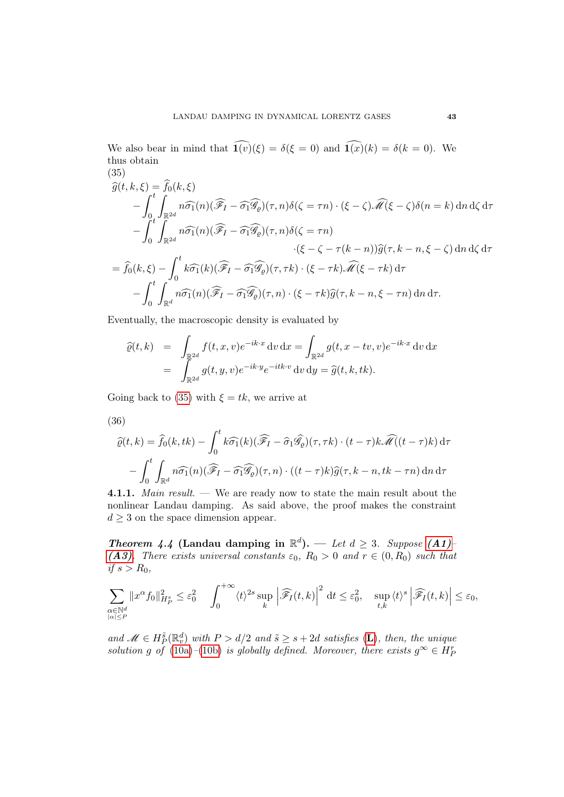We also bear in mind that  $\widehat{\mathbf{1}(v)}(\xi) = \delta(\xi = 0)$  and  $\widehat{\mathbf{1}(x)}(k) = \delta(k = 0)$ . We thus obtain (35)

<span id="page-42-0"></span>
$$
\widehat{g}(t,k,\xi) = \widehat{f}_0(k,\xi)
$$
\n
$$
-\int_0^t \int_{\mathbb{R}^{2d}} n \widehat{\sigma}_1(n) (\widehat{\mathscr{F}}_I - \widehat{\sigma}_1 \widehat{\mathscr{G}}_\varrho)(\tau,n) \delta(\zeta = \tau n) \cdot (\xi - \zeta) \widehat{\mathscr{M}}(\xi - \zeta) \delta(n = k) \, d\eta \, d\zeta \, d\tau
$$
\n
$$
-\int_0^t \int_{\mathbb{R}^{2d}} n \widehat{\sigma}_1(n) (\widehat{\mathscr{F}}_I - \widehat{\sigma}_1 \widehat{\mathscr{G}}_\varrho)(\tau,n) \delta(\zeta = \tau n)
$$
\n
$$
\cdot (\xi - \zeta - \tau(k - n)) \widehat{g}(\tau, k - n, \xi - \zeta) \, d\eta \, d\zeta \, d\tau
$$
\n
$$
= \widehat{f}_0(k,\xi) - \int_0^t k \widehat{\sigma}_1(k) (\widehat{\mathscr{F}}_I - \widehat{\sigma}_1 \widehat{\mathscr{G}}_\varrho)(\tau,\tau k) \cdot (\xi - \tau k) \widehat{\mathscr{M}}(\xi - \tau k) \, d\tau
$$
\n
$$
-\int_0^t \int_{\mathbb{R}^d} n \widehat{\sigma}_1(n) (\widehat{\mathscr{F}}_I - \widehat{\sigma}_1 \widehat{\mathscr{G}}_\varrho)(\tau,n) \cdot (\xi - \tau k) \widehat{g}(\tau, k - n, \xi - \tau n) \, d\eta \, d\tau.
$$

Eventually, the macroscopic density is evaluated by

$$
\begin{array}{rcl}\n\widehat{\varrho}(t,k) & = & \int_{\mathbb{R}^{2d}} f(t,x,v)e^{-ik\cdot x} \, \mathrm{d}v \, \mathrm{d}x = \int_{\mathbb{R}^{2d}} g(t,x-tv,v)e^{-ik\cdot x} \, \mathrm{d}v \, \mathrm{d}x \\
& = & \int_{\mathbb{R}^{2d}} g(t,y,v)e^{-ik\cdot y}e^{-itk\cdot v} \, \mathrm{d}v \, \mathrm{d}y = \widehat{g}(t,k,tk).\n\end{array}
$$

Going back to [\(35\)](#page-42-0) with  $\xi = tk$ , we arrive at

<span id="page-42-2"></span>
$$
(36)
$$

$$
\widehat{\varrho}(t,k) = \widehat{f}_0(k,tk) - \int_0^t k \widehat{\sigma}_1(k) (\widehat{\mathscr{F}}_I - \widehat{\sigma}_1 \widehat{\mathscr{G}}_0)(\tau,\tau k) \cdot (t-\tau)k \widehat{\mathscr{M}}((t-\tau)k) d\tau
$$

$$
- \int_0^t \int_{\mathbb{R}^d} n \widehat{\sigma}_1(n) (\widehat{\mathscr{F}}_I - \widehat{\sigma}_1 \widehat{\mathscr{G}}_0)(\tau,n) \cdot ((t-\tau)k) \widehat{g}(\tau,k-n,tk-\tau n) dn d\tau
$$

4.1.1. Main result. — We are ready now to state the main result about the nonlinear Landau damping. As said above, the proof makes the constraint  $d > 3$  on the space dimension appear.

<span id="page-42-1"></span>**Theorem 4.4 (Landau damping in**  $\mathbb{R}^d$ **).** — Let  $d \geq 3$ . Suppose [\(A1\)](#page-37-0)-[\(A3\)](#page-37-1). There exists universal constants  $\varepsilon_0$ ,  $R_0 > 0$  and  $r \in (0, R_0)$  such that if  $s > R_0$ ,

$$
\sum_{\substack{\alpha \in \mathbb{N}^d \\ |\alpha| \le P}} \|x^{\alpha} f_0\|_{H_P^s}^2 \le \varepsilon_0^2 \quad \int_0^{+\infty} \langle t \rangle^{2s} \sup_k \left| \widehat{\mathscr{F}}_I(t,k) \right|^2 dt \le \varepsilon_0^2, \quad \sup_{t,k} \langle t \rangle^s \left| \widehat{\mathscr{F}}_I(t,k) \right| \le \varepsilon_0,
$$

and  $\mathscr{M} \in H_P^{\tilde{s}}(\mathbb{R}^d_v)$  with  $P > d/2$  and  $\tilde{s} \geq s + 2d$  satisfies (**[L](#page-21-4)**), then, the unique solution g of [\(10a\)](#page-8-1)–[\(10b\)](#page-8-2) is globally defined. Moreover, there exists  $g^{\infty} \in H^r_P$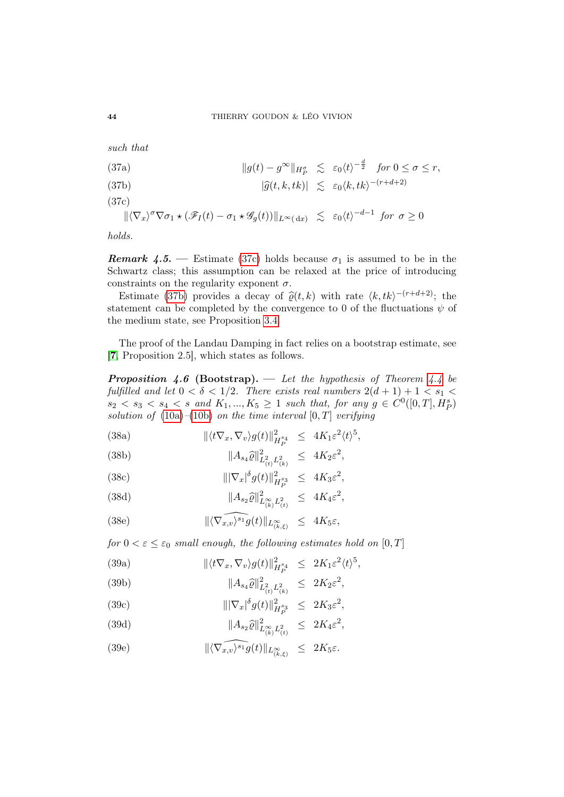such that

<span id="page-43-1"></span>(37a)  
\n
$$
||g(t) - g^{\infty}||_{H_P^{\sigma}} \lesssim \varepsilon_0 \langle t \rangle^{-\frac{d}{2}} \quad \text{for } 0 \le \sigma \le r,
$$
\n(37b)  
\n
$$
|\widehat{g}(t, k, tk)| \lesssim \varepsilon_0 \langle k, tk \rangle^{-(r+d+2)}
$$

<span id="page-43-0"></span>(37c)

$$
\|\langle \nabla_x \rangle^{\sigma} \nabla \sigma_1 \star (\mathscr{F}_I(t) - \sigma_1 \star \mathscr{G}_g(t))\|_{L^{\infty}(\mathrm{d}x)} \leq \varepsilon_0 \langle t \rangle^{-d-1} \text{ for } \sigma \geq 0
$$

holds.

**Remark 4.5.** — Estimate [\(37c\)](#page-43-0) holds because  $\sigma_1$  is assumed to be in the Schwartz class; this assumption can be relaxed at the price of introducing constraints on the regularity exponent  $\sigma$ .

Estimate [\(37b\)](#page-43-1) provides a decay of  $\hat{\varrho}(t, k)$  with rate  $\langle k, tk \rangle^{-(r+d+2)}$ ; the statement can be completed by the convergence to 0 of the fluctuations  $\psi$  of the medium state, see Proposition [3.4.](#page-25-0)

The proof of the Landau Damping in fact relies on a bootstrap estimate, see [[7](#page-69-1), Proposition 2.5], which states as follows.

<span id="page-43-2"></span>**Proposition 4.6 (Bootstrap).** — Let the hypothesis of Theorem [4.4](#page-42-1) be fulfilled and let  $0 < \delta < 1/2$ . There exists real numbers  $2(d+1) + 1 < s_1$  $s_2 < s_3 < s_4 < s$  and  $K_1, ..., K_5 \ge 1$  such that, for any  $g \in C^0([0, T], H_P^s)$ solution of  $(10a)$ – $(10b)$  on the time interval  $[0, T]$  verifying

<span id="page-43-4"></span>(38a) 
$$
\|\langle t\nabla_x, \nabla_v\rangle g(t)\|_{H_P^{s_4}}^2 \le 4K_1 \varepsilon^2 \langle t\rangle^5,
$$

<span id="page-43-5"></span>(38b) 
$$
||A_{s_4}\hat{\varrho}||^2_{L^2_{(t)}L^2_{(k)}} \leq 4K_2\varepsilon^2,
$$

(38c) 
$$
\|\nabla_x|^{\delta} g(t)\|_{H_P^{s_3}}^2 \le 4K_3 \varepsilon^2,
$$

(38d) 
$$
||A_{s_2}\widehat{\varrho}||^2_{L^{\infty}_{(k)}L^2_{(t)}} \leq 4K_4\varepsilon^2,
$$

<span id="page-43-3"></span>(38e) 
$$
\|\langle \widehat{\nabla_{x,v}}\rangle^{s_1} g(t)\|_{L_{(k,\xi)}^{\infty}} \leq 4K_5\varepsilon,
$$

for  $0 < \varepsilon \leq \varepsilon_0$  small enough, the following estimates hold on  $[0, T]$ 

(39a) 
$$
\|\langle t\nabla_x, \nabla_v\rangle g(t)\|_{H_P^{s_4}}^2 \leq 2K_1 \varepsilon^2 \langle t\rangle^5,
$$

<span id="page-43-6"></span>(39b) 
$$
||A_{s_4}\hat{\varrho}||^2_{L^2_{(t)}L^2_{(k)}} \leq 2K_2\varepsilon^2,
$$

(39c) 
$$
\|\nabla_x|^{\delta} g(t)\|_{H_P^{s_3}}^2 \le 2K_3 \varepsilon^2,
$$

(39d) 
$$
||A_{s_2}\hat{\varrho}||^2_{L^{\infty}_{(k)}L^2_{(t)}} \leq 2K_4\varepsilon^2,
$$

(39e) 
$$
\|\langle \widehat{\nabla_{x,v}} \rangle^{s_1} g(t) \|_{L_{(k,\xi)}^{\infty}} \leq 2K_5 \varepsilon.
$$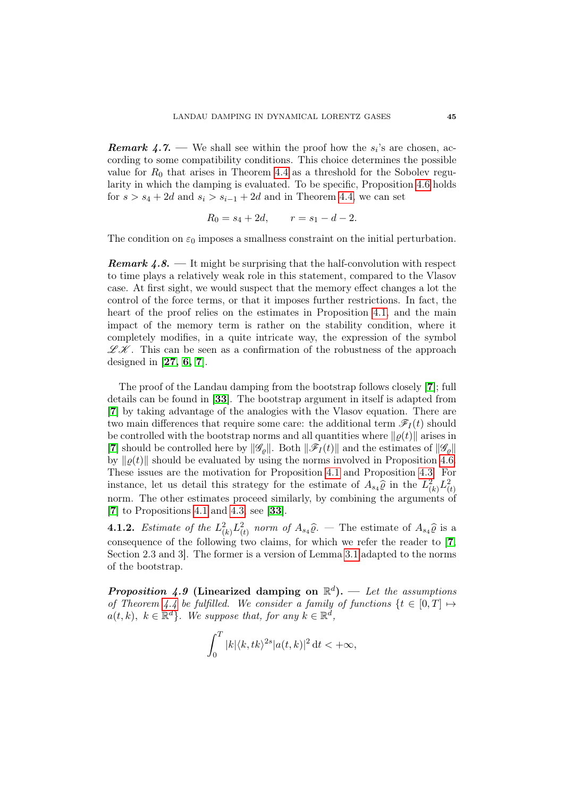**Remark 4.7.** — We shall see within the proof how the  $s_i$ 's are chosen, according to some compatibility conditions. This choice determines the possible value for  $R_0$  that arises in Theorem [4.4](#page-42-1) as a threshold for the Sobolev regularity in which the damping is evaluated. To be specific, Proposition [4.6](#page-43-2) holds for  $s > s_4 + 2d$  and  $s_i > s_{i-1} + 2d$  and in Theorem [4.4,](#page-42-1) we can set

$$
R_0 = s_4 + 2d, \qquad r = s_1 - d - 2.
$$

The condition on  $\varepsilon_0$  imposes a smallness constraint on the initial perturbation.

**Remark 4.8.** — It might be surprising that the half-convolution with respect to time plays a relatively weak role in this statement, compared to the Vlasov case. At first sight, we would suspect that the memory effect changes a lot the control of the force terms, or that it imposes further restrictions. In fact, the heart of the proof relies on the estimates in Proposition [4.1,](#page-37-3) and the main impact of the memory term is rather on the stability condition, where it completely modifies, in a quite intricate way, the expression of the symbol  $\mathscr{L} \mathscr{K}$ . This can be seen as a confirmation of the robustness of the approach designed in  $[27, 6, 7]$  $[27, 6, 7]$  $[27, 6, 7]$  $[27, 6, 7]$  $[27, 6, 7]$ .

The proof of the Landau damping from the bootstrap follows closely [[7](#page-69-1)]; full details can be found in [[33](#page-71-1)]. The bootstrap argument in itself is adapted from [[7](#page-69-1)] by taking advantage of the analogies with the Vlasov equation. There are two main differences that require some care: the additional term  $\mathscr{F}_I(t)$  should be controlled with the bootstrap norms and all quantities where  $\|\varrho(t)\|$  arises in [[7](#page-69-1)] should be controlled here by  $\|\mathscr{G}_{\rho}\|$ . Both  $\|\mathscr{F}_{I}(t)\|$  and the estimates of  $\|\mathscr{G}_{\rho}\|$ by  $\|\varrho(t)\|$  should be evaluated by using the norms involved in Proposition [4.6.](#page-43-2) These issues are the motivation for Proposition [4.1](#page-37-3) and Proposition [4.3.](#page-40-0) For instance, let us detail this strategy for the estimate of  $A_{s_4}\hat{\varrho}$  in the  $L^2_{(k)}L^2_{(t)}$ norm. The other estimates proceed similarly, by combining the arguments of [[7](#page-69-1)] to Propositions [4.1](#page-37-3) and [4.3,](#page-40-0) see [[33](#page-71-1)].

**4.1.2.** Estimate of the  $L^2_{(k)}L^2_{(t)}$  norm of  $A_{s_4}\hat{\varrho}$ . The estimate of  $A_{s_4}\hat{\varrho}$  is a consequence of the following two claims, for which we refer the reader to [[7](#page-69-1), Section 2.3 and 3]. The former is a version of Lemma [3.1](#page-21-5) adapted to the norms of the bootstrap.

<span id="page-44-0"></span>**Proposition 4.9 (Linearized damping on**  $\mathbb{R}^d$ **).** — Let the assumptions of Theorem [4.4](#page-42-1) be fulfilled. We consider a family of functions  $\{t \in [0, T] \mapsto$  $a(t, k), k \in \mathbb{R}^d$ . We suppose that, for any  $k \in \mathbb{R}^d$ ,

$$
\int_0^T |k| \langle k, tk \rangle^{2s} |a(t, k)|^2 dt < +\infty,
$$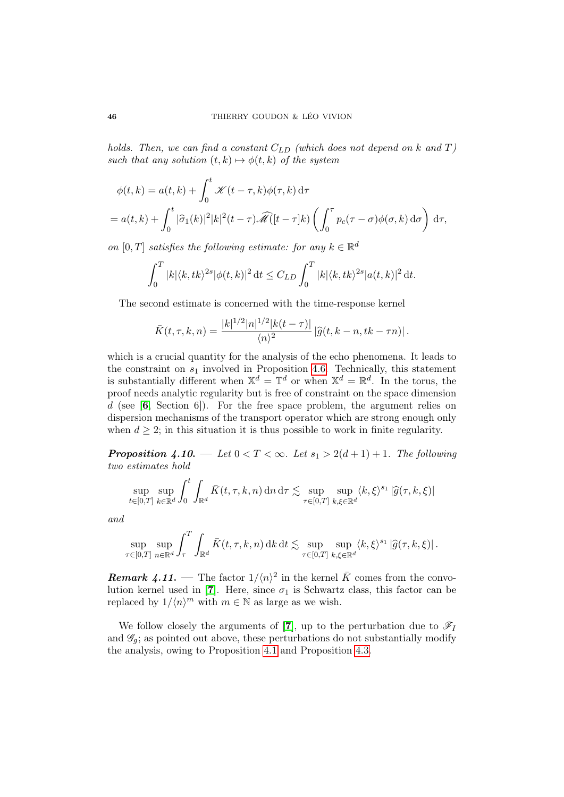holds. Then, we can find a constant  $C_{LD}$  (which does not depend on k and T) such that any solution  $(t, k) \mapsto \phi(t, k)$  of the system

$$
\phi(t,k) = a(t,k) + \int_0^t \mathcal{K}(t-\tau,k)\phi(\tau,k) d\tau
$$
  
=  $a(t,k) + \int_0^t |\hat{\sigma}_1(k)|^2 |k|^2(t-\tau)\widehat{\mathcal{M}}([t-\tau]k) \left(\int_0^{\tau} p_c(\tau-\sigma)\phi(\sigma,k) d\sigma\right) d\tau,$ 

on [0, T] satisfies the following estimate: for any  $k \in \mathbb{R}^d$ 

$$
\int_0^T |k| \langle k, tk \rangle^{2s} |\phi(t, k)|^2 dt \le C_{LD} \int_0^T |k| \langle k, tk \rangle^{2s} |a(t, k)|^2 dt.
$$

The second estimate is concerned with the time-response kernel

$$
\bar{K}(t, \tau, k, n) = \frac{|k|^{1/2} |n|^{1/2} |k(t - \tau)|}{\langle n \rangle^2} |\widehat{g}(t, k - n, tk - \tau n)|.
$$

which is a crucial quantity for the analysis of the echo phenomena. It leads to the constraint on  $s_1$  involved in Proposition [4.6.](#page-43-2) Technically, this statement is substantially different when  $\mathbb{X}^d = \mathbb{T}^d$  or when  $\mathbb{X}^d = \mathbb{R}^d$ . In the torus, the proof needs analytic regularity but is free of constraint on the space dimension d (see  $[6, \text{ Section 6}]$  $[6, \text{ Section 6}]$  $[6, \text{ Section 6}]$ ). For the free space problem, the argument relies on dispersion mechanisms of the transport operator which are strong enough only when  $d \geq 2$ ; in this situation it is thus possible to work in finite regularity.

<span id="page-45-0"></span>**Proposition 4.10.** — Let  $0 < T < \infty$ . Let  $s_1 > 2(d+1) + 1$ . The following two estimates hold

$$
\sup_{t\in[0,T]}\sup_{k\in\mathbb{R}^d}\int_0^t\int_{\mathbb{R}^d}\bar{K}(t,\tau,k,n)\,\mathrm{d} n\,\mathrm{d}\tau\lesssim \sup_{\tau\in[0,T]}\sup_{k,\xi\in\mathbb{R}^d}\langle k,\xi\rangle^{s_1}|\widehat{g}(\tau,k,\xi)|
$$

and

$$
\sup_{\tau \in [0,T]} \sup_{n \in \mathbb{R}^d} \int_{\tau}^T \int_{\mathbb{R}^d} \bar{K}(t,\tau,k,n) \, \mathrm{d}k \, \mathrm{d}t \lesssim \sup_{\tau \in [0,T]} \sup_{k,\xi \in \mathbb{R}^d} \langle k,\xi \rangle^{s_1} |\widehat{g}(\tau,k,\xi)| \, .
$$

**Remark 4.11.** — The factor  $1/\langle n \rangle^2$  in the kernel  $\bar{K}$  comes from the convo-lution kernel used in [[7](#page-69-1)]. Here, since  $\sigma_1$  is Schwartz class, this factor can be replaced by  $1/\langle n \rangle^m$  with  $m \in \mathbb{N}$  as large as we wish.

We follow closely the arguments of [[7](#page-69-1)], up to the perturbation due to  $\mathscr{F}_I$ and  $\mathscr{G}_q$ ; as pointed out above, these perturbations do not substantially modify the analysis, owing to Proposition [4.1](#page-37-3) and Proposition [4.3.](#page-40-0)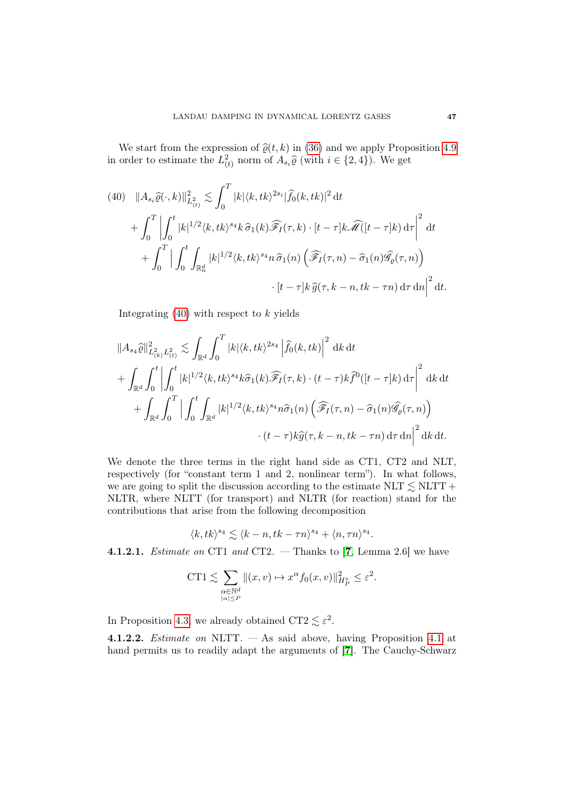We start from the expression of  $\hat{\varrho}(t, k)$  in [\(36\)](#page-42-2) and we apply Proposition [4.9](#page-44-0) in order to estimate the  $L^2_{(t)}$  norm of  $A_{s_i}\widehat{\varrho}$  (with  $i \in \{2, 4\}$ ). We get

<span id="page-46-0"></span>(40) 
$$
||A_{s_i}\widehat{\varrho}(\cdot,k)||_{L^2_{(t)}}^2 \lesssim \int_0^T |k| \langle k, tk \rangle^{2s_i} |\widehat{f}_0(k,tk)|^2 dt
$$
  
+ 
$$
\int_0^T \left| \int_0^t |k|^{1/2} \langle k, tk \rangle^{s_4} k \widehat{\sigma}_1(k) \widehat{\mathscr{F}}_I(\tau,k) \cdot [t-\tau] k \widehat{\mathscr{M}}([t-\tau]k) d\tau \right|^2 dt
$$
  
+ 
$$
\int_0^T \left| \int_0^t \int_{\mathbb{R}_n^d} |k|^{1/2} \langle k, tk \rangle^{s_4} n \widehat{\sigma}_1(n) \left( \widehat{\mathscr{F}}_I(\tau,n) - \widehat{\sigma}_1(n) \widehat{\mathscr{G}}_{\varrho}(\tau,n) \right) \right|
$$
  
 
$$
\cdot [t-\tau] k \widehat{g}(\tau,k-n,tk-\tau n) d\tau dn \Big|^2 dt.
$$

Integrating  $(40)$  with respect to k yields

$$
||A_{s_4}\hat{\varrho}||_{L^2_{(k)}L^2_{(t)}}^2 \lesssim \int_{\mathbb{R}^d} \int_0^T |k| \langle k, tk \rangle^{2s_4} \left| \hat{f}_0(k, tk) \right|^2 \, \mathrm{d}k \, \mathrm{d}t
$$
  
+ 
$$
\int_{\mathbb{R}^d} \int_0^t \left| \int_0^t |k|^{1/2} \langle k, tk \rangle^{s_4} k \hat{\sigma}_1(k) \widehat{\mathscr{F}}_I(\tau, k) \cdot (t - \tau) k \hat{f}^0([t - \tau]k) \, \mathrm{d}\tau \right|^2 \, \mathrm{d}k \, \mathrm{d}t
$$
  
+ 
$$
\int_{\mathbb{R}^d} \int_0^T \left| \int_0^t \int_{\mathbb{R}^d} |k|^{1/2} \langle k, tk \rangle^{s_4} n \hat{\sigma}_1(n) \left( \widehat{\mathscr{F}}_I(\tau, n) - \hat{\sigma}_1(n) \widehat{\mathscr{G}}_{\varrho}(\tau, n) \right) \right. \\ \cdot (t - \tau) k \hat{g}(\tau, k - n, tk - \tau n) \, \mathrm{d}\tau \, \mathrm{d}n \right|^2 \, \mathrm{d}k \, \mathrm{d}t.
$$

We denote the three terms in the right hand side as CT1, CT2 and NLT, respectively (for "constant term 1 and 2, nonlinear term"). In what follows, we are going to split the discussion according to the estimate  $NLT \lesssim NLTT +$ NLTR, where NLTT (for transport) and NLTR (for reaction) stand for the contributions that arise from the following decomposition

$$
\langle k, tk \rangle^{s_4} \lesssim \langle k - n, tk - \tau n \rangle^{s_4} + \langle n, \tau n \rangle^{s_4}.
$$

**4.1.2.1.** *Estimate on* CT1 and CT2.  $-$  Thanks to [[7](#page-69-1), Lemma 2.6] we have

$$
CT1 \lesssim \sum_{\substack{\alpha \in \mathbb{N}^d \\ |\alpha| \le P}} \| (x, v) \mapsto x^{\alpha} f_0(x, v) \|_{H_P^s}^2 \le \varepsilon^2.
$$

In Proposition [4.3,](#page-40-0) we already obtained CT2  $\lesssim \varepsilon^2$ .

4.1.2.2. Estimate on NLTT. — As said above, having Proposition [4.1](#page-37-3) at hand permits us to readily adapt the arguments of [[7](#page-69-1)]. The Cauchy-Schwarz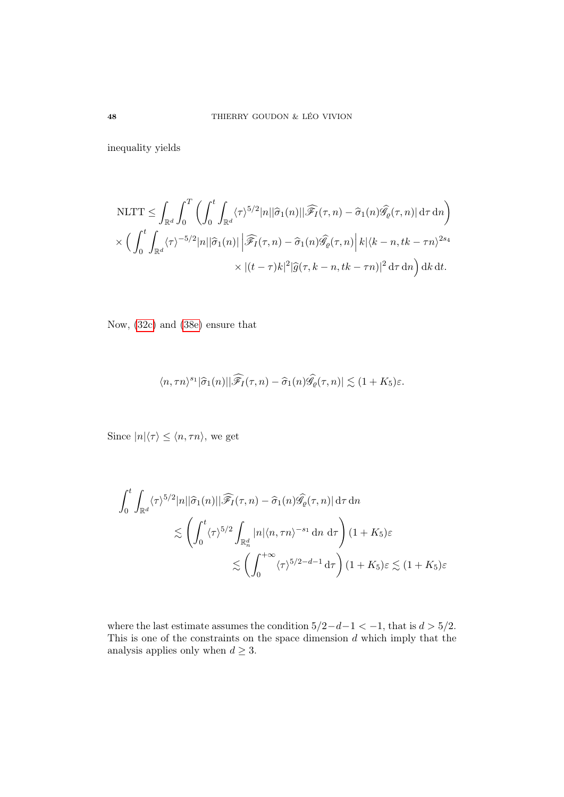inequality yields

$$
\begin{split} &\text{NLTT} \leq \int_{\mathbb{R}^d} \int_0^T \left( \int_0^t \int_{\mathbb{R}^d} \langle \tau \rangle^{5/2} |n| |\hat{\sigma}_1(n)| |\widehat{\mathscr{F}}_I(\tau,n) - \hat{\sigma}_1(n) \widehat{\mathscr{G}}_{\varrho}(\tau,n) | d\tau d\eta \right) \\ & \times \left( \int_0^t \int_{\mathbb{R}^d} \langle \tau \rangle^{-5/2} |n| |\hat{\sigma}_1(n)| |\widehat{\mathscr{F}}_I(\tau,n) - \hat{\sigma}_1(n) \widehat{\mathscr{G}}_{\varrho}(\tau,n) | k| \langle k-n, tk - \tau n \rangle^{2s_4} \\ & \times |(t-\tau)k|^2 |\widehat{g}(\tau,k-n, tk - \tau n)|^2 d\tau d\eta \right) dk dt. \end{split}
$$

Now, [\(32c\)](#page-38-2) and [\(38e\)](#page-43-3) ensure that

$$
\langle n, \tau n \rangle^{s_1} |\widehat{\sigma}_1(n)| |\widehat{\mathscr{F}_I}(\tau, n) - \widehat{\sigma}_1(n) \widehat{\mathscr{G}}_{\varrho}(\tau, n)| \lesssim (1 + K_5) \varepsilon.
$$

Since  $|n|\langle \tau \rangle \leq \langle n, \tau n \rangle$ , we get

$$
\int_0^t \int_{\mathbb{R}^d} \langle \tau \rangle^{5/2} |n| |\widehat{\sigma}_1(n)| |\widehat{\mathscr{F}}_I(\tau, n) - \widehat{\sigma}_1(n) \widehat{\mathscr{G}}_\varrho(\tau, n) | d\tau d\tau
$$
  

$$
\lesssim \left( \int_0^t \langle \tau \rangle^{5/2} \int_{\mathbb{R}_n^d} |n| \langle n, \tau n \rangle^{-s_1} dn d\tau \right) (1 + K_5) \varepsilon
$$
  

$$
\lesssim \left( \int_0^{+\infty} \langle \tau \rangle^{5/2 - d - 1} d\tau \right) (1 + K_5) \varepsilon \lesssim (1 + K_5) \varepsilon
$$

where the last estimate assumes the condition  $5/2-d-1 < -1$ , that is  $d > 5/2$ . This is one of the constraints on the space dimension  $d$  which imply that the analysis applies only when  $d \geq 3$ .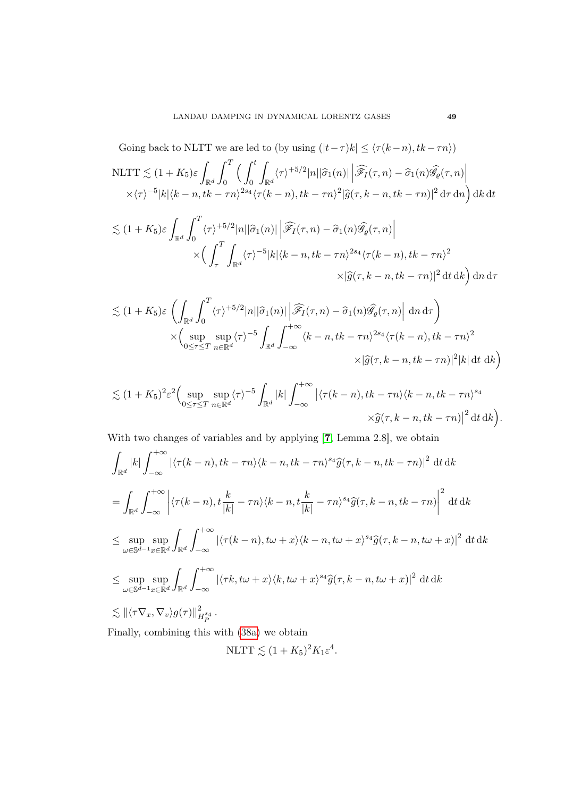Going back to NLTT we are led to (by using  $(|t-\tau)k| \leq \langle \tau(k-n), tk-\tau n \rangle$ ) NLTT  $\lesssim (1 + K_5)\varepsilon$  $\mathbb{R}^d$  $\int_0^T$ 0  $\int_0^t$  $\boldsymbol{0}$ Z  $\int_{\mathbb{R}^d} \langle \tau \rangle^{+5/2} |n| |\widehat{\sigma}_1(n)| \left| \widehat{\mathscr{F}_I}(\tau,n) - \widehat{\sigma}_1(n) \widehat{\mathscr{G}}_{\varrho}(\tau,n) \right|$  $(\sqrt{\tau})^{-5}|k|\langle k-n, tk-\tau n\rangle^{2s_4}\langle \tau(k-n), tk-\tau n\rangle^{2}|\widehat{g}(\tau, k-n, tk-\tau n)|^{2} d\tau d\eta$  dk dt

$$
\lesssim (1+K_5)\varepsilon \int_{\mathbb{R}^d} \int_0^T \langle \tau \rangle^{+5/2} |n| |\widehat{\sigma}_1(n)| \left| \widehat{\mathscr{F}}_I(\tau,n) - \widehat{\sigma}_1(n) \widehat{\mathscr{G}}_\varrho(\tau,n) \right|
$$
  
 
$$
\times \Big( \int_\tau^T \int_{\mathbb{R}^d} \langle \tau \rangle^{-5} |k| \langle k-n, tk - \tau n \rangle^{2s_4} \langle \tau(k-n), tk - \tau n \rangle^2
$$
  
 
$$
\times |\widehat{g}(\tau,k-n, tk - \tau n)|^2 dt dk \Big) dn d\tau
$$

$$
\lesssim (1+K_5)\varepsilon \left( \int_{\mathbb{R}^d} \int_0^T \langle \tau \rangle^{+5/2} |n| |\widehat{\sigma}_1(n)| \left| \widehat{\mathscr{F}}_I(\tau,n) - \widehat{\sigma}_1(n) \widehat{\mathscr{G}}_\varrho(\tau,n) \right| \, \mathrm{d}n \, \mathrm{d}\tau \right) \times \left( \sup_{0 \le \tau \le T} \sup_{n \in \mathbb{R}^d} \langle \tau \rangle^{-5} \int_{\mathbb{R}^d} \int_{-\infty}^{+\infty} \langle k-n, tk - \tau n \rangle^{2s_4} \langle \tau(k-n), tk - \tau n \rangle^2 \times |\widehat{g}(\tau, k-n, tk - \tau n)|^2 |k| \, \mathrm{d}t \, \mathrm{d}k \right)
$$

$$
\lesssim (1+K_5)^2 \varepsilon^2 \Biggl(\sup_{0\leq \tau\leq T} \sup_{n\in\mathbb{R}^d} \langle \tau \rangle^{-5} \int_{\mathbb{R}^d} |k| \int_{-\infty}^{+\infty} \left| \langle \tau(k-n), tk - \tau n \rangle \langle k-n, tk - \tau n \rangle^s \right| \times \widehat{g}(\tau, k-n, tk - \tau n) \Big|^2 dt \, dk \Biggr).
$$

With two changes of variables and by applying [[7](#page-69-1), Lemma 2.8], we obtain

$$
\int_{\mathbb{R}^d} |k| \int_{-\infty}^{+\infty} |\langle \tau(k-n), tk - \tau n \rangle \langle k-n, tk - \tau n \rangle^{s_4} \hat{g}(\tau, k-n, tk - \tau n)|^2 \, \mathrm{d}t \, \mathrm{d}k
$$
\n
$$
= \int_{\mathbb{R}^d} \int_{-\infty}^{+\infty} \left| \langle \tau(k-n), t \frac{k}{|k|} - \tau n \rangle \langle k-n, t \frac{k}{|k|} - \tau n \rangle^{s_4} \hat{g}(\tau, k-n, tk - \tau n) \right|^2 \, \mathrm{d}t \, \mathrm{d}k
$$
\n
$$
\leq \sup_{\omega \in \mathbb{S}^{d-1}} \sup_{x \in \mathbb{R}^d} \int_{\mathbb{R}^d} \int_{-\infty}^{+\infty} |\langle \tau(k-n), tw + x \rangle \langle k-n, tw + x \rangle^{s_4} \hat{g}(\tau, k-n, tw + x)|^2 \, \mathrm{d}t \, \mathrm{d}k
$$
\n
$$
\leq \sup_{\omega \in \mathbb{S}^{d-1}} \sup_{x \in \mathbb{R}^d} \int_{\mathbb{R}^d} \int_{-\infty}^{+\infty} |\langle \tau k, tw + x \rangle \langle k, tw + x \rangle^{s_4} \hat{g}(\tau, k-n, tw + x)|^2 \, \mathrm{d}t \, \mathrm{d}k
$$
\n
$$
\leq ||\langle \tau \nabla_x, \nabla_v \rangle g(\tau)||_{H_P^{s_4}}^{2s_4}.
$$
\nFinally, combining this with (38a) we obtain

Finally, combining this with [\(38a\)](#page-43-4) we obtain

$$
NLTT \lesssim (1 + K_5)^2 K_1 \varepsilon^4.
$$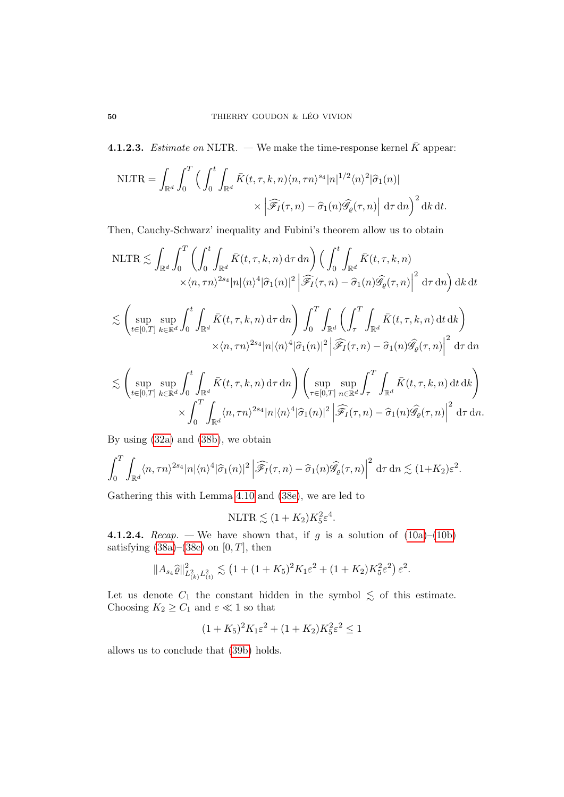**4.1.2.3.** *Estimate on* NLTR. — We make the time-response kernel  $\bar{K}$  appear:

$$
\text{NLTR} = \int_{\mathbb{R}^d} \int_0^T \left( \int_0^t \int_{\mathbb{R}^d} \bar{K}(t, \tau, k, n) \langle n, \tau n \rangle^{s_4} |n|^{1/2} \langle n \rangle^2 | \hat{\sigma}_1(n) | \times \left| \widehat{\mathcal{F}}_I(\tau, n) - \hat{\sigma}_1(n) \widehat{\mathcal{G}}_{\varrho}(\tau, n) \right| \, \mathrm{d}\tau \, \mathrm{d}n \right)^2 \, \mathrm{d}k \, \mathrm{d}t.
$$

Then, Cauchy-Schwarz' inequality and Fubini's theorem allow us to obtain

$$
\text{NLTR} \lesssim \int_{\mathbb{R}^d} \int_0^T \left( \int_0^t \int_{\mathbb{R}^d} \bar{K}(t, \tau, k, n) \, \mathrm{d}\tau \, \mathrm{d}n \right) \left( \int_0^t \int_{\mathbb{R}^d} \bar{K}(t, \tau, k, n) \, \mathrm{d}\tau \, \mathrm{d}n \right) \times \langle n, \tau n \rangle^{2s_4} |n| \langle n \rangle^4 |\hat{\sigma}_1(n)|^2 \left| \widehat{\mathcal{F}_I}(\tau, n) - \hat{\sigma}_1(n) \widehat{\mathcal{G}_\varrho}(\tau, n) \right|^2 \, \mathrm{d}\tau \, \mathrm{d}n \right) \, \mathrm{d}k \, \mathrm{d}t
$$

$$
\lesssim \left(\sup_{t\in[0,T]} \sup_{k\in\mathbb{R}^d} \int_0^t \int_{\mathbb{R}^d} \bar{K}(t,\tau,k,n) d\tau dr\right) \int_0^T \int_{\mathbb{R}^d} \left(\int_\tau^T \int_{\mathbb{R}^d} \bar{K}(t,\tau,k,n) dt dk\right) \times \langle n, \tau n \rangle^{2s_4} |n|\langle n \rangle^4 |\hat{\sigma}_1(n)|^2 \left| \widehat{\mathscr{F}_I}(\tau,n) - \hat{\sigma}_1(n) \widehat{\mathscr{G}_\varrho}(\tau,n) \right|^2 d\tau dr
$$

$$
\lesssim \left(\sup_{t\in[0,T]} \sup_{k\in\mathbb{R}^d} \int_0^t \int_{\mathbb{R}^d} \bar{K}(t,\tau,k,n) d\tau d\eta \right) \left(\sup_{\tau\in[0,T]} \sup_{n\in\mathbb{R}^d} \int_{\tau}^T \int_{\mathbb{R}^d} \bar{K}(t,\tau,k,n) dt dk \right) \times \int_0^T \int_{\mathbb{R}^d} \langle n, \tau n \rangle^{2s_4} |n| \langle n \rangle^4 |\hat{\sigma}_1(n)|^2 \left| \widehat{\mathscr{F}_I}(\tau,n) - \hat{\sigma}_1(n) \widehat{\mathscr{G}_\varrho}(\tau,n) \right|^2 d\tau d\eta.
$$

By using [\(32a\)](#page-38-0) and [\(38b\)](#page-43-5), we obtain

$$
\int_0^T \int_{\mathbb{R}^d} \langle n, \tau n \rangle^{2s_4} |n| \langle n \rangle^4 |\hat{\sigma}_1(n)|^2 \left| \widehat{\mathscr{F}_I}(\tau, n) - \hat{\sigma}_1(n) \widehat{\mathscr{G}_\varrho}(\tau, n) \right|^2 d\tau d\tau \le (1 + K_2) \varepsilon^2.
$$

Gathering this with Lemma [4.10](#page-45-0) and [\(38e\)](#page-43-3), we are led to

$$
NLTR \lesssim (1 + K_2) K_5^2 \varepsilon^4.
$$

4.1.2.4. Recap. — We have shown that, if g is a solution of  $(10a)$ – $(10b)$ satisfying  $(38a)$ – $(38e)$  on  $[0, T]$ , then

$$
||A_{s_4}\widehat{\varrho}||_{L^2_{(k)}L^2_{(t)}}^2 \lesssim (1 + (1 + K_5)^2 K_1 \varepsilon^2 + (1 + K_2) K_5^2 \varepsilon^2) \varepsilon^2.
$$

Let us denote  $C_1$  the constant hidden in the symbol  $\lesssim$  of this estimate. Choosing  $K_2 \geq C_1$  and  $\varepsilon \ll 1$  so that

$$
(1 + K_5)^2 K_1 \varepsilon^2 + (1 + K_2) K_5^2 \varepsilon^2 \le 1
$$

allows us to conclude that [\(39b\)](#page-43-6) holds.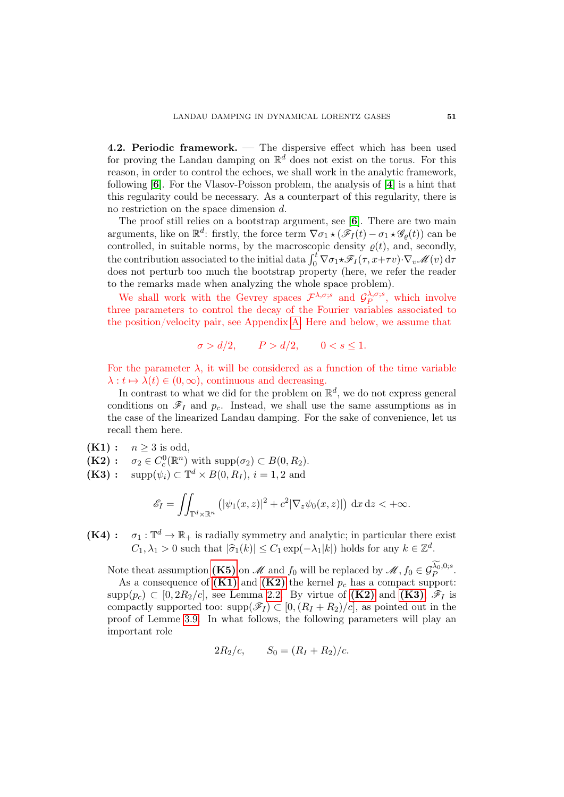4.2. Periodic framework. — The dispersive effect which has been used for proving the Landau damping on  $\mathbb{R}^d$  does not exist on the torus. For this reason, in order to control the echoes, we shall work in the analytic framework, following [[6](#page-69-2)]. For the Vlasov-Poisson problem, the analysis of [[4](#page-69-3)] is a hint that this regularity could be necessary. As a counterpart of this regularity, there is no restriction on the space dimension d.

The proof still relies on a bootstrap argument, see [[6](#page-69-2)]. There are two main arguments, like on  $\mathbb{R}^d$ : firstly, the force term  $\nabla \sigma_1 \star (\mathscr{F}_I(t) - \sigma_1 \star \mathscr{G}_{\varrho}(t))$  can be controlled, in suitable norms, by the macroscopic density  $\rho(t)$ , and, secondly, the contribution associated to the initial data  $\int_0^t \nabla \sigma_1 \star \mathscr{F}_I(\tau, x+\tau v) \cdot \nabla_v \mathscr{M}(v) d\tau$ does not perturb too much the bootstrap property (here, we refer the reader to the remarks made when analyzing the whole space problem).

We shall work with the Gevrey spaces  $\mathcal{F}^{\lambda,\sigma;s}$  and  $\mathcal{G}^{\lambda,\sigma;s}_{P}$  $\sum_{P}^{\Lambda, \sigma; s}$ , which involve three parameters to control the decay of the Fourier variables associated to the position/velocity pair, see Appendix [A.](#page-65-0) Here and below, we assume that

$$
\sigma > d/2, \qquad P > d/2, \qquad 0 < s \le 1.
$$

For the parameter  $\lambda$ , it will be considered as a function of the time variable  $\lambda : t \mapsto \lambda(t) \in (0, \infty)$ , continuous and decreasing.

In contrast to what we did for the problem on  $\mathbb{R}^d$ , we do not express general conditions on  $\mathscr{F}_I$  and  $p_c$ . Instead, we shall use the same assumptions as in the case of the linearized Landau damping. For the sake of convenience, let us recall them here.

<span id="page-50-0"></span> $(K1): n \geq 3$  is odd,

<span id="page-50-1"></span> $(K2): \sigma_2 \in C_c^0(\mathbb{R}^n)$  with  $\text{supp}(\sigma_2) \subset B(0, R_2)$ .

<span id="page-50-2"></span> $(K3): \text{ supp}(\psi_i) \subset \mathbb{T}^d \times B(0, R_I), i = 1, 2 \text{ and}$ 

$$
\mathscr{E}_I = \iint_{\mathbb{T}^d \times \mathbb{R}^n} \left( |\psi_1(x, z)|^2 + c^2 |\nabla_z \psi_0(x, z)| \right) dx dz < +\infty.
$$

<span id="page-50-3"></span> $(K4) : \sigma_1 : \mathbb{T}^d \to \mathbb{R}_+$  is radially symmetry and analytic; in particular there exist  $C_1, \lambda_1 > 0$  such that  $|\hat{\sigma}_1(k)| \leq C_1 \exp(-\lambda_1|k|)$  holds for any  $k \in \mathbb{Z}^d$ .

Note theat assumption [\(K5\)](#page-32-3) on  $\mathscr{M}$  and  $f_0$  will be replaced by  $\mathscr{M}, f_0 \in \mathcal{G}_P^{\lambda_0,0;s}$ . As a consequence of  $(K1)$  and  $(K2)$  the kernel  $p_c$  has a compact support:

supp $(p_c) \subset [0, 2R_2/c]$ , see Lemma [2.2.](#page-11-0) By virtue of  $(K2)$  and  $(K3)$ ,  $\mathscr{F}_I$  is compactly supported too:  $\text{supp}(\mathscr{F}_I) \subset [0,(R_I + R_2)/c]$ , as pointed out in the proof of Lemme [3.9.](#page-33-0) In what follows, the following parameters will play an important role

$$
2R_2/c
$$
,  $S_0 = (R_I + R_2)/c$ .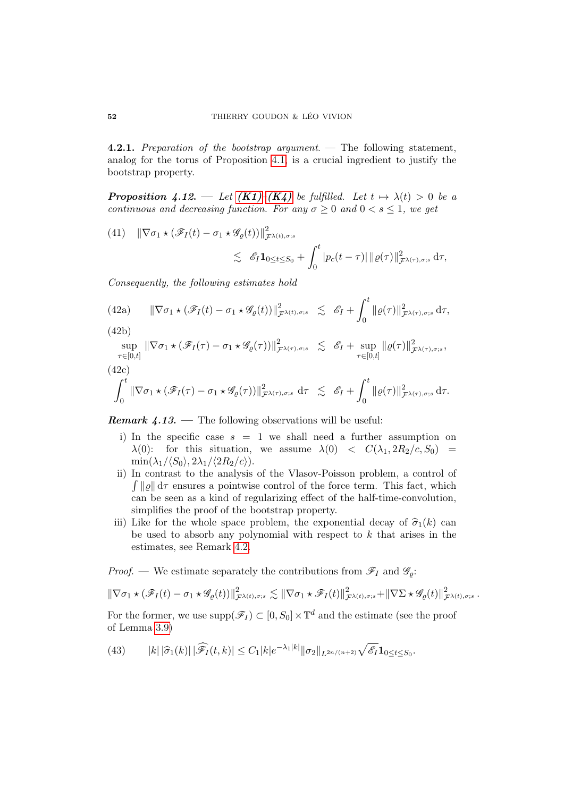4.2.1. Preparation of the bootstrap argument. — The following statement, analog for the torus of Proposition [4.1,](#page-37-3) is a crucial ingredient to justify the bootstrap property.

<span id="page-51-1"></span>**Proposition 4.12.** — Let  $(K1)-(K4)$  $(K1)-(K4)$  $(K1)-(K4)$  be fulfilled. Let  $t \mapsto \lambda(t) > 0$  be a continuous and decreasing function. For any  $\sigma \geq 0$  and  $0 < s \leq 1$ , we get

(41) 
$$
\|\nabla \sigma_1 \star (\mathscr{F}_I(t) - \sigma_1 \star \mathscr{G}_{\varrho}(t))\|_{\mathcal{F}^{\lambda(t), \sigma; s}}^2 \leq \mathscr{E}_I \mathbf{1}_{0 \leq t \leq S_0} + \int_0^t |p_c(t - \tau)| ||\varrho(\tau)||^2_{\mathcal{F}^{\lambda(\tau), \sigma; s}} d\tau,
$$

Consequently, the following estimates hold

(42a) 
$$
\|\nabla \sigma_1 \star (\mathscr{F}_I(t) - \sigma_1 \star \mathscr{G}_{\varrho}(t))\|_{\mathcal{F}^{\lambda(t), \sigma; s}}^2 \lesssim \mathscr{E}_I + \int_0^t \|\varrho(\tau)\|_{\mathcal{F}^{\lambda(\tau), \sigma; s}}^2 d\tau,
$$

(42b)

$$
\sup_{\tau \in [0,t]} \|\nabla \sigma_1 \star (\mathscr{F}_I(\tau) - \sigma_1 \star \mathscr{G}_{\varrho}(\tau))\|_{\mathcal{F}^{\lambda(\tau), \sigma; s}}^2 \lesssim \mathscr{E}_I + \sup_{\tau \in [0,t]} \|\varrho(\tau)\|_{\mathcal{F}^{\lambda(\tau), \sigma; s}}^2,
$$

(42c)

$$
\int_0^t \|\nabla \sigma_1 \star (\mathscr{F}_I(\tau)-\sigma_1 \star \mathscr{G}_{\varrho}(\tau))\|_{\mathcal{F}^{\lambda(\tau),\sigma;s}}^2 d\tau \lesssim \mathscr{E}_I + \int_0^t \|\varrho(\tau)\|_{\mathcal{F}^{\lambda(\tau),\sigma;s}}^2 d\tau.
$$

**Remark 4.13.** — The following observations will be useful:

- i) In the specific case  $s = 1$  we shall need a further assumption on  $\lambda(0)$ : for this situation, we assume  $\lambda(0) < C(\lambda_1, 2R_2/c, S_0)$  $\min(\lambda_1/\langle S_0\rangle, 2\lambda_1/\langle 2R_2/c\rangle).$
- ii) In contrast to the analysis of the Vlasov-Poisson problem, a control of  $\int ||\varrho|| d\tau$  ensures a pointwise control of the force term. This fact, which can be seen as a kind of regularizing effect of the half-time-convolution, simplifies the proof of the bootstrap property.
- iii) Like for the whole space problem, the exponential decay of  $\hat{\sigma}_1(k)$  can be used to absorb any polynomial with respect to  $k$  that arises in the estimates, see Remark [4.2.](#page-38-3)

*Proof.* — We estimate separately the contributions from  $\mathscr{F}_I$  and  $\mathscr{G}_{\rho}$ :

$$
\|\nabla \sigma_1 \star (\mathscr{F}_I(t)-\sigma_1 \star \mathscr{G}_{\varrho}(t))\|^2_{\mathcal{F}^{\lambda(t),\sigma;s}} \lesssim \|\nabla \sigma_1 \star \mathscr{F}_I(t)\|^2_{\mathcal{F}^{\lambda(t),\sigma;s}} + \|\nabla \Sigma \star \mathscr{G}_{\varrho}(t)\|^2_{\mathcal{F}^{\lambda(t),\sigma;s}}.
$$

For the former, we use  $\text{supp}(\mathscr{F}_I) \subset [0, S_0] \times \mathbb{T}^d$  and the estimate (see the proof of Lemma [3.9\)](#page-33-0)

<span id="page-51-0"></span>(43) 
$$
|k| |\widehat{\sigma}_1(k)| |\widehat{\mathscr{F}_I}(t,k)| \leq C_1 |k| e^{-\lambda_1 |k|} ||\sigma_2||_{L^{2n/(n+2)}} \sqrt{\mathscr{E}_I} \mathbf{1}_{0 \leq t \leq S_0}.
$$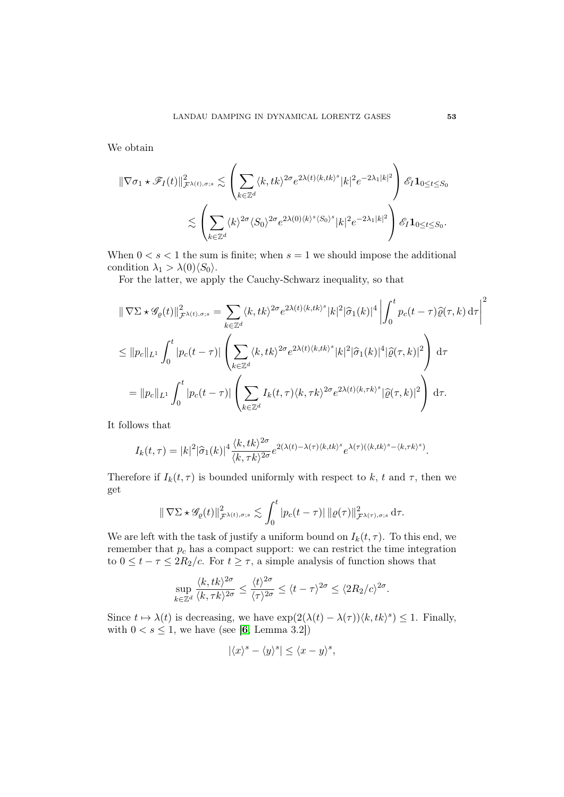We obtain

$$
\begin{split} \|\nabla\sigma_1\star\mathscr{F}_I(t)\|^2_{\mathcal{F}^{\lambda(t),\sigma;s}} &\lesssim \left(\sum_{k\in\mathbb{Z}^d}\langle k, tk\rangle^{2\sigma}e^{2\lambda(t)\langle k, tk\rangle^s} |k|^2e^{-2\lambda_1|k|^2}\right)\mathscr{E}_I\mathbf{1}_{0\leq t\leq S_0}\\ &\lesssim \left(\sum_{k\in\mathbb{Z}^d}\langle k\rangle^{2\sigma}\langle S_0\rangle^{2\sigma}e^{2\lambda(0)\langle k\rangle^s\langle S_0\rangle^s} |k|^2e^{-2\lambda_1|k|^2}\right)\mathscr{E}_I\mathbf{1}_{0\leq t\leq S_0}. \end{split}
$$

When  $0 < s < 1$  the sum is finite; when  $s = 1$  we should impose the additional condition  $\lambda_1 > \lambda(0)\langle S_0 \rangle$ .

For the latter, we apply the Cauchy-Schwarz inequality, so that

$$
\|\nabla\Sigma \star \mathscr{G}_{\varrho}(t)\|_{\mathcal{F}^{\lambda(t),\sigma;s}}^{2} = \sum_{k \in \mathbb{Z}^{d}} \langle k, tk \rangle^{2\sigma} e^{2\lambda(t)\langle k, tk \rangle^{s}} |k|^{2} |\hat{\sigma}_{1}(k)|^{4} \left| \int_{0}^{t} p_{c}(t-\tau) \hat{\varrho}(\tau,k) d\tau \right|^{2}
$$
  

$$
\leq \|p_{c}\|_{L^{1}} \int_{0}^{t} |p_{c}(t-\tau)| \left( \sum_{k \in \mathbb{Z}^{d}} \langle k, tk \rangle^{2\sigma} e^{2\lambda(t)\langle k, tk \rangle^{s}} |k|^{2} |\hat{\sigma}_{1}(k)|^{4} |\hat{\varrho}(\tau,k)|^{2} \right) d\tau
$$
  

$$
= \|p_{c}\|_{L^{1}} \int_{0}^{t} |p_{c}(t-\tau)| \left( \sum_{k \in \mathbb{Z}^{d}} I_{k}(t,\tau) \langle k, \tau k \rangle^{2\sigma} e^{2\lambda(t)\langle k, \tau k \rangle^{s}} |\hat{\varrho}(\tau,k)|^{2} \right) d\tau.
$$

It follows that

$$
I_k(t,\tau) = |k|^2 |\hat{\sigma}_1(k)|^4 \frac{\langle k, tk \rangle^{2\sigma}}{\langle k, \tau k \rangle^{2\sigma}} e^{2(\lambda(t) - \lambda(\tau)\langle k, tk \rangle^s} e^{\lambda(\tau)(\langle k, tk \rangle^s - \langle k, \tau k \rangle^s)}.
$$

Therefore if  $I_k(t, \tau)$  is bounded uniformly with respect to k, t and  $\tau$ , then we get

$$
\|\nabla \Sigma \star \mathscr{G}_{\varrho}(t)\|_{\mathcal{F}^{\lambda(t),\sigma;s}}^2 \lesssim \int_0^t |p_c(t-\tau)| \, \|\varrho(\tau)\|_{\mathcal{F}^{\lambda(\tau),\sigma;s}}^2 \, \mathrm{d}\tau.
$$

We are left with the task of justify a uniform bound on  $I_k(t, \tau)$ . To this end, we remember that  $p_c$  has a compact support: we can restrict the time integration to  $0 \leq t - \tau \leq 2R_2/c$ . For  $t \geq \tau$ , a simple analysis of function shows that

$$
\sup_{k\in\mathbb{Z}^d}\frac{\langle k, tk\rangle^{2\sigma}}{\langle k, \tau k\rangle^{2\sigma}}\leq \frac{\langle t\rangle^{2\sigma}}{\langle \tau\rangle^{2\sigma}}\leq \langle t-\tau\rangle^{2\sigma}\leq \langle 2R_2/c\rangle^{2\sigma}.
$$

Since  $t \mapsto \lambda(t)$  is decreasing, we have  $\exp(2(\lambda(t) - \lambda(\tau))\langle k, tk \rangle^s) \leq 1$ . Finally, with  $0 < s \leq 1$ , we have (see [[6](#page-69-2), Lemma 3.2])

$$
|\langle x \rangle^s - \langle y \rangle^s| \le \langle x - y \rangle^s,
$$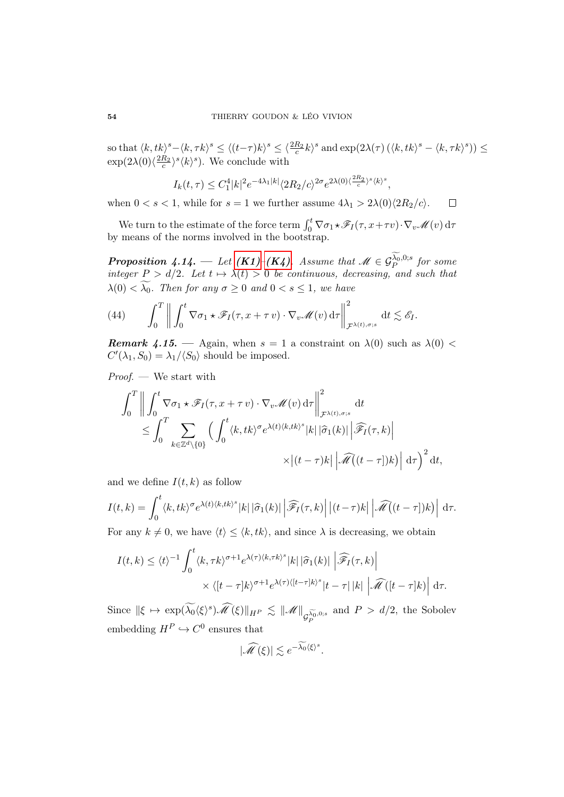so that  $\langle k, tk \rangle^s - \langle k, \tau k \rangle^s \le \langle (t-\tau)k \rangle^s \le \langle \frac{2R_2}{c} k \rangle^s$  and  $\exp(2\lambda(\tau) \left( \langle k, tk \rangle^s - \langle k, \tau k \rangle^s \right)) \le$  $\exp(2\lambda(0)\langle \frac{2R_2}{c} \rangle^s \langle k \rangle^s)$ . We conclude with

$$
I_k(t,\tau) \le C_1^4 |k|^2 e^{-4\lambda_1 |k|} \langle 2R_2/c \rangle^{2\sigma} e^{2\lambda(0)\langle \frac{2R_2}{c} \rangle^s \langle k \rangle^s},
$$

when  $0 < s < 1$ , while for  $s = 1$  we further assume  $4\lambda_1 > 2\lambda(0)\langle 2R_2/c \rangle$ .  $\Box$ 

We turn to the estimate of the force term  $\int_0^t \nabla \sigma_1 \star \mathscr{F}_I(\tau, x + \tau v) \cdot \nabla_v \mathscr{M}(v) d\tau$ by means of the norms involved in the bootstrap.

**Proposition 4.14.** — Let  $(K1)-(K4)$  $(K1)-(K4)$  $(K1)-(K4)$ . Assume that  $\mathscr{M} \in \mathcal{G}_P^{\lambda_0,0;s}$  for some integer  $P > d/2$ . Let  $t \mapsto \lambda(t) > 0$  be continuous, decreasing, and such that  $\lambda(0) < \widetilde{\lambda_0}$ . Then for any  $\sigma \geq 0$  and  $0 < s \leq 1$ , we have

(44) 
$$
\int_0^T \left\| \int_0^t \nabla \sigma_1 \star \mathscr{F}_I(\tau, x + \tau v) \cdot \nabla_v \mathscr{M}(v) d\tau \right\|_{\mathcal{F}^{\lambda(t), \sigma; s}}^2 dt \lesssim \mathscr{E}_I.
$$

**Remark 4.15.** — Again, when  $s = 1$  a constraint on  $\lambda(0)$  such as  $\lambda(0)$  <  $C'(\lambda_1, S_0) = \lambda_1/\langle S_0 \rangle$  should be imposed.

Proof. — We start with

$$
\int_0^T \left\| \int_0^t \nabla \sigma_1 \star \mathscr{F}_I(\tau, x + \tau v) \cdot \nabla_v \mathscr{M}(v) d\tau \right\|_{\mathcal{F}^{\lambda(t), \sigma; s}}^2 dt
$$
  
\n
$$
\leq \int_0^T \sum_{k \in \mathbb{Z}^d \setminus \{0\}} \left( \int_0^t \langle k, tk \rangle^{\sigma} e^{\lambda(t) \langle k, tk \rangle^s} |k| |\hat{\sigma}_1(k)| \left| \widehat{\mathscr{F}}_I(\tau, k) \right|
$$
  
\n
$$
\times \left| (t - \tau) k \right| \left| \widehat{\mathscr{M}}((t - \tau]) k) \right| d\tau \right)^2 dt,
$$

and we define  $I(t, k)$  as follow

$$
I(t,k) = \int_0^t \langle k, tk \rangle^{\sigma} e^{\lambda(t) \langle k, tk \rangle^s} |k| |\hat{\sigma}_1(k)| \left| \widehat{\mathscr{F}_I}(\tau, k) \right| |(t-\tau)k| \left| \widehat{\mathscr{M}}(t-\tau] \right) k \rangle \right| d\tau.
$$

For any  $k \neq 0$ , we have  $\langle t \rangle \leq \langle k, tk \rangle$ , and since  $\lambda$  is decreasing, we obtain

$$
I(t,k) \leq \langle t \rangle^{-1} \int_0^t \langle k, \tau k \rangle^{\sigma+1} e^{\lambda(\tau)\langle k, \tau k \rangle^s} |k| |\hat{\sigma}_1(k)| \left| \widehat{\mathscr{F}_I}(\tau, k) \right|
$$

$$
\times \langle [t - \tau] k \rangle^{\sigma+1} e^{\lambda(\tau)\langle [t - \tau] k \rangle^s} |t - \tau| |k| \left| \widehat{\mathscr{M}}([t - \tau] k) \right| d\tau.
$$

Since  $\|\xi \mapsto \exp(\widetilde{\lambda_0} \langle \xi \rangle^s) \widehat{\mathscr{M}}(\xi)\|_{H^P} \lesssim \|\mathscr{M}\|_{\mathcal{G}_P^{\widetilde{\lambda_0},0;s}}$ and  $P > d/2$ , the Sobolev embedding  $H^P \hookrightarrow C^0$  ensures that

$$
|\widehat{\mathscr{M}}(\xi)| \lesssim e^{-\widetilde{\lambda_0}\langle \xi \rangle^s}.
$$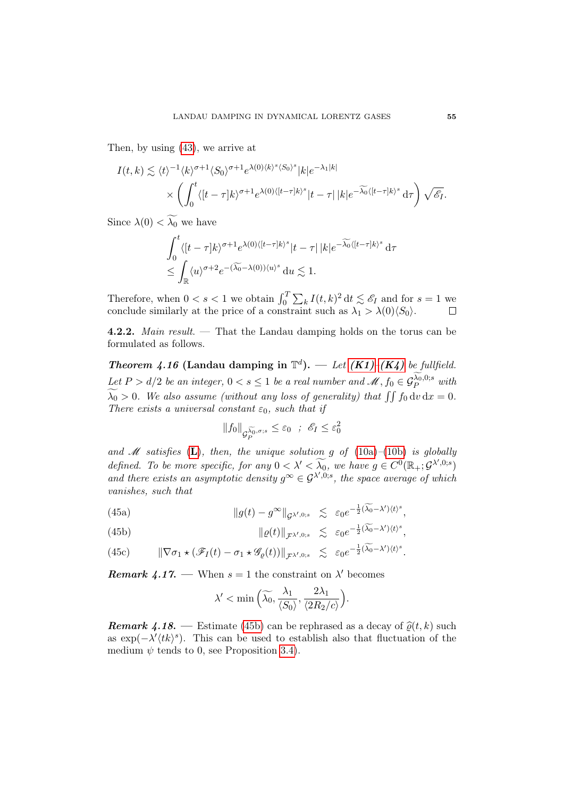Then, by using [\(43\)](#page-51-0), we arrive at

$$
I(t,k) \lesssim \langle t \rangle^{-1} \langle k \rangle^{\sigma+1} \langle S_0 \rangle^{\sigma+1} e^{\lambda(0) \langle k \rangle^s \langle S_0 \rangle^s} |k| e^{-\lambda_1 |k|} \times \left( \int_0^t \langle [t-\tau]k \rangle^{\sigma+1} e^{\lambda(0) \langle [t-\tau]k \rangle^s} |t-\tau| |k| e^{-\widetilde{\lambda_0} \langle [t-\tau]k \rangle^s} d\tau \right) \sqrt{\mathscr{E}_I}.
$$

Since  $\lambda(0) < \widetilde{\lambda_0}$  we have

$$
\int_0^t \langle [t-\tau]k\rangle^{\sigma+1} e^{\lambda(0)\langle [t-\tau]k\rangle^s} |t-\tau| |k| e^{-\widetilde{\lambda_0}\langle [t-\tau]k\rangle^s} d\tau
$$
  

$$
\leq \int_{\mathbb{R}} \langle u \rangle^{\sigma+2} e^{-(\widetilde{\lambda_0} - \lambda(0))\langle u \rangle^s} du \lesssim 1.
$$

Therefore, when  $0 < s < 1$  we obtain  $\int_0^T \sum_k I(t, k)^2 dt \lesssim \mathscr{E}_I$  and for  $s = 1$  we conclude similarly at the price of a constraint such as  $\lambda_1 > \lambda(0)\langle S_0 \rangle$ .

4.2.2. Main result. — That the Landau damping holds on the torus can be formulated as follows.

<span id="page-54-1"></span>**Theorem 4.16 (Landau damping in**  $\mathbb{T}^d$ **).** — Let  $(K1)-(K4)$  $(K1)-(K4)$  $(K1)-(K4)$  be fullfield. Let  $P > d/2$  be an integer,  $0 < s \leq 1$  be a real number and  $\mathscr{M}, f_0 \in \mathcal{G}_P^{\lambda_0,0;s}$  with  $\widetilde{\lambda_0} > 0$ . We also assume (without any loss of generality) that  $\iint_0^t f_0 dv dx = 0$ . There exists a universal constant  $\varepsilon_0$ , such that if

$$
||f_0||_{\mathcal{G}_P^{\widetilde{\lambda_0},\sigma;s}} \leq \varepsilon_0 \quad ; \quad \mathscr{E}_I \leq \varepsilon_0^2
$$

and  $M$  satisfies ([L](#page-21-4)), then, the unique solution g of [\(10a\)](#page-8-1)–[\(10b\)](#page-8-2) is globally defined. To be more specific, for any  $0 < \lambda' < \widetilde{\lambda_0}$ , we have  $g \in C^0(\mathbb{R}_+; \mathcal{G}^{\lambda',0,s})$ and there exists an asymptotic density  $g^{\infty} \in \mathcal{G}^{\lambda',0;s}$ , the space average of which vanishes, such that

(45a) 
$$
\|g(t) - g^{\infty}\|_{\mathcal{G}^{\lambda',0;s}} \lesssim \varepsilon_0 e^{-\frac{1}{2}(\widetilde{\lambda_0} - \lambda')\langle t \rangle^s},
$$

<span id="page-54-0"></span>(45b) 
$$
\|\varrho(t)\|_{\mathcal{F}^{\lambda',0;s}} \lesssim \varepsilon_0 e^{-\frac{1}{2}(\widetilde{\lambda_0} - \lambda')\langle t \rangle^s},
$$

(45c) 
$$
\|\nabla \sigma_1 \star (\mathscr{F}_I(t) - \sigma_1 \star \mathscr{G}_{\varrho}(t))\|_{\mathcal{F}^{\lambda',0;s}} \lesssim \varepsilon_0 e^{-\frac{1}{2}(\widetilde{\lambda_0} - \lambda')\langle t \rangle^s}.
$$

**Remark 4.17.** — When  $s = 1$  the constraint on  $\lambda'$  becomes

$$
\lambda' < \min\left(\widetilde{\lambda_0}, \frac{\lambda_1}{\langle S_0 \rangle}, \frac{2\lambda_1}{\langle 2R_2/c \rangle}\right).
$$

**Remark 4.18.** — Estimate [\(45b\)](#page-54-0) can be rephrased as a decay of  $\hat{\rho}(t, k)$  such as  $\exp(-\lambda'(tk)^s)$ . This can be used to establish also that fluctuation of the medium  $\psi$  tends to 0, see Proposition [3.4\)](#page-25-0).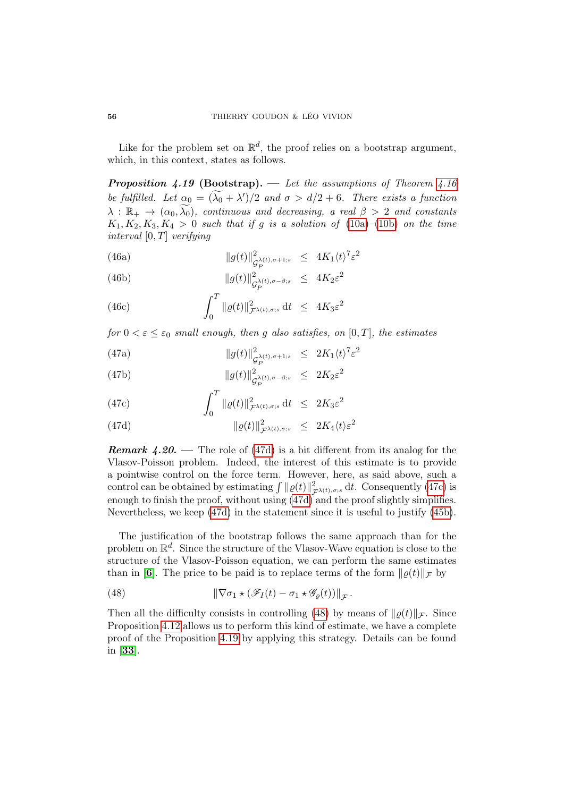Like for the problem set on  $\mathbb{R}^d$ , the proof relies on a bootstrap argument, which, in this context, states as follows.

<span id="page-55-3"></span>**Proposition 4.19 (Bootstrap).** — Let the assumptions of Theorem [4.16](#page-54-1) be fulfilled. Let  $\alpha_0 = (\lambda_0 + \lambda')/2$  and  $\sigma > d/2 + 6$ . There exists a function  $\lambda : \mathbb{R}_+ \to (\alpha_0, \widetilde{\lambda_0})$ , continuous and decreasing, a real  $\beta > 2$  and constants  $K_1, K_2, K_3, K_4 > 0$  such that if g is a solution of [\(10a\)](#page-8-1)–[\(10b\)](#page-8-2) on the time interval  $[0, T]$  verifying

(46a) 
$$
||g(t)||_{\mathcal{G}_P^{\lambda(t),\sigma+1;s}}^2 \leq 4K_1 \langle t \rangle^7 \varepsilon^2
$$

(46b) 
$$
||g(t)||^2_{\mathcal{G}_P^{\lambda(t),\sigma-\beta;s}} \leq 4K_2\varepsilon^2
$$

(46c) 
$$
\int_0^T \|\varrho(t)\|_{\mathcal{F}^{\lambda(t),\sigma;s}}^2 dt \leq 4K_3 \varepsilon^2
$$

for  $0 < \varepsilon \leq \varepsilon_0$  small enough, then g also satisfies, on  $[0, T]$ , the estimates

(47a) 
$$
||g(t)||_{\mathcal{G}_P^{\lambda(t), \sigma+1;s}}^2 \leq 2K_1 \langle t \rangle^7 \varepsilon^2
$$

(47b) 
$$
||g(t)||_{\mathcal{G}_P^{\lambda(t),\sigma-\beta;s}}^2 \leq 2K_2\varepsilon^2
$$

<span id="page-55-1"></span>(47c) 
$$
\int_0^1 \|\varrho(t)\|_{\mathcal{F}^{\lambda(t),\sigma;s}}^2 dt \leq 2K_3 \varepsilon^2
$$

<span id="page-55-0"></span>(47d) 
$$
\|\varrho(t)\|_{\mathcal{F}^{\lambda(t),\sigma;s}}^2 \leq 2K_4\langle t\rangle\varepsilon^2
$$

**Remark 4.20.** — The role of [\(47d\)](#page-55-0) is a bit different from its analog for the Vlasov-Poisson problem. Indeed, the interest of this estimate is to provide a pointwise control on the force term. However, here, as said above, such a control can be obtained by estimating  $\int ||\varrho(t)||^2_{\mathcal{F}^{\lambda(t),\sigma;s}} dt$ . Consequently [\(47c\)](#page-55-1) is enough to finish the proof, without using [\(47d\)](#page-55-0) and the proof slightly simplifies. Nevertheless, we keep [\(47d\)](#page-55-0) in the statement since it is useful to justify [\(45b\)](#page-54-0).

The justification of the bootstrap follows the same approach than for the problem on  $\mathbb{R}^d$ . Since the structure of the Vlasov-Wave equation is close to the structure of the Vlasov-Poisson equation, we can perform the same estimates than in [[6](#page-69-2)]. The price to be paid is to replace terms of the form  $\|\rho(t)\|_{\mathcal{F}}$  by

<span id="page-55-2"></span>(48) 
$$
\|\nabla \sigma_1 \star (\mathscr{F}_I(t) - \sigma_1 \star \mathscr{G}_{\varrho}(t))\|_{\mathcal{F}}.
$$

Then all the difficulty consists in controlling [\(48\)](#page-55-2) by means of  $\|\rho(t)\|_{\mathcal{F}}$ . Since Proposition [4.12](#page-51-1) allows us to perform this kind of estimate, we have a complete proof of the Proposition [4.19](#page-55-3) by applying this strategy. Details can be found in [[33](#page-71-1)].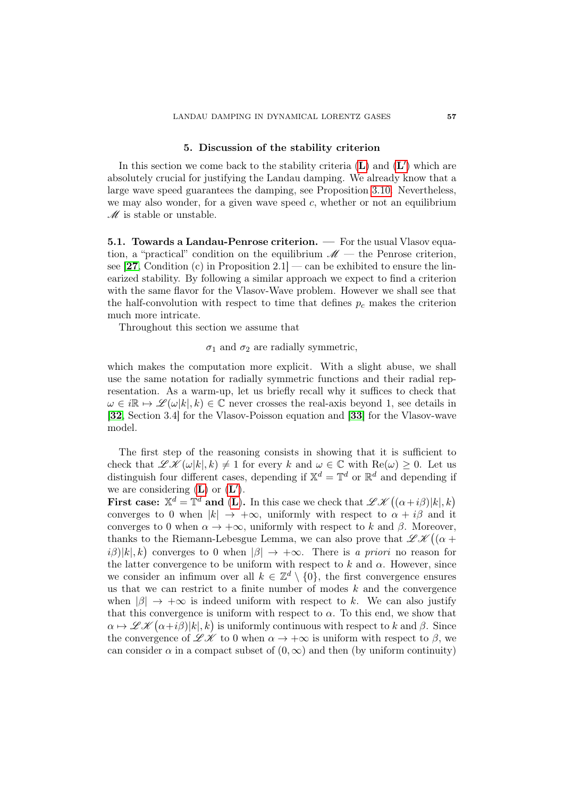### 5. Discussion of the stability criterion

<span id="page-56-0"></span>In this section we come back to the stability criteria  $(L)$  $(L)$  $(L)$  and  $(L')$  which are absolutely crucial for justifying the Landau damping. We already know that a large wave speed guarantees the damping, see Proposition [3.10.](#page-36-0) Nevertheless, we may also wonder, for a given wave speed  $c$ , whether or not an equilibrium  $\mathscr{M}$  is stable or unstable.

5.1. Towards a Landau-Penrose criterion. — For the usual Vlasov equation, a "practical" condition on the equilibrium  $\mathcal{M}$  — the Penrose criterion, see  $[27,$  $[27,$  $[27,$  Condition (c) in Proposition 2.1 – can be exhibited to ensure the linearized stability. By following a similar approach we expect to find a criterion with the same flavor for the Vlasov-Wave problem. However we shall see that the half-convolution with respect to time that defines  $p_c$  makes the criterion much more intricate.

Throughout this section we assume that

 $\sigma_1$  and  $\sigma_2$  are radially symmetric,

which makes the computation more explicit. With a slight abuse, we shall use the same notation for radially symmetric functions and their radial representation. As a warm-up, let us briefly recall why it suffices to check that  $\omega \in i\mathbb{R} \mapsto \mathscr{L}(\omega|k|, k) \in \mathbb{C}$  never crosses the real-axis beyond 1, see details in [[32](#page-71-2), Section 3.4] for the Vlasov-Poisson equation and [[33](#page-71-1)] for the Vlasov-wave model.

The first step of the reasoning consists in showing that it is sufficient to check that  $\mathscr{L} \mathscr{K}(\omega|k|, k) \neq 1$  for every k and  $\omega \in \mathbb{C}$  with  $\text{Re}(\omega) \geq 0$ . Let us distinguish four different cases, depending if  $\mathbb{X}^d = \mathbb{T}^d$  or  $\mathbb{R}^d$  and depending if we are considering  $(L)$  $(L)$  $(L)$  or  $(L')$ .

First case:  $\mathbb{X}^d = \mathbb{T}^d$  and ([L](#page-21-4)). In this case we check that  $\mathscr{L} \mathscr{K}((\alpha + i\beta)|k|, k)$ converges to 0 when  $|k| \to +\infty$ , uniformly with respect to  $\alpha + i\beta$  and it converges to 0 when  $\alpha \to +\infty$ , uniformly with respect to k and  $\beta$ . Moreover, thanks to the Riemann-Lebesgue Lemma, we can also prove that  $\mathscr{L}\mathscr{K}\big((\alpha+\alpha)\big)$  $i\beta$ |k|, k) converges to 0 when  $|\beta| \to +\infty$ . There is a priori no reason for the latter convergence to be uniform with respect to k and  $\alpha$ . However, since we consider an infimum over all  $k \in \mathbb{Z}^d \setminus \{0\}$ , the first convergence ensures us that we can restrict to a finite number of modes  $k$  and the convergence when  $|\beta| \to +\infty$  is indeed uniform with respect to k. We can also justify that this convergence is uniform with respect to  $\alpha$ . To this end, we show that  $\alpha \mapsto \mathscr{L} \mathscr{K}(\alpha + i\beta)|k|, k$  is uniformly continuous with respect to k and  $\beta$ . Since the convergence of  $\mathscr{L} \mathscr{K}$  to 0 when  $\alpha \to +\infty$  is uniform with respect to  $\beta$ , we can consider  $\alpha$  in a compact subset of  $(0, \infty)$  and then (by uniform continuity)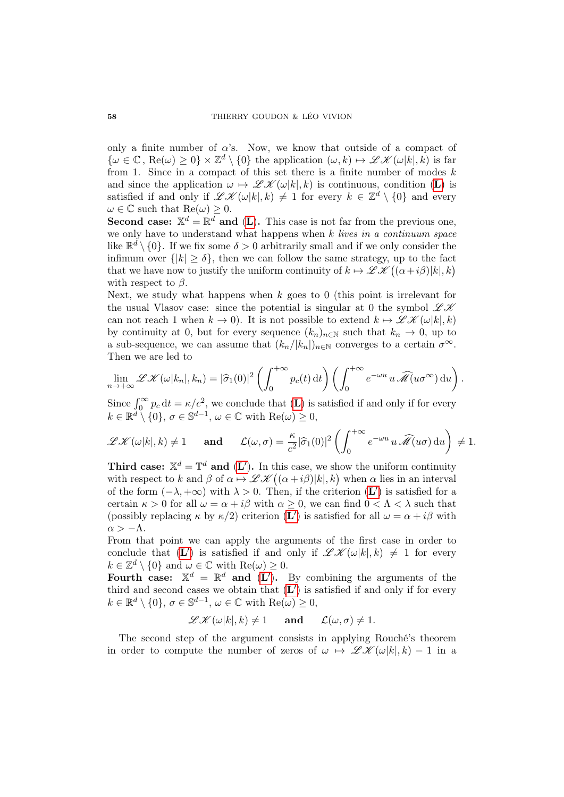only a finite number of  $\alpha$ 's. Now, we know that outside of a compact of  $\{\omega \in \mathbb{C}, \text{Re}(\omega) \geq 0\} \times \mathbb{Z}^d \setminus \{0\}$  the application  $(\omega, k) \mapsto \mathscr{L} \mathscr{K}(\omega|k|, k)$  is far from 1. Since in a compact of this set there is a finite number of modes  $k$ and since the application  $\omega \mapsto \mathscr{L} \mathscr{K}(\omega|k|, k)$  $\omega \mapsto \mathscr{L} \mathscr{K}(\omega|k|, k)$  $\omega \mapsto \mathscr{L} \mathscr{K}(\omega|k|, k)$  is continuous, condition (L) is satisfied if and only if  $\mathscr{L} \mathscr{K}(\omega|k|,k) \neq 1$  for every  $k \in \mathbb{Z}^d \setminus \{0\}$  and every  $\omega \in \mathbb{C}$  such that  $\text{Re}(\omega) \geq 0$ .

**Second case:**  $X^d = \mathbb{R}^d$  and ([L](#page-21-4)). This case is not far from the previous one, we only have to understand what happens when  $k$  lives in a continuum space like  $\mathbb{R}^d \setminus \{0\}$ . If we fix some  $\delta > 0$  arbitrarily small and if we only consider the infimum over  $\{|k| \geq \delta\}$ , then we can follow the same strategy, up to the fact that we have now to justify the uniform continuity of  $k \mapsto \mathscr{L} \mathscr{K}((\alpha + i\beta)|k|, k)$ with respect to  $\beta$ .

Next, we study what happens when  $k$  goes to 0 (this point is irrelevant for the usual Vlasov case: since the potential is singular at 0 the symbol  $\mathscr{L} \mathscr{K}$ can not reach 1 when  $k \to 0$ ). It is not possible to extend  $k \mapsto \mathscr{L} \mathscr{K}(\omega|k|, k)$ by continuity at 0, but for every sequence  $(k_n)_{n\in\mathbb{N}}$  such that  $k_n \to 0$ , up to a sub-sequence, we can assume that  $(k_n/|k_n|)_{n\in\mathbb{N}}$  converges to a certain  $\sigma^{\infty}$ . Then we are led to

$$
\lim_{n\to+\infty}\mathscr{L}\mathscr{K}(\omega|k_n|,k_n)=|\widehat{\sigma}_1(0)|^2\left(\int_0^{+\infty}p_c(t)\,\mathrm{d}t\right)\left(\int_0^{+\infty}e^{-\omega u}\,u\,\widehat{\mathscr{M}}(u\sigma^{\infty})\,\mathrm{d}u\right).
$$

Since  $\int_0^\infty p_c \, dt = \kappa/c^2$ , we conclude that  $(L)$  $(L)$  $(L)$  is satisfied if and only if for every  $k \in \mathbb{R}^d \setminus \{0\}, \sigma \in \mathbb{S}^{d-1}, \omega \in \mathbb{C} \text{ with } \text{Re}(\omega) \geq 0,$ 

$$
\mathscr{L}\mathscr{K}(\omega|k|,k)\neq 1 \quad \text{and} \quad \mathcal{L}(\omega,\sigma)=\frac{\kappa}{c^2}|\widehat{\sigma}_1(0)|^2\left(\int_0^{+\infty}e^{-\omega u}\,u\,\widehat{\mathscr{M}}(u\sigma)\,\mathrm{d}u\right)\neq 1.
$$

**Third case:**  $\mathbb{X}^d = \mathbb{T}^d$  and  $(L')$  $(L')$  $(L')$ . In this case, we show the uniform continuity with respect to k and  $\beta$  of  $\alpha \mapsto \mathscr{L} \mathscr{K}((\alpha + i\beta)|k|, k)$  when  $\alpha$  lies in an interval of the form  $(-\lambda, +\infty)$  with  $\lambda > 0$ . Then, if the criterion  $(\mathbf{L}')$  $(\mathbf{L}')$  $(\mathbf{L}')$  is satisfied for a certain  $\kappa > 0$  for all  $\omega = \alpha + i\beta$  with  $\alpha > 0$ , we can find  $0 < \Lambda < \lambda$  such that (possibly replacing  $\kappa$  by  $\kappa/2$ ) criterion ([L](#page-32-4)') is satisfied for all  $\omega = \alpha + i\beta$  with  $\alpha > -\Lambda$ .

From that point we can apply the arguments of the first case in order to conclude that  $(L')$  $(L')$  $(L')$  is satisfied if and only if  $\mathscr{L}\mathscr{K}(\omega|k|,k) \neq 1$  for every  $k \in \mathbb{Z}^d \setminus \{0\}$  and  $\omega \in \mathbb{C}$  with  $\text{Re}(\omega) \geq 0$ .

Fourth case:  $\mathbb{X}^d = \mathbb{R}^d$  and  $(L')$  $(L')$  $(L')$ . By combining the arguments of the third and second cases we obtain that  $(L')$  $(L')$  $(L')$  is satisfied if and only if for every  $k \in \mathbb{R}^d \setminus \{0\}, \sigma \in \mathbb{S}^{d-1}, \omega \in \mathbb{C} \text{ with } \text{Re}(\omega) \geq 0,$ 

$$
\mathscr{L}\mathscr{K}(\omega|k|,k) \neq 1 \quad \text{and} \quad \mathcal{L}(\omega,\sigma) \neq 1.
$$

The second step of the argument consists in applying Rouché's theorem in order to compute the number of zeros of  $\omega \mapsto \mathscr{L} \mathscr{K}(\omega|k|, k) - 1$  in a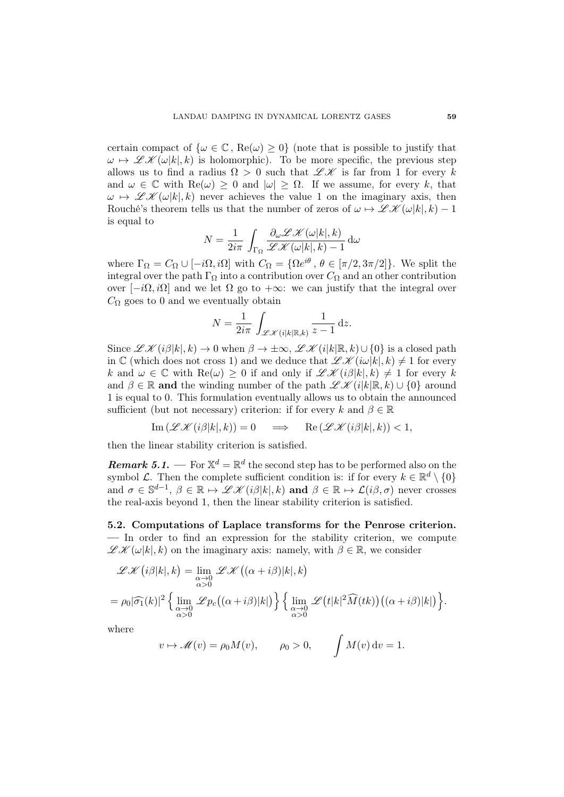certain compact of  $\{\omega \in \mathbb{C}, \text{Re}(\omega) \geq 0\}$  (note that is possible to justify that  $\omega \mapsto \mathscr{L} \mathscr{K}(\omega|k|, k)$  is holomorphic). To be more specific, the previous step allows us to find a radius  $\Omega > 0$  such that  $\mathscr{L} \mathscr{K}$  is far from 1 for every k and  $\omega \in \mathbb{C}$  with  $\text{Re}(\omega) \geq 0$  and  $|\omega| \geq \Omega$ . If we assume, for every k, that  $\omega \mapsto \mathscr{L}(\omega|k|, k)$  never achieves the value 1 on the imaginary axis, then Rouché's theorem tells us that the number of zeros of  $\omega \mapsto \mathscr{L} \mathscr{K}(\omega|k|, k) - 1$ is equal to

$$
N = \frac{1}{2i\pi} \int_{\Gamma_{\Omega}} \frac{\partial_{\omega} \mathscr{L} \mathscr{K}(\omega|k|, k)}{\mathscr{L} \mathscr{K}(\omega|k|, k) - 1} \, \mathrm{d}\omega
$$

where  $\Gamma_{\Omega} = C_{\Omega} \cup [-i\Omega, i\Omega]$  with  $C_{\Omega} = {\Omega e^{i\theta}, \theta \in [\pi/2, 3\pi/2]}$ . We split the integral over the path  $\Gamma_{\Omega}$  into a contribution over  $C_{\Omega}$  and an other contribution over  $[-i\Omega, i\Omega]$  and we let  $\Omega$  go to  $+\infty$ : we can justify that the integral over  $C_{\Omega}$  goes to 0 and we eventually obtain

$$
N = \frac{1}{2i\pi} \int_{\mathscr{L}\mathscr{K}(i|k|\mathbb{R},k)} \frac{1}{z-1} \,\mathrm{d}z.
$$

Since  $\mathscr{L} \mathscr{K}(i\beta|k|,k) \to 0$  when  $\beta \to \pm \infty$ ,  $\mathscr{L} \mathscr{K}(i|k|\mathbb{R},k) \cup \{0\}$  is a closed path in C (which does not cross 1) and we deduce that  $\mathscr{L}\mathscr{K}(i\omega|k|,k) \neq 1$  for every k and  $\omega \in \mathbb{C}$  with  $\text{Re}(\omega) \geq 0$  if and only if  $\mathscr{L} \mathscr{K}(i\beta|k|,k) \neq 1$  for every k and  $\beta \in \mathbb{R}$  and the winding number of the path  $\mathscr{L} \mathscr{K} (i|k|\mathbb{R}, k) \cup \{0\}$  around 1 is equal to 0. This formulation eventually allows us to obtain the announced sufficient (but not necessary) criterion: if for every k and  $\beta \in \mathbb{R}$ 

$$
\operatorname{Im}(\mathscr{L}\mathscr{K}(i\beta|k|,k)) = 0 \quad \implies \quad \operatorname{Re}(\mathscr{L}\mathscr{K}(i\beta|k|,k)) < 1,
$$

then the linear stability criterion is satisfied.

**Remark 5.1.** — For  $\mathbb{X}^d = \mathbb{R}^d$  the second step has to be performed also on the symbol  $\mathcal{L}$ . Then the complete sufficient condition is: if for every  $k \in \mathbb{R}^d \setminus \{0\}$ and  $\sigma \in \mathbb{S}^{d-1}$ ,  $\beta \in \mathbb{R} \mapsto \mathscr{L} \mathscr{K}(i\beta|k|,k)$  and  $\beta \in \mathbb{R} \mapsto \mathscr{L}(i\beta,\sigma)$  never crosses the real-axis beyond 1, then the linear stability criterion is satisfied.

5.2. Computations of Laplace transforms for the Penrose criterion. — In order to find an expression for the stability criterion, we compute  $\mathscr{L} \mathscr{K}(\omega|k|,k)$  on the imaginary axis: namely, with  $\beta \in \mathbb{R}$ , we consider

$$
\mathcal{L}\mathcal{K}(i\beta|k|,k) = \lim_{\substack{\alpha \to 0 \\ \alpha > 0}} \mathcal{L}\mathcal{K}((\alpha + i\beta)|k|,k)
$$
  
=  $\rho_0 |\widehat{\sigma_1}(k)|^2 \left\{ \lim_{\substack{\alpha \to 0 \\ \alpha > 0}} \mathcal{L}p_c((\alpha + i\beta)|k|) \right\} \left\{ \lim_{\substack{\alpha \to 0 \\ \alpha > 0}} \mathcal{L}(t|k|^2 \widehat{M}(tk))((\alpha + i\beta)|k|) \right\}.$ 

where

$$
v \mapsto \mathscr{M}(v) = \rho_0 M(v), \qquad \rho_0 > 0, \qquad \int M(v) dv = 1.
$$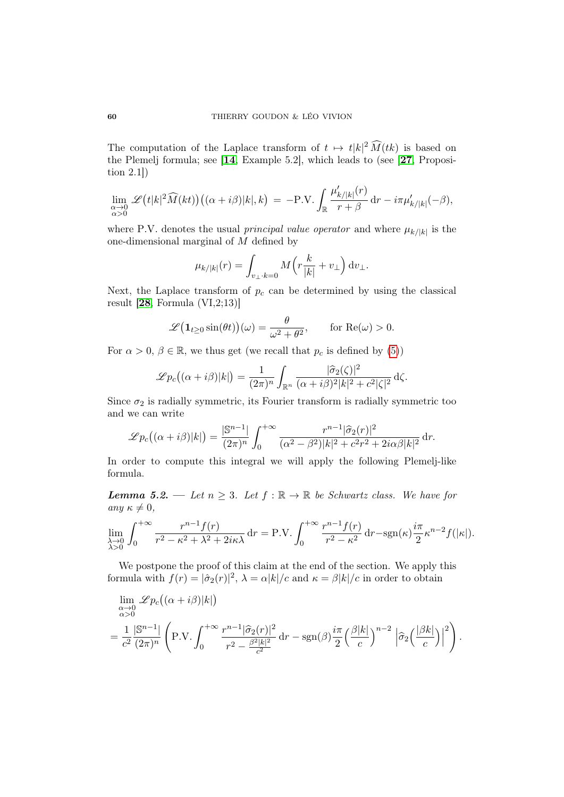The computation of the Laplace transform of  $t \mapsto t|k|^2 \widehat{M}(tk)$  is based on the Plemelj formula; see [[14](#page-70-1), Example 5.2], which leads to (see [[27](#page-71-0), Proposition 2.1])

$$
\lim_{\substack{\alpha \to 0 \\ \alpha > 0}} \mathscr{L}\big(t|k|^2 \widehat{M}(kt)\big) \big( (\alpha + i\beta)|k|, k \big) = -\mathrm{P.V.} \int_{\mathbb{R}} \frac{\mu'_{k/|k|}(r)}{r + \beta} \, \mathrm{d}r - i\pi \mu'_{k/|k|}(-\beta),
$$

where P.V. denotes the usual *principal value operator* and where  $\mu_{k/|k|}$  is the one-dimensional marginal of M defined by

$$
\mu_{k/|k|}(r) = \int_{v_\perp \cdot k=0} M\left(r\frac{k}{|k|} + v_\perp\right) \mathrm{d}v_\perp.
$$

Next, the Laplace transform of  $p_c$  can be determined by using the classical result  $[28, \text{Formula (VI}, 2; 13)]$  $[28, \text{Formula (VI}, 2; 13)]$  $[28, \text{Formula (VI}, 2; 13)]$ 

$$
\mathscr{L}(\mathbf{1}_{t\geq 0}\sin(\theta t))(\omega) = \frac{\theta}{\omega^2 + \theta^2}, \quad \text{for } \text{Re}(\omega) > 0.
$$

For  $\alpha > 0$ ,  $\beta \in \mathbb{R}$ , we thus get (we recall that  $p_c$  is defined by [\(5\)](#page-6-0))

$$
\mathscr{L}p_c((\alpha+i\beta)|k|) = \frac{1}{(2\pi)^n} \int_{\mathbb{R}^n} \frac{|\widehat{\sigma}_2(\zeta)|^2}{(\alpha+i\beta)^2 |k|^2 + c^2 |\zeta|^2} d\zeta.
$$

Since  $\sigma_2$  is radially symmetric, its Fourier transform is radially symmetric too and we can write

$$
\mathscr{L}p_c((\alpha+i\beta)|k|) = \frac{|\mathbb{S}^{n-1}|}{(2\pi)^n} \int_0^{+\infty} \frac{r^{n-1}|\widehat{\sigma}_2(r)|^2}{(\alpha^2 - \beta^2)|k|^2 + c^2r^2 + 2i\alpha\beta|k|^2} dr.
$$

In order to compute this integral we will apply the following Plemelj-like formula.

<span id="page-59-0"></span>**Lemma 5.2.** — Let  $n \geq 3$ . Let  $f : \mathbb{R} \to \mathbb{R}$  be Schwartz class. We have for any  $\kappa \neq 0$ ,

$$
\lim_{\substack{\lambda \to 0 \\ \lambda > 0}} \int_0^{+\infty} \frac{r^{n-1} f(r)}{r^2 - \kappa^2 + \lambda^2 + 2i\kappa\lambda} dr = \text{P.V.} \int_0^{+\infty} \frac{r^{n-1} f(r)}{r^2 - \kappa^2} dr - \text{sgn}(\kappa) \frac{i\pi}{2} \kappa^{n-2} f(|\kappa|).
$$

We postpone the proof of this claim at the end of the section. We apply this formula with  $f(r) = |\hat{\sigma}_2(r)|^2$ ,  $\lambda = \alpha |k|/c$  and  $\kappa = \beta |k|/c$  in order to obtain

$$
\lim_{\substack{\alpha \to 0 \\ \alpha > 0}} \mathcal{L}_{p_c}((\alpha + i\beta)|k|)
$$
\n
$$
= \frac{1}{c^2} \frac{|\mathbb{S}^{n-1}|}{(2\pi)^n} \left( \text{P.V.} \int_0^{+\infty} \frac{r^{n-1}|\widehat{\sigma}_2(r)|^2}{r^2 - \frac{\beta^2 |k|^2}{c^2}} \, \mathrm{d}r - \text{sgn}(\beta) \frac{i\pi}{2} \left( \frac{\beta |k|}{c} \right)^{n-2} \left| \widehat{\sigma}_2 \left( \frac{|\beta k|}{c} \right) \right|^2 \right).
$$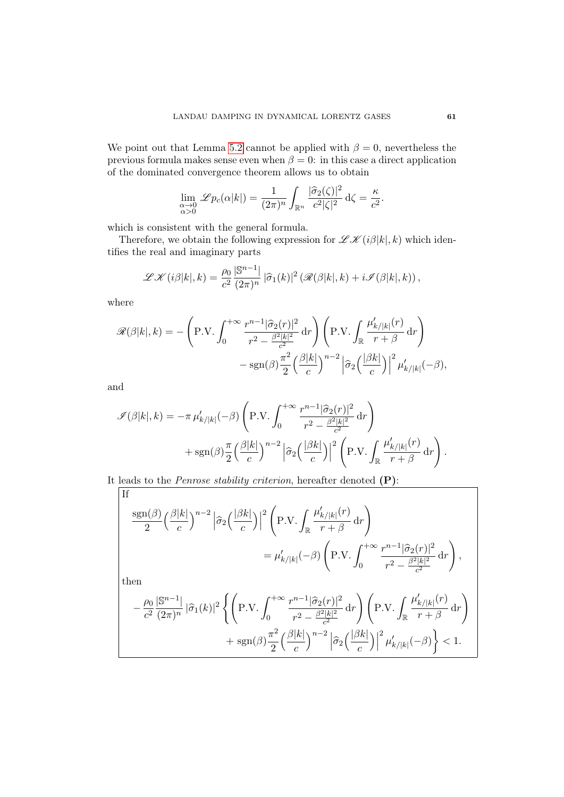We point out that Lemma [5.2](#page-59-0) cannot be applied with  $\beta = 0$ , nevertheless the previous formula makes sense even when  $\beta = 0$ : in this case a direct application of the dominated convergence theorem allows us to obtain

$$
\lim_{\substack{\alpha \to 0 \\ \alpha > 0}} \mathscr{L}p_c(\alpha|k|) = \frac{1}{(2\pi)^n} \int_{\mathbb{R}^n} \frac{|\widehat{\sigma}_2(\zeta)|^2}{c^2 |\zeta|^2} d\zeta = \frac{\kappa}{c^2}.
$$

which is consistent with the general formula.

Therefore, we obtain the following expression for  $\mathscr{L}\mathscr{K}(i\beta|k|,k)$  which identifies the real and imaginary parts

$$
\mathscr{L}\mathscr{K}(i\beta|k|,k) = \frac{\rho_0}{c^2} \frac{|\mathbb{S}^{n-1}|}{(2\pi)^n} |\widehat{\sigma}_1(k)|^2 \left( \mathscr{R}(\beta|k|,k) + i \mathscr{I}(\beta|k|,k) \right),
$$

where

$$
\mathscr{R}(\beta|k|,k) = -\left(\text{P.V.} \int_0^{+\infty} \frac{r^{n-1}|\hat{\sigma}_2(r)|^2}{r^2 - \frac{\beta^2|k|^2}{c^2}} \, dr\right) \left(\text{P.V.} \int_{\mathbb{R}} \frac{\mu'_{k/|k|}(r)}{r + \beta} \, dr\right) -\text{sgn}(\beta) \frac{\pi^2}{2} \left(\frac{\beta|k|}{c}\right)^{n-2} \left|\hat{\sigma}_2\left(\frac{|\beta k|}{c}\right)\right|^2 \mu'_{k/|k|}(-\beta),
$$

and

$$
\mathcal{I}(\beta|k|,k) = -\pi \mu'_{k/|k|}(-\beta) \left( \text{P.V.} \int_0^{+\infty} \frac{r^{n-1}|\hat{\sigma}_2(r)|^2}{r^2 - \frac{\beta^2 |k|^2}{c^2}} \, \mathrm{d}r \right) + \text{sgn}(\beta) \frac{\pi}{2} \left( \frac{\beta|k|}{c} \right)^{n-2} \left| \hat{\sigma}_2 \left( \frac{|\beta k|}{c} \right) \right|^2 \left( \text{P.V.} \int_{\mathbb{R}} \frac{\mu'_{k/|k|}(r)}{r + \beta} \, \mathrm{d}r \right).
$$

It leads to the Penrose stability criterion, hereafter denoted (P):

If  
\n
$$
\frac{\operatorname{sgn}(\beta) \left(\frac{\beta |k|}{c}\right)^{n-2} \left|\hat{\sigma}_2\left(\frac{|\beta k|}{c}\right)\right|^2 \left(\operatorname{P.V.} \int_{\mathbb{R}} \frac{\mu'_{k/|k|}(r)}{r+\beta} \, dr\right)}{r^2 + \beta}
$$
\n
$$
= \mu'_{k/|k|}(-\beta) \left(\operatorname{P.V.} \int_0^{+\infty} \frac{r^{n-1} |\hat{\sigma}_2(r)|^2}{r^2 - \frac{\beta^2 |k|^2}{c^2}} \, dr\right),
$$
\nthen  
\n
$$
-\frac{\rho_0}{c^2} \frac{|\mathbb{S}^{n-1}|}{(2\pi)^n} |\hat{\sigma}_1(k)|^2 \left\{ \left(\operatorname{P.V.} \int_0^{+\infty} \frac{r^{n-1} |\hat{\sigma}_2(r)|^2}{r^2 - \frac{\beta^2 |k|^2}{c^2}} \, dr\right) \left(\operatorname{P.V.} \int_{\mathbb{R}} \frac{\mu'_{k/|k|}(r)}{r+\beta} \, dr\right) + \operatorname{sgn}(\beta) \frac{\pi^2}{2} \left(\frac{\beta |k|}{c}\right)^{n-2} \left|\hat{\sigma}_2\left(\frac{|\beta k|}{c}\right)\right|^2 \mu'_{k/|k|}(-\beta) \right\} < 1.
$$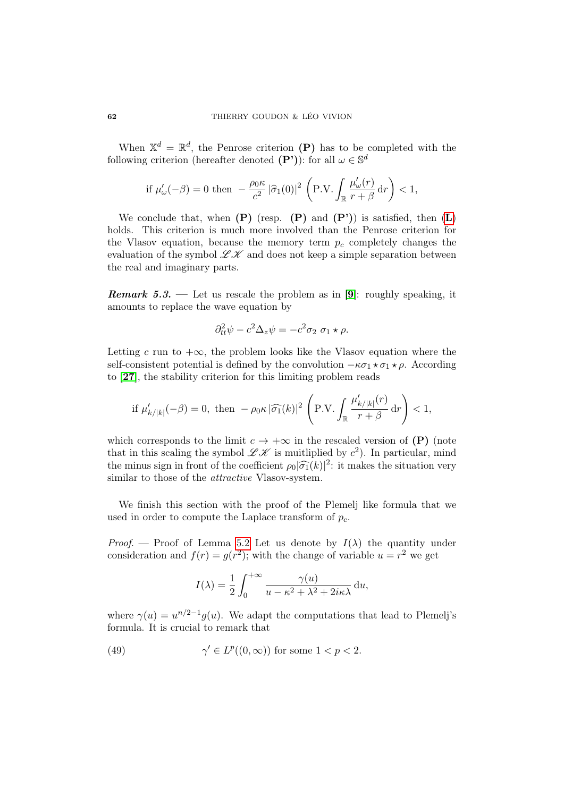When  $\mathbb{X}^d = \mathbb{R}^d$ , the Penrose criterion (P) has to be completed with the following criterion (hereafter denoted  $(P')$ ): for all  $\omega \in \mathbb{S}^d$ 

$$
\text{if }\mu'_{\omega}(-\beta)=0 \text{ then }-\frac{\rho_0\kappa}{c^2}\left|\widehat{\sigma}_1(0)\right|^2\,\left(\text{P.V.}\int_{\mathbb{R}}\frac{\mu'_{\omega}(r)}{r+\beta}\,\text{d} r\right)<1,
$$

We conclude that, when  $(P)$  (resp.  $(P)$  and  $(P')$ ) is satisfied, then  $(L)$  $(L)$  $(L)$ holds. This criterion is much more involved than the Penrose criterion for the Vlasov equation, because the memory term  $p_c$  completely changes the evaluation of the symbol  $\mathscr{L}\mathscr{K}$  and does not keep a simple separation between the real and imaginary parts.

**Remark 5.3.** — Let us rescale the problem as in [[9](#page-69-4)]: roughly speaking, it amounts to replace the wave equation by

$$
\partial_{tt}^2 \psi - c^2 \Delta_z \psi = -c^2 \sigma_2 \sigma_1 \star \rho.
$$

Letting c run to  $+\infty$ , the problem looks like the Vlasov equation where the self-consistent potential is defined by the convolution  $-\kappa\sigma_1 \star \sigma_1 \star \rho$ . According to [[27](#page-71-0)], the stability criterion for this limiting problem reads

$$
\text{if }\mu'_{k/|k|}(-\beta)=0,\text{ then }-\rho_0\kappa\,|\widehat{\sigma_1}(k)|^2\,\left(\text{P.V.}\int_{\mathbb{R}}\frac{\mu'_{k/|k|}(r)}{r+\beta}\,\text{d} r\right)<1,
$$

which corresponds to the limit  $c \to +\infty$  in the rescaled version of (P) (note that in this scaling the symbol  $\mathscr{L} \mathscr{K}$  is muitliplied by  $c^2$ ). In particular, mind the minus sign in front of the coefficient  $\rho_0|\widehat{\sigma_1}(k)|^2$ : it makes the situation very<br>similar to those of the *attractive* Masov-system similar to those of the *attractive* Vlasov-system.

We finish this section with the proof of the Plemelj like formula that we used in order to compute the Laplace transform of  $p_c$ .

Proof. — Proof of Lemma [5.2](#page-59-0) Let us denote by  $I(\lambda)$  the quantity under consideration and  $f(r) = g(r^2)$ ; with the change of variable  $u = r^2$  we get

<span id="page-61-0"></span>
$$
I(\lambda) = \frac{1}{2} \int_0^{+\infty} \frac{\gamma(u)}{u - \kappa^2 + \lambda^2 + 2i\kappa\lambda} du,
$$

where  $\gamma(u) = u^{n/2-1} g(u)$ . We adapt the computations that lead to Plemelj's formula. It is crucial to remark that

(49) 
$$
\gamma' \in L^p((0,\infty)) \text{ for some } 1 < p < 2.
$$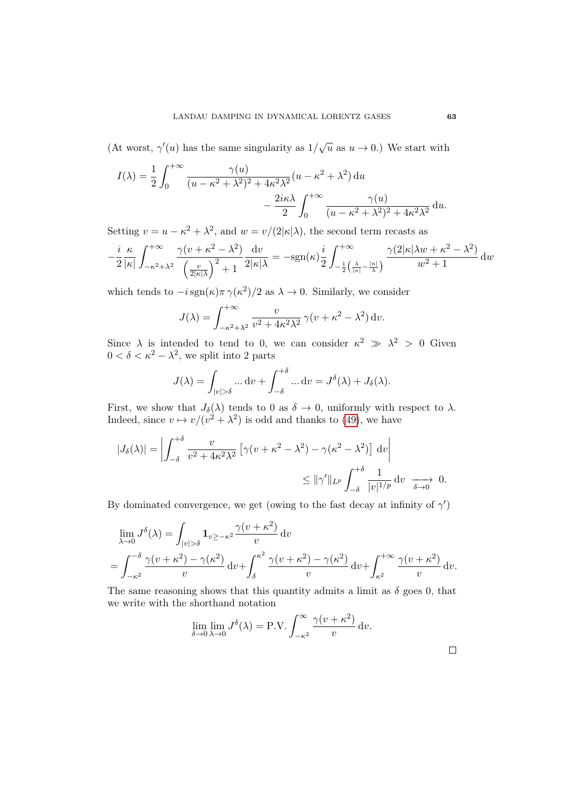(At worst,  $\gamma'(u)$  has the same singularity as  $1/\sqrt{u}$  as  $u \to 0$ .) We start with

$$
I(\lambda) = \frac{1}{2} \int_0^{+\infty} \frac{\gamma(u)}{(u - \kappa^2 + \lambda^2)^2 + 4\kappa^2 \lambda^2} (u - \kappa^2 + \lambda^2) du
$$

$$
- \frac{2i\kappa\lambda}{2} \int_0^{+\infty} \frac{\gamma(u)}{(u - \kappa^2 + \lambda^2)^2 + 4\kappa^2 \lambda^2} du.
$$

Setting  $v = u - \kappa^2 + \lambda^2$ , and  $w = v/(2|\kappa|\lambda)$ , the second term recasts as

$$
-\frac{i}{2}\frac{\kappa}{|\kappa|}\int_{-\kappa^2+\lambda^2}^{+\infty}\frac{\gamma(v+\kappa^2-\lambda^2)}{\left(\frac{v}{2|\kappa|\lambda}\right)^2+1}\frac{\mathrm{d}v}{2|\kappa|\lambda}=-\mathrm{sgn}(\kappa)\frac{i}{2}\int_{-\frac{1}{2}\left(\frac{\lambda}{|\kappa|}-\frac{|\kappa|}{\lambda}\right)}^{+\infty}\frac{\gamma(2|\kappa|\lambda w+\kappa^2-\lambda^2)}{w^2+1}\,\mathrm{d}w
$$

which tends to  $-i \text{sgn}(\kappa) \pi \gamma(\kappa^2)/2$  as  $\lambda \to 0$ . Similarly, we consider

$$
J(\lambda) = \int_{-\kappa^2 + \lambda^2}^{+\infty} \frac{v}{v^2 + 4\kappa^2 \lambda^2} \gamma(v + \kappa^2 - \lambda^2) dv.
$$

Since  $\lambda$  is intended to tend to 0, we can consider  $\kappa^2 \gg \lambda^2 > 0$  Given  $0 < \delta < \kappa^2 - \lambda^2$ , we split into 2 parts

$$
J(\lambda) = \int_{|v| > \delta} \dots dv + \int_{-\delta}^{+\delta} \dots dv = J^{\delta}(\lambda) + J_{\delta}(\lambda).
$$

First, we show that  $J_{\delta}(\lambda)$  tends to 0 as  $\delta \to 0$ , uniformly with respect to  $\lambda$ . Indeed, since  $v \mapsto v/(v^2 + \lambda^2)$  is odd and thanks to [\(49\)](#page-61-0), we have

$$
|J_{\delta}(\lambda)| = \left| \int_{-\delta}^{+\delta} \frac{v}{v^2 + 4\kappa^2 \lambda^2} \left[ \gamma(v + \kappa^2 - \lambda^2) - \gamma(\kappa^2 - \lambda^2) \right] dv \right|
$$
  
\$\leq ||\gamma'||\_{L^p} \int\_{-\delta}^{+\delta} \frac{1}{|v|^{1/p}} dv \xrightarrow[\delta \to 0]{} 0.

By dominated convergence, we get (owing to the fast decay at infinity of  $\gamma'$ )

$$
\lim_{\lambda \to 0} J^{\delta}(\lambda) = \int_{|v| > \delta} \mathbf{1}_{v \ge -\kappa^2} \frac{\gamma(v + \kappa^2)}{v} dv
$$
  
= 
$$
\int_{-\kappa^2}^{-\delta} \frac{\gamma(v + \kappa^2) - \gamma(\kappa^2)}{v} dv + \int_{\delta}^{\kappa^2} \frac{\gamma(v + \kappa^2) - \gamma(\kappa^2)}{v} dv + \int_{\kappa^2}^{+\infty} \frac{\gamma(v + \kappa^2)}{v} dv.
$$

The same reasoning shows that this quantity admits a limit as  $\delta$  goes 0, that we write with the shorthand notation

$$
\lim_{\delta \to 0} \lim_{\lambda \to 0} J^{\delta}(\lambda) = \text{P.V.} \int_{-\kappa^2}^{\infty} \frac{\gamma(v + \kappa^2)}{v} \, \mathrm{d}v.
$$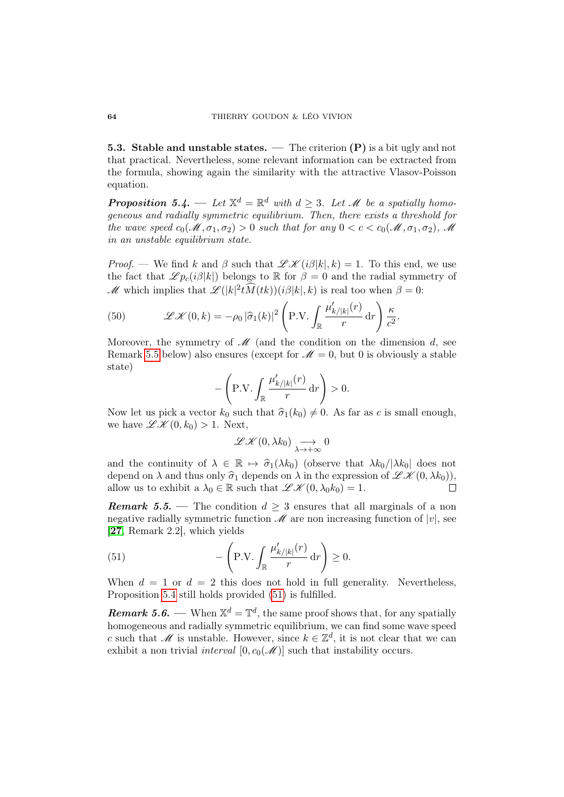**5.3. Stable and unstable states.** — The criterion  $(P)$  is a bit ugly and not that practical. Nevertheless, some relevant information can be extracted from the formula, showing again the similarity with the attractive Vlasov-Poisson equation.

<span id="page-63-1"></span>**Proposition 5.4.** — Let  $\mathbb{X}^d = \mathbb{R}^d$  with  $d \geq 3$ . Let  $\mathcal{M}$  be a spatially homogeneous and radially symmetric equilibrium. Then, there exists a threshold for the wave speed  $c_0(\mathcal{M}, \sigma_1, \sigma_2) > 0$  such that for any  $0 < c < c_0(\mathcal{M}, \sigma_1, \sigma_2)$ ,  $\mathcal{M}$ in an unstable equilibrium state.

*Proof.* — We find k and  $\beta$  such that  $\mathscr{L} \mathscr{K}(i\beta|k|,k) = 1$ . To this end, we use the fact that  $\mathscr{L} p_c(i\beta|k|)$  belongs to R for  $\beta = 0$  and the radial symmetry of M which implies that  $\mathscr{L}(|k|^2 \hat{M}(tk))(i\beta|k|,k)$  is real too when  $\beta = 0$ :

<span id="page-63-3"></span>(50) 
$$
\mathscr{L} \mathscr{K}(0,k) = -\rho_0 |\widehat{\sigma}_1(k)|^2 \left( \text{P.V.} \int_{\mathbb{R}} \frac{\mu'_{k/|k|}(r)}{r} \, dr \right) \frac{\kappa}{c^2}.
$$

Moreover, the symmetry of  $\mathscr{M}$  (and the condition on the dimension d, see Remark [5.5](#page-63-0) below) also ensures (except for  $\mathcal{M}=0$ , but 0 is obviously a stable state)

$$
-\left(\text{P.V.}\int_{\mathbb{R}}\frac{\mu'_{k/|k|}(r)}{r}\,\text{d}r\right) > 0.
$$

Now let us pick a vector  $k_0$  such that  $\hat{\sigma}_1(k_0) \neq 0$ . As far as c is small enough, we have  $\mathscr{L} \mathscr{K} (0, k_0) > 1$ . Next,

$$
\mathscr{L}\mathscr{K}(0,\lambda k_0) \underset{\lambda \to +\infty}{\longrightarrow} 0
$$

and the continuity of  $\lambda \in \mathbb{R} \mapsto \hat{\sigma}_1(\lambda k_0)$  (observe that  $\lambda k_0/|\lambda k_0|$  does not depend on  $\lambda$  and thus only  $\hat{\sigma}_1$  depends on  $\lambda$  in the expression of  $\mathscr{L} \mathscr{K}(0, \lambda k_0)$ ,<br>allow us to exhibit a  $\lambda_0 \in \mathbb{R}$  such that  $\mathscr{L} \mathscr{K}(0, \lambda_0 k_0) = 1$ . allow us to exhibit a  $\lambda_0 \in \mathbb{R}$  such that  $\mathscr{L} \mathscr{K}(0, \lambda_0 k_0) = 1$ .

<span id="page-63-0"></span>**Remark 5.5.** — The condition  $d > 3$  ensures that all marginals of a non negative radially symmetric function  $\mathscr M$  are non increasing function of  $|v|$ , see [[27](#page-71-0), Remark 2.2], which yields

<span id="page-63-2"></span>(51) 
$$
-\left(\mathbf{P.V.} \int_{\mathbb{R}} \frac{\mu'_{k/|k|}(r)}{r} dr\right) \geq 0.
$$

When  $d = 1$  or  $d = 2$  this does not hold in full generality. Nevertheless, Proposition [5.4](#page-63-1) still holds provided [\(51\)](#page-63-2) is fulfilled.

**Remark 5.6.** — When  $\mathbb{X}^d = \mathbb{T}^d$ , the same proof shows that, for any spatially homogeneous and radially symmetric equilibrium, we can find some wave speed c such that M is unstable. However, since  $k \in \mathbb{Z}^d$ , it is not clear that we can exhibit a non trivial *interval*  $[0, c_0(\mathcal{M})]$  such that instability occurs.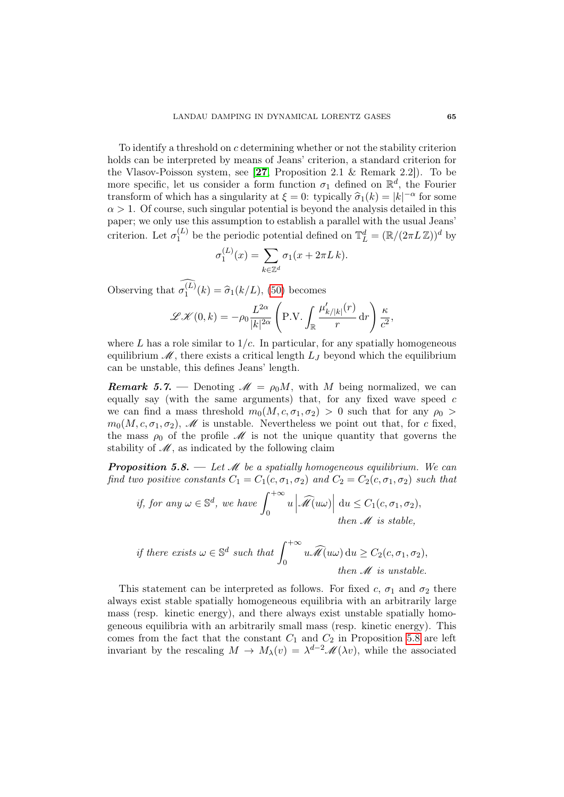To identify a threshold on c determining whether or not the stability criterion holds can be interpreted by means of Jeans' criterion, a standard criterion for the Vlasov-Poisson system, see [[27](#page-71-0), Proposition 2.1 & Remark 2.2]). To be more specific, let us consider a form function  $\sigma_1$  defined on  $\mathbb{R}^d$ , the Fourier transform of which has a singularity at  $\xi = 0$ : typically  $\hat{\sigma}_1(k) = |k|^{-\alpha}$  for some  $\alpha > 1$ . Of course, such singular potential is beyond the analysis detailed in this  $\alpha > 1$ . Of course, such singular potential is beyond the analysis detailed in this paper; we only use this assumption to establish a parallel with the usual Jeans' criterion. Let  $\sigma_1^{(L)}$  $\mathbb{I}_{1}^{(L)}$  be the periodic potential defined on  $\mathbb{T}_{L}^{d} = (\mathbb{R}/(2\pi L\mathbb{Z}))^{d}$  by

$$
\sigma_1^{(L)}(x) = \sum_{k \in \mathbb{Z}^d} \sigma_1(x + 2\pi L k).
$$

Observing that  $\sigma_1^{(L)}(k) = \hat{\sigma}_1(k/L)$ , [\(50\)](#page-63-3) becomes

$$
\mathscr{L}\mathscr{K}(0,k) = -\rho_0 \frac{L^{2\alpha}}{|k|^{2\alpha}} \left( \text{P.V.} \int_{\mathbb{R}} \frac{\mu'_{k/|k|}(r)}{r} \, \mathrm{d}r \right) \frac{\kappa}{c^2},
$$

where L has a role similar to  $1/c$ . In particular, for any spatially homogeneous equilibrium  $\mathcal{M}$ , there exists a critical length  $L_J$  beyond which the equilibrium can be unstable, this defines Jeans' length.

**Remark 5.7.** — Denoting  $\mathcal{M} = \rho_0 M$ , with M being normalized, we can equally say (with the same arguments) that, for any fixed wave speed  $c$ we can find a mass threshold  $m_0(M, c, \sigma_1, \sigma_2) > 0$  such that for any  $\rho_0 >$  $m_0(M, c, \sigma_1, \sigma_2)$ , *M* is unstable. Nevertheless we point out that, for c fixed, the mass  $\rho_0$  of the profile  $\mathcal M$  is not the unique quantity that governs the stability of  $\mathscr{M}$ , as indicated by the following claim

<span id="page-64-0"></span>**Proposition 5.8.** — Let  $\mathcal{M}$  be a spatially homogeneous equilibrium. We can find two positive constants  $C_1 = C_1(c, \sigma_1, \sigma_2)$  and  $C_2 = C_2(c, \sigma_1, \sigma_2)$  such that

if, for any 
$$
\omega \in \mathbb{S}^d
$$
, we have  $\int_0^{+\infty} u \left| \widehat{\mathcal{M}}(u\omega) \right| du \le C_1(c, \sigma_1, \sigma_2)$ ,  
then  $\mathcal{M}$  is stable,

if there exists 
$$
\omega \in \mathbb{S}^d
$$
 such that  $\int_0^{+\infty} u \widehat{\mathcal{M}}(u\omega) du \ge C_2(c, \sigma_1, \sigma_2)$ ,  
then  $\mathcal{M}$  is unstable.

This statement can be interpreted as follows. For fixed c,  $\sigma_1$  and  $\sigma_2$  there always exist stable spatially homogeneous equilibria with an arbitrarily large mass (resp. kinetic energy), and there always exist unstable spatially homogeneous equilibria with an arbitrarily small mass (resp. kinetic energy). This comes from the fact that the constant  $C_1$  and  $C_2$  in Proposition [5.8](#page-64-0) are left invariant by the rescaling  $M \to M_{\lambda}(v) = \lambda^{d-2} \mathscr{M}(\lambda v)$ , while the associated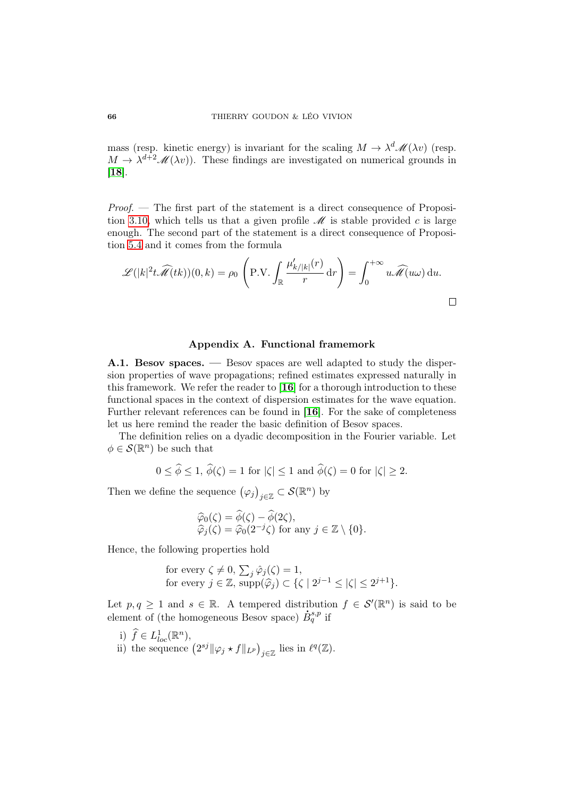mass (resp. kinetic energy) is invariant for the scaling  $M \to \lambda^d \mathcal{M}(\lambda v)$  (resp.  $M \to \lambda^{d+2} \mathscr{M}(\lambda v)$ . These findings are investigated on numerical grounds in [[18](#page-70-0)].

 $Proof.$  — The first part of the statement is a direct consequence of Proposi-tion [3.10,](#page-36-0) which tells us that a given profile  $\mathcal M$  is stable provided c is large enough. The second part of the statement is a direct consequence of Proposition [5.4](#page-63-1) and it comes from the formula

$$
\mathscr{L}(|k|^2 t \widehat{\mathscr{M}}(tk))(0,k) = \rho_0 \left( \text{P.V.} \int_{\mathbb{R}} \frac{\mu'_{k/|k|}(r)}{r} dr \right) = \int_0^{+\infty} u \widehat{\mathscr{M}}(u\omega) du.
$$

#### Appendix A. Functional framemork

<span id="page-65-0"></span>A.1. Besov spaces. — Besov spaces are well adapted to study the dispersion properties of wave propagations; refined estimates expressed naturally in this framework. We refer the reader to  $[16]$  $[16]$  $[16]$  for a thorough introduction to these functional spaces in the context of dispersion estimates for the wave equation. Further relevant references can be found in [[16](#page-70-2)]. For the sake of completeness let us here remind the reader the basic definition of Besov spaces.

The definition relies on a dyadic decomposition in the Fourier variable. Let  $\phi \in \mathcal{S}(\mathbb{R}^n)$  be such that

$$
0 \le \phi \le 1, \ \phi(\zeta) = 1 \text{ for } |\zeta| \le 1 \text{ and } \phi(\zeta) = 0 \text{ for } |\zeta| \ge 2.
$$

 $\sim$ 

Then we define the sequence  $(\varphi_j)_{j\in\mathbb{Z}}\subset \mathcal{S}(\mathbb{R}^n)$  by

$$
\widehat{\varphi}_0(\zeta) = \widehat{\phi}(\zeta) - \widehat{\phi}(2\zeta), \n\widehat{\varphi}_j(\zeta) = \widehat{\varphi}_0(2^{-j}\zeta) \text{ for any } j \in \mathbb{Z} \setminus \{0\}.
$$

Hence, the following properties hold

 $\lambda$ 

for every 
$$
\zeta \neq 0
$$
,  $\sum_j \hat{\varphi}_j(\zeta) = 1$ ,  
for every  $j \in \mathbb{Z}$ ,  $supp(\hat{\varphi}_j) \subset {\zeta \mid 2^{j-1} \leq |\zeta| \leq 2^{j+1}}$ .

Let  $p, q \geq 1$  and  $s \in \mathbb{R}$ . A tempered distribution  $f \in \mathcal{S}'(\mathbb{R}^n)$  is said to be element of (the homogeneous Besov space)  $\dot{B}^{s,p}_{q}$  if

- i)  $\widehat{f} \in L^1_{loc}(\mathbb{R}^n)$ ,
- ii) the sequence  $(2^{sj} \|\varphi_j \star f\|_{L^p})_{j \in \mathbb{Z}}$  lies in  $\ell^q(\mathbb{Z})$ .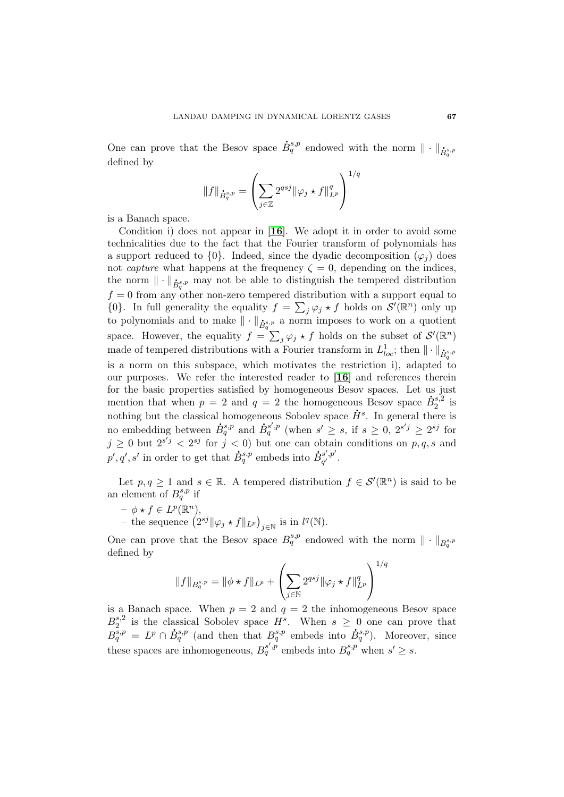One can prove that the Besov space .  $\dot{B}_{q}^{s,p}$  endowed with the norm  $\|\cdot\|_{\dot{B}_{q}^{s,p}}$ defined by

$$
||f||_{\dot{B}_{q}^{s,p}} = \left(\sum_{j\in\mathbb{Z}} 2^{qsj} ||\varphi_j \star f||_{L^p}^q\right)^{1/q}
$$

is a Banach space.

Condition i) does not appear in [[16](#page-70-2)]. We adopt it in order to avoid some technicalities due to the fact that the Fourier transform of polynomials has a support reduced to  $\{0\}$ . Indeed, since the dyadic decomposition  $(\varphi_i)$  does not *capture* what happens at the frequency  $\zeta = 0$ , depending on the indices, the norm  $\|\cdot\|_{\dot{B}^{s,p}_{q}}$  may not be able to distinguish the tempered distribution  $f = 0$  from any other non-zero tempered distribution with a support equal to  $\{0\}$ . In full generality the equality  $f = \sum_j \varphi_j \star f$  holds on  $\mathcal{S}'(\mathbb{R}^n)$  only up to polynomials and to make  $\|\cdot\|_{\dot{B}_{q}^{s,p}}$  a norm imposes to work on a quotient space. However, the equality  $f = \sum_j \varphi_j \star f$  holds on the subset of  $\mathcal{S}'(\mathbb{R}^n)$ made of tempered distributions with a Fourier transform in  $L^1_{loc}$ ; then  $\|\cdot\|_{\dot{B}^{s,p}_{q}}$ is a norm on this subspace, which motivates the restriction i), adapted to our purposes. We refer the interested reader to [[16](#page-70-2)] and references therein for the basic properties satisfied by homogeneous Besov spaces. Let us just mention that when  $p = 2$  and  $q = 2$  the homogeneous Besov space  $\dot{B}_2^{s,2}$ is Besov space  $B_2^{s,2}$  is nothing but the classical homogeneous Sobolev space  $\dot{H}^s$ . In general there is no embedding between  $\dot{B}^{s,p}_{q}$  and  $\dot{B}^{s',p}_{q}$  (when  $s' \geq s$ , if  $s \geq 0$ ,  $2^{s'j} \geq 2^{sj}$  for  $j \geq 0$  but  $2^{s'j} < 2^{sj}$  for  $j < 0$ ) but one can obtain conditions on p, q, s and  $p', q', s'$  in order to get that .  $\dot{B}^{s,p}_{q}$  embeds into .<br>.  $\dot{B}_{a'}^{s',p'}$  $\overset{s}{q'}$   $\overset{,p}{\cdot}$ 

Let  $p, q \geq 1$  and  $s \in \mathbb{R}$ . A tempered distribution  $f \in \mathcal{S}'(\mathbb{R}^n)$  is said to be an element of  $B_q^{s,p}$  if

- $\phi \star f \in L^p(\mathbb{R}^n),$
- the sequence  $(2^{sj} \|\varphi_j \star f\|_{L^p})_{j \in \mathbb{N}}$  is in  $l^q(\mathbb{N})$ .

One can prove that the Besov space  $B_q^{s,p}$  endowed with the norm  $\|\cdot\|_{B_q^{s,p}}$ defined by

$$
||f||_{B_q^{s,p}} = ||\phi \star f||_{L^p} + \left(\sum_{j \in \mathbb{N}} 2^{qsj} ||\varphi_j \star f||_{L^p}^q\right)^{1/q}
$$

is a Banach space. When  $p = 2$  and  $q = 2$  the inhomogeneous Besov space  $B_2^{s,2}$  $\frac{s}{2}$  is the classical Sobolev space  $H^s$ . When  $s \geq 0$  one can prove that  $B_q^{s,p} = L^p \cap \dot{B}$  $\dot{B}^{s,p}_{q}$  (and then that  $B^{s,p}_{q}$  embeds into .  $\dot{B}^{s,p}_{q}$ ). Moreover, since these spaces are inhomogeneous,  $B_q^{s',p}$  embeds into  $B_q^{s,p}$  when  $s' \geq s$ .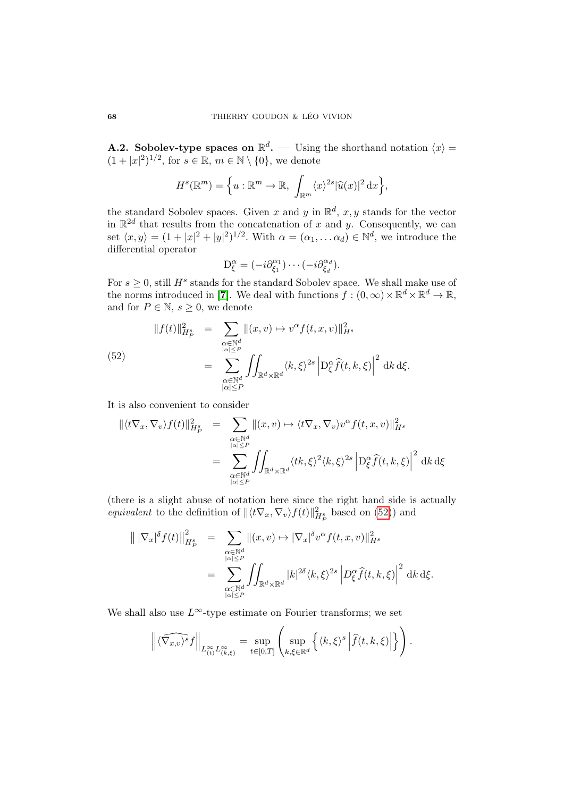**A.2.** Sobolev-type spaces on  $\mathbb{R}^d$ . — Using the shorthand notation  $\langle x \rangle =$  $(1+|x|^2)^{1/2}$ , for  $s \in \mathbb{R}$ ,  $m \in \mathbb{N} \setminus \{0\}$ , we denote

$$
H^{s}(\mathbb{R}^{m}) = \left\{ u : \mathbb{R}^{m} \to \mathbb{R}, \int_{\mathbb{R}^{m}} \langle x \rangle^{2s} |\widehat{u}(x)|^{2} dx \right\},\
$$

the standard Sobolev spaces. Given x and y in  $\mathbb{R}^d$ , x, y stands for the vector in  $\mathbb{R}^{2d}$  that results from the concatenation of x and y. Consequently, we can set  $\langle x, y \rangle = (1 + |x|^2 + |y|^2)^{1/2}$ . With  $\alpha = (\alpha_1, \dots \alpha_d) \in \mathbb{N}^d$ , we introduce the differential operator

$$
\mathcal{D}_{\xi}^{\alpha} = (-i\partial_{\xi_1}^{\alpha_1}) \cdots (-i\partial_{\xi_d}^{\alpha_d}).
$$

For  $s \geq 0$ , still  $H^s$  stands for the standard Sobolev space. We shall make use of the norms introduced in [[7](#page-69-1)]. We deal with functions  $f:(0,\infty)\times\mathbb{R}^d\times\mathbb{R}^d\to\mathbb{R}$ , and for  $P \in \mathbb{N}, s \geq 0$ , we denote

<span id="page-67-0"></span>(52)  

$$
||f(t)||_{H_P^s}^2 = \sum_{\substack{\alpha \in \mathbb{N}^d \\ |\alpha| \le P}} ||(x, v) \mapsto v^{\alpha} f(t, x, v)||_{H^s}^2
$$

$$
= \sum_{\substack{\alpha \in \mathbb{N}^d \\ |\alpha| \le P}} \iint_{\mathbb{R}^d \times \mathbb{R}^d} \langle k, \xi \rangle^{2s} \left| D_{\xi}^{\alpha} \widehat{f}(t, k, \xi) \right|^2 dk d\xi.
$$

It is also convenient to consider

$$
\begin{aligned}\n\|\langle t\nabla_x, \nabla_v \rangle f(t)\|_{H_P^s}^2 &= \sum_{\substack{\alpha \in \mathbb{N}^d \\ |\alpha| \le P}} \|(x, v) \mapsto \langle t\nabla_x, \nabla_v \rangle v^\alpha f(t, x, v)\|_{H^s}^2 \\
&= \sum_{\substack{\alpha \in \mathbb{N}^d \\ |\alpha| \le P}} \iint_{\mathbb{R}^d \times \mathbb{R}^d} \langle tk, \xi \rangle^2 \langle k, \xi \rangle^{2s} \left| \mathcal{D}_\xi^\alpha \hat{f}(t, k, \xi) \right|^2 \, \mathrm{d}k \, \mathrm{d}\xi\n\end{aligned}
$$

(there is a slight abuse of notation here since the right hand side is actually *equivalent* to the definition of  $\|\langle t\nabla_x, \nabla_v\rangle f(t)\|_{H_P^s}^2$  based on [\(52\)](#page-67-0)) and

$$
\|\nabla_x|^{\delta} f(t)\|_{H_P^s}^2 = \sum_{\substack{\alpha \in \mathbb{N}^d \\ |\alpha| \le P}} \|(x, v) \mapsto |\nabla_x|^{\delta} v^{\alpha} f(t, x, v)\|_{H^s}^2
$$

$$
= \sum_{\substack{\alpha \in \mathbb{N}^d \\ |\alpha| \le P}} \iint_{\mathbb{R}^d \times \mathbb{R}^d} |k|^{2\delta} \langle k, \xi \rangle^{2s} \left| D_{\xi}^{\alpha} \widehat{f}(t, k, \xi) \right|^2 \, \mathrm{d}k \, \mathrm{d}\xi.
$$

We shall also use  $L^{\infty}$ -type estimate on Fourier transforms; we set

$$
\left\| \widehat{\langle \nabla_{x,v} \rangle^s} f \right\|_{L^{\infty}_{(t)} L^{\infty}_{(k,\xi)}} = \sup_{t \in [0,T]} \left( \sup_{k,\xi \in \mathbb{R}^d} \left\{ \langle k,\xi \rangle^s \left| \widehat{f}(t,k,\xi) \right| \right\} \right).
$$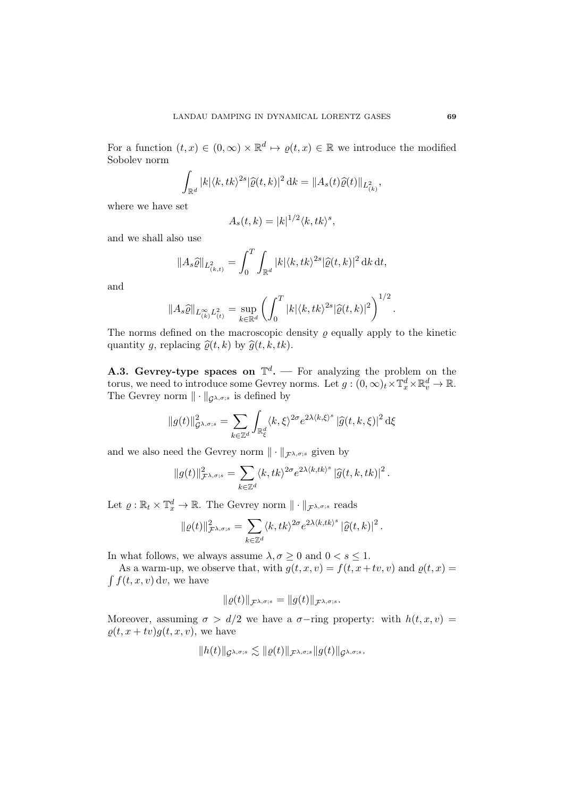For a function  $(t, x) \in (0, \infty) \times \mathbb{R}^d \mapsto \varrho(t, x) \in \mathbb{R}$  we introduce the modified Sobolev norm

$$
\int_{\mathbb{R}^d} |k| \langle k, tk \rangle^{2s} |\widehat{\varrho}(t,k)|^2 \, \mathrm{d}k = \|A_s(t)\widehat{\varrho}(t)\|_{L^2_{(k)}},
$$

where we have set

$$
A_s(t,k) = |k|^{1/2} \langle k, tk \rangle^s,
$$

and we shall also use

$$
||A_s\widehat{\varrho}||_{L^2_{(k,t)}} = \int_0^T \int_{\mathbb{R}^d} |k| \langle k, tk \rangle^{2s} |\widehat{\varrho}(t,k)|^2 \, \mathrm{d}k \, \mathrm{d}t,
$$

and

$$
||A_s\widehat{\varrho}||_{L_{(k)}^{\infty}L_{(t)}^2} = \sup_{k \in \mathbb{R}^d} \left( \int_0^T |k| \langle k, tk \rangle^{2s} |\widehat{\varrho}(t,k)|^2 \right)^{1/2}.
$$

The norms defined on the macroscopic density  $\varrho$  equally apply to the kinetic quantity g, replacing  $\hat{\varrho}(t, k)$  by  $\hat{g}(t, k, tk)$ .

**A.3. Gevrey-type spaces on**  $\mathbb{T}^d$ . — For analyzing the problem on the torus, we need to introduce some Gevrey norms. Let  $g: (0, \infty)_t \times \mathbb{T}_x^d \times \mathbb{R}_v^d \to \mathbb{R}$ . The Gevrey norm  $\|\cdot\|_{\mathcal{G}^{\lambda,\sigma;s}}$  is defined by

$$
||g(t)||_{\mathcal{G}^{\lambda,\sigma;s}}^2 = \sum_{k \in \mathbb{Z}^d} \int_{\mathbb{R}^d_{\xi}} \langle k, \xi \rangle^{2\sigma} e^{2\lambda \langle k, \xi \rangle^s} |\widehat{g}(t, k, \xi)|^2 d\xi
$$

and we also need the Gevrey norm  $\|\cdot\|_{\mathcal{F}^{\lambda,\sigma;s}}$  given by

$$
\|g(t)\|_{\mathcal{F}^{\lambda,\sigma;s}}^2 = \sum_{k\in\mathbb{Z}^d} \langle k, tk\rangle^{2\sigma} e^{2\lambda\langle k, tk\rangle^s} \, |\widehat{g}(t,k,tk)|^2 \, .
$$

Let  $\varrho : \mathbb{R}_t \times \mathbb{T}_x^d \to \mathbb{R}$ . The Gevrey norm  $\|\cdot\|_{\mathcal{F}^{\lambda,\sigma;s}}$  reads

$$
\|\varrho(t)\|_{\mathcal{F}^{\lambda,\sigma;s}}^2 = \sum_{k\in\mathbb{Z}^d} \langle k, tk\rangle^{2\sigma} e^{2\lambda\langle k, tk\rangle^s} \left|\widehat{\varrho}(t,k)\right|^2.
$$

In what follows, we always assume  $\lambda, \sigma \geq 0$  and  $0 < s \leq 1$ .

 $\int f(t, x, v) dv$ , we have As a warm-up, we observe that, with  $g(t, x, v) = f(t, x+tv, v)$  and  $\rho(t, x) =$ 

$$
\|\varrho(t)\|_{\mathcal{F}^{\lambda,\sigma;s}}=\|g(t)\|_{\mathcal{F}^{\lambda,\sigma;s}}.
$$

Moreover, assuming  $\sigma > d/2$  we have a  $\sigma$ -ring property: with  $h(t, x, v)$  =  $\rho(t, x + tv)g(t, x, v)$ , we have

$$
\|h(t)\|_{\mathcal{G}^{\lambda, \sigma; s}} \lesssim \|\varrho(t)\|_{\mathcal{F}^{\lambda, \sigma; s}} \|g(t)\|_{\mathcal{G}^{\lambda, \sigma; s}}.
$$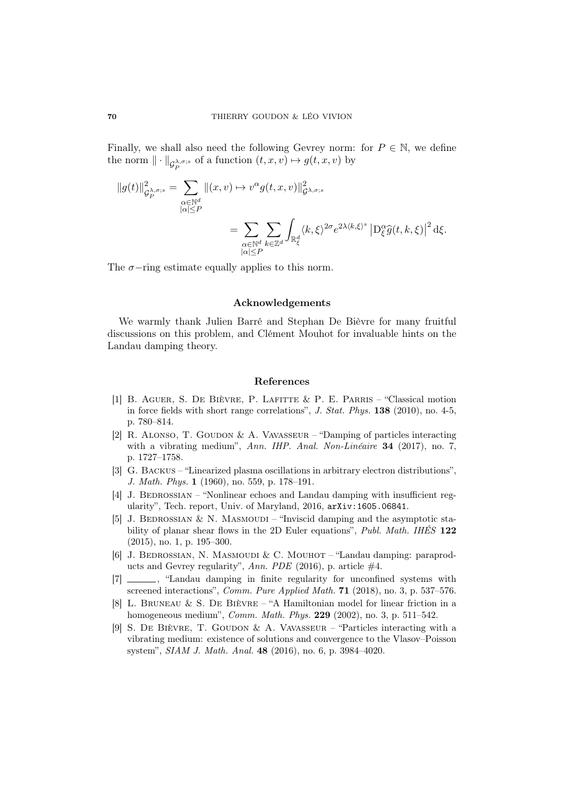Finally, we shall also need the following Gevrey norm: for  $P \in \mathbb{N}$ , we define the norm  $\|\cdot\|_{\mathcal{G}^{\lambda,\sigma;s}_{P}}$  of a function  $(t, x, v) \mapsto g(t, x, v)$  by P

$$
||g(t)||_{\mathcal{G}_{P}^{\lambda,\sigma;s}}^{2} = \sum_{\substack{\alpha \in \mathbb{N}^{d} \\ |\alpha| \leq P}} ||(x,v) \mapsto v^{\alpha} g(t,x,v)||_{\mathcal{G}^{\lambda,\sigma;s}}^{2}
$$
  

$$
= \sum_{\substack{\alpha \in \mathbb{N}^{d} \\ |\alpha| \leq P}} \sum_{k \in \mathbb{Z}^{d}} \int_{\mathbb{R}_{\xi}^{d}} \langle k,\xi \rangle^{2\sigma} e^{2\lambda \langle k,\xi \rangle^{s}} \left| D_{\xi}^{\alpha} \widehat{g}(t,k,\xi) \right|^{2} d\xi.
$$

The  $\sigma$ −ring estimate equally applies to this norm.

## Acknowledgements

We warmly thank Julien Barré and Stephan De Bièvre for many fruitful discussions on this problem, and Clément Mouhot for invaluable hints on the Landau damping theory.

### References

- [1] B. Aguer, S. De Bièvre, P. Lafitte & P. E. Parris "Classical motion in force fields with short range correlations", J. Stat. Phys. 138 (2010), no. 4-5, p. 780–814.
- [2] R. ALONSO, T. GOUDON & A. VAVASSEUR "Damping of particles interacting with a vibrating medium", Ann. IHP. Anal. Non-Linéaire 34 (2017), no. 7, p. 1727–1758.
- [3] G. Backus "Linearized plasma oscillations in arbitrary electron distributions", J. Math. Phys. 1 (1960), no. 559, p. 178–191.
- <span id="page-69-3"></span>[4] J. BEDROSSIAN – "Nonlinear echoes and Landau damping with insufficient regularity", Tech. report, Univ. of Maryland, 2016, arXiv:1605.06841.
- [5] J. BEDROSSIAN & N. MASMOUDI "Inviscid damping and the asymptotic stability of planar shear flows in the 2D Euler equations", Publ. Math. IHES 122 (2015), no. 1, p. 195–300.
- <span id="page-69-2"></span>[6] J. BEDROSSIAN, N. MASMOUDI & C. MOUHOT – "Landau damping: paraproducts and Gevrey regularity", Ann. PDE (2016), p. article  $#4$ .
- <span id="page-69-1"></span>[7] \_\_\_\_\_\_, "Landau damping in finite regularity for unconfined systems with screened interactions", Comm. Pure Applied Math. 71 (2018), no. 3, p. 537-576.
- <span id="page-69-0"></span>[8] L. Bruneau & S. De Bièvre – "A Hamiltonian model for linear friction in a homogeneous medium", Comm. Math. Phys. 229 (2002), no. 3, p. 511–542.
- <span id="page-69-4"></span>[9] S. DE BIÈVRE, T. GOUDON & A. VAVASSEUR – "Particles interacting with a vibrating medium: existence of solutions and convergence to the Vlasov–Poisson system", SIAM J. Math. Anal. 48 (2016), no. 6, p. 3984–4020.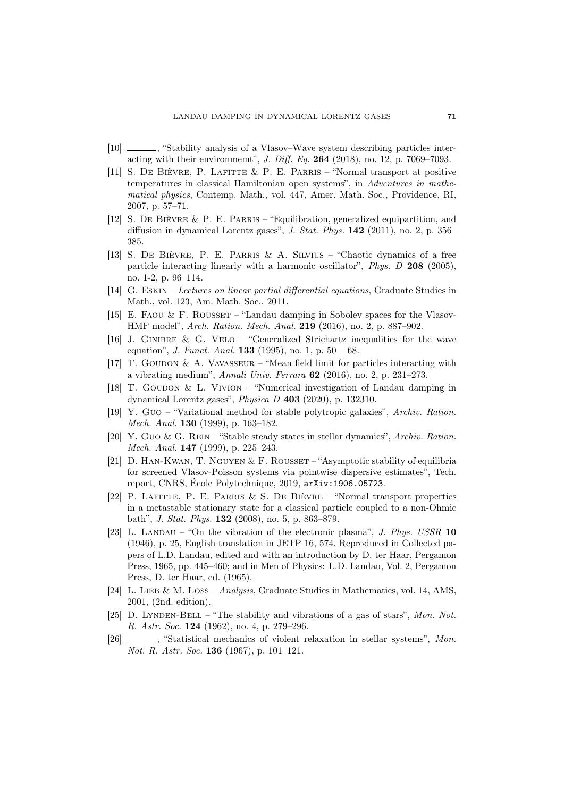- $\Box$ , "Stability analysis of a Vlasov–Wave system describing particles interacting with their environmemt", J. Diff. Eq. 264 (2018), no. 12, p. 7069–7093.
- [11] S. De Bièvre, P. Lafitte & P. E. Parris "Normal transport at positive temperatures in classical Hamiltonian open systems", in Adventures in mathematical physics, Contemp. Math., vol. 447, Amer. Math. Soc., Providence, RI, 2007, p. 57–71.
- [12] S. De Bièvre & P. E. Parris "Equilibration, generalized equipartition, and diffusion in dynamical Lorentz gases", J. Stat. Phys. 142 (2011), no. 2, p. 356– 385.
- [13] S. De Bièvre, P. E. Parris & A. Silvius "Chaotic dynamics of a free particle interacting linearly with a harmonic oscillator", Phys. D 208 (2005), no. 1-2, p. 96–114.
- <span id="page-70-1"></span>[14] G. Eskin – Lectures on linear partial differential equations, Graduate Studies in Math., vol. 123, Am. Math. Soc., 2011.
- [15] E. FAOU & F. ROUSSET "Landau damping in Sobolev spaces for the Vlasov-HMF model", Arch. Ration. Mech. Anal. 219 (2016), no. 2, p. 887–902.
- <span id="page-70-2"></span>[16] J. GINIBRE & G. VELO – "Generalized Strichartz inequalities for the wave equation", *J. Funct. Anal.* **133** (1995), no. 1, p.  $50 - 68$ .
- [17] T. GOUDON & A. VAVASSEUR "Mean field limit for particles interacting with a vibrating medium", Annali Univ. Ferrara 62 (2016), no. 2, p. 231–273.
- <span id="page-70-0"></span>[18] T. GOUDON & L. VIVION – "Numerical investigation of Landau damping in dynamical Lorentz gases", Physica D 403 (2020), p. 132310.
- [19] Y. Guo "Variational method for stable polytropic galaxies", Archiv. Ration. Mech. Anal. 130 (1999), p. 163–182.
- [20] Y. Guo & G. Rein "Stable steady states in stellar dynamics", Archiv. Ration. Mech. Anal. 147 (1999), p. 225–243.
- [21] D. HAN-KWAN, T. NGUYEN & F. ROUSSET "Asymptotic stability of equilibria for screened Vlasov-Poisson systems via pointwise dispersive estimates", Tech. report, CNRS, École Polytechnique, 2019, arXiv:1906.05723.
- [22] P. Lafitte, P. E. Parris & S. De Bièvre "Normal transport properties in a metastable stationary state for a classical particle coupled to a non-Ohmic bath", J. Stat. Phys. 132 (2008), no. 5, p. 863–879.
- [23] L. LANDAU "On the vibration of the electronic plasma", J. Phys. USSR 10 (1946), p. 25, English translation in JETP 16, 574. Reproduced in Collected papers of L.D. Landau, edited and with an introduction by D. ter Haar, Pergamon Press, 1965, pp. 445–460; and in Men of Physics: L.D. Landau, Vol. 2, Pergamon Press, D. ter Haar, ed. (1965).
- [24] L. LIEB & M. LOSS Analysis, Graduate Studies in Mathematics, vol. 14, AMS, 2001, (2nd. edition).
- [25] D. LYNDEN-BELL "The stability and vibrations of a gas of stars", Mon. Not. R. Astr. Soc. 124 (1962), no. 4, p. 279–296.
- [26] , "Statistical mechanics of violent relaxation in stellar systems", Mon. Not. R. Astr. Soc. **136** (1967), p. 101–121.